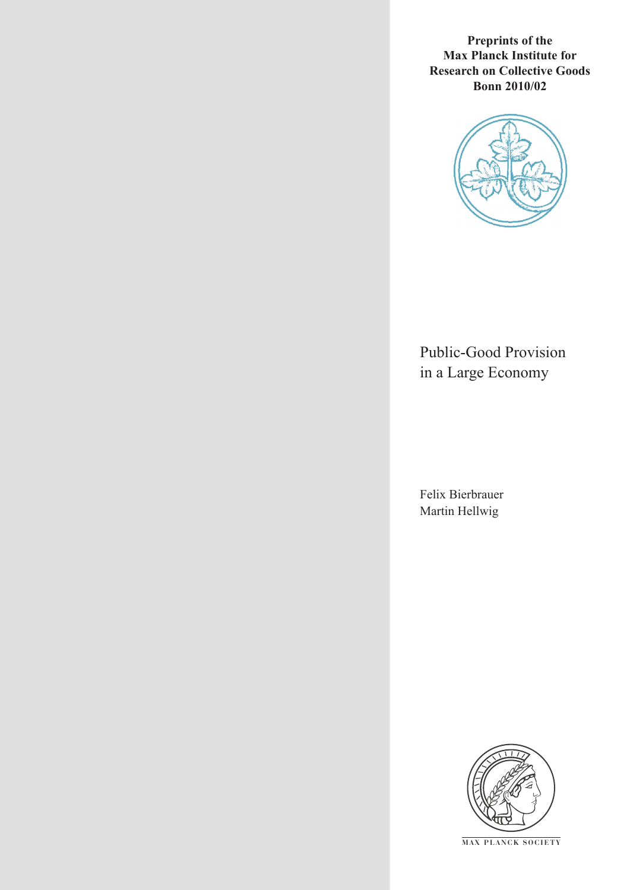**Preprints of the Max Planck Institute for Research on Collective Goods Bonn 2010/02**



## Public-Good Provision in a Large Economy

Felix Bierbrauer Martin Hellwig



**M AX P L A N C K S O C I E T Y**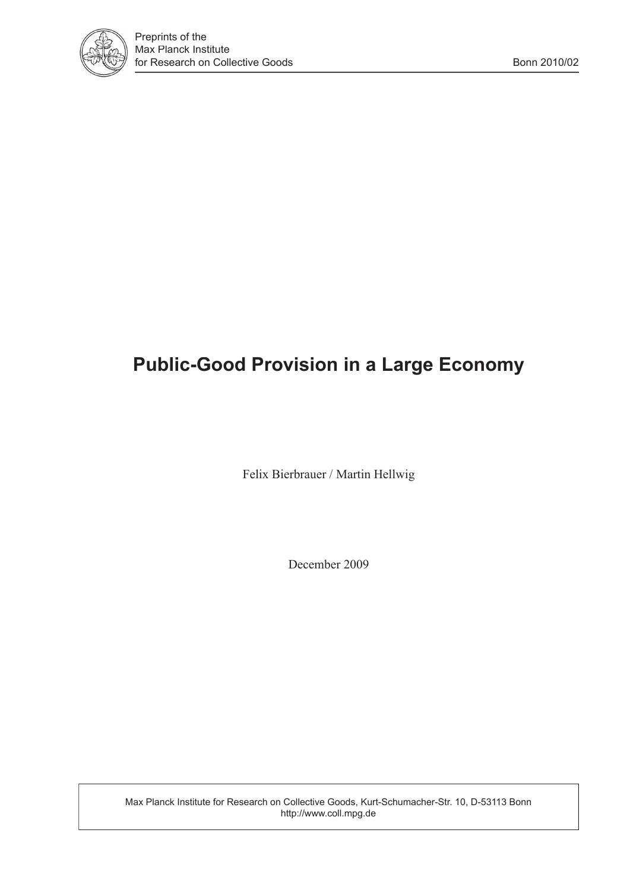

# **Public-Good Provision in a Large Economy**

Felix Bierbrauer / Martin Hellwig

December 2009

Max Planck Institute for Research on Collective Goods, Kurt-Schumacher-Str. 10, D-53113 Bonn http://www.coll.mpg.de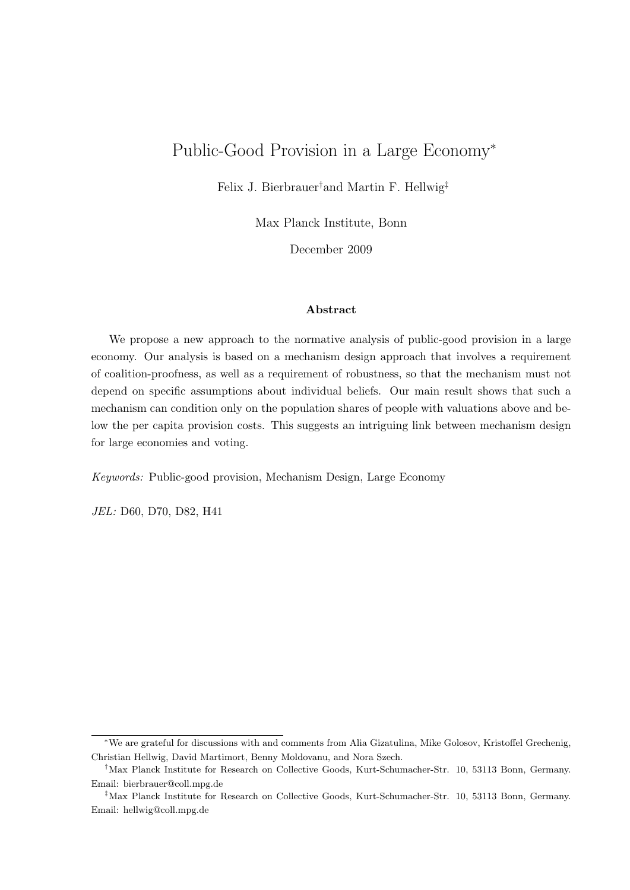## Public-Good Provision in a Large Economy<sup>∗</sup>

Felix J. Bierbrauer†and Martin F. Hellwig‡

Max Planck Institute, Bonn

December 2009

#### Abstract

We propose a new approach to the normative analysis of public-good provision in a large economy. Our analysis is based on a mechanism design approach that involves a requirement of coalition-proofness, as well as a requirement of robustness, so that the mechanism must not depend on specific assumptions about individual beliefs. Our main result shows that such a mechanism can condition only on the population shares of people with valuations above and below the per capita provision costs. This suggests an intriguing link between mechanism design for large economies and voting.

Keywords: Public-good provision, Mechanism Design, Large Economy

JEL: D60, D70, D82, H41

<sup>∗</sup>We are grateful for discussions with and comments from Alia Gizatulina, Mike Golosov, Kristoffel Grechenig, Christian Hellwig, David Martimort, Benny Moldovanu, and Nora Szech.

<sup>†</sup>Max Planck Institute for Research on Collective Goods, Kurt-Schumacher-Str. 10, 53113 Bonn, Germany. Email: bierbrauer@coll.mpg.de

<sup>‡</sup>Max Planck Institute for Research on Collective Goods, Kurt-Schumacher-Str. 10, 53113 Bonn, Germany. Email: hellwig@coll.mpg.de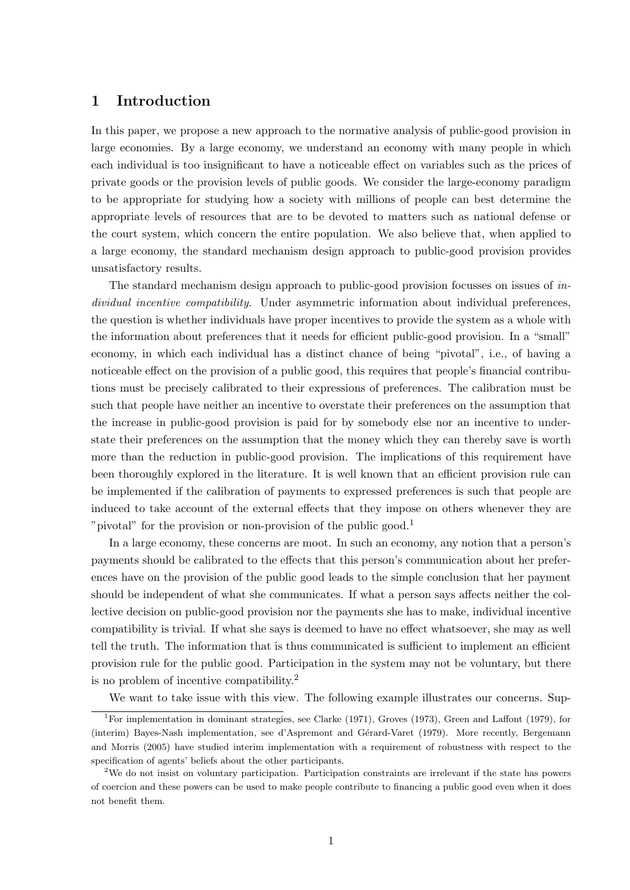## 1 Introduction

In this paper, we propose a new approach to the normative analysis of public-good provision in large economies. By a large economy, we understand an economy with many people in which each individual is too insignificant to have a noticeable effect on variables such as the prices of private goods or the provision levels of public goods. We consider the large-economy paradigm to be appropriate for studying how a society with millions of people can best determine the appropriate levels of resources that are to be devoted to matters such as national defense or the court system, which concern the entire population. We also believe that, when applied to a large economy, the standard mechanism design approach to public-good provision provides unsatisfactory results.

The standard mechanism design approach to public-good provision focusses on issues of individual incentive compatibility. Under asymmetric information about individual preferences, the question is whether individuals have proper incentives to provide the system as a whole with the information about preferences that it needs for efficient public-good provision. In a "small" economy, in which each individual has a distinct chance of being "pivotal", i.e., of having a noticeable effect on the provision of a public good, this requires that people's financial contributions must be precisely calibrated to their expressions of preferences. The calibration must be such that people have neither an incentive to overstate their preferences on the assumption that the increase in public-good provision is paid for by somebody else nor an incentive to understate their preferences on the assumption that the money which they can thereby save is worth more than the reduction in public-good provision. The implications of this requirement have been thoroughly explored in the literature. It is well known that an efficient provision rule can be implemented if the calibration of payments to expressed preferences is such that people are induced to take account of the external effects that they impose on others whenever they are "pivotal" for the provision or non-provision of the public good.<sup>1</sup>

In a large economy, these concerns are moot. In such an economy, any notion that a person's payments should be calibrated to the effects that this person's communication about her preferences have on the provision of the public good leads to the simple conclusion that her payment should be independent of what she communicates. If what a person says affects neither the collective decision on public-good provision nor the payments she has to make, individual incentive compatibility is trivial. If what she says is deemed to have no effect whatsoever, she may as well tell the truth. The information that is thus communicated is sufficient to implement an efficient provision rule for the public good. Participation in the system may not be voluntary, but there is no problem of incentive compatibility.<sup>2</sup>

We want to take issue with this view. The following example illustrates our concerns. Sup-

<sup>&</sup>lt;sup>1</sup>For implementation in dominant strategies, see Clarke (1971), Groves (1973), Green and Laffont (1979), for (interim) Bayes-Nash implementation, see d'Aspremont and Gérard-Varet (1979). More recently, Bergemann and Morris (2005) have studied interim implementation with a requirement of robustness with respect to the specification of agents' beliefs about the other participants.

<sup>2</sup>We do not insist on voluntary participation. Participation constraints are irrelevant if the state has powers of coercion and these powers can be used to make people contribute to financing a public good even when it does not benefit them.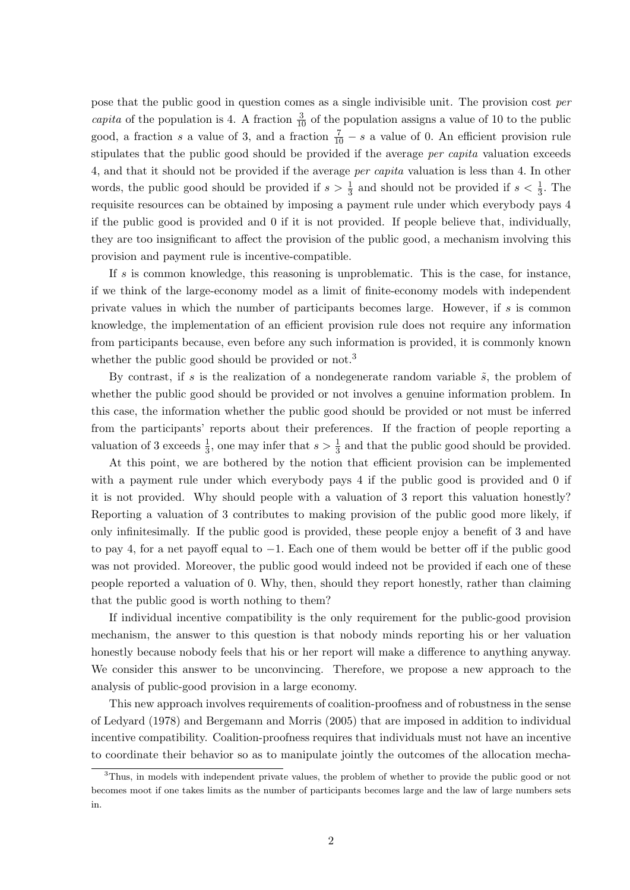pose that the public good in question comes as a single indivisible unit. The provision cost per capita of the population is 4. A fraction  $\frac{3}{10}$  of the population assigns a value of 10 to the public good, a fraction s a value of 3, and a fraction  $\frac{7}{10} - s$  a value of 0. An efficient provision rule stipulates that the public good should be provided if the average *per capita* valuation exceeds 4, and that it should not be provided if the average per capita valuation is less than 4. In other words, the public good should be provided if  $s > \frac{1}{3}$  and should not be provided if  $s < \frac{1}{3}$ . The requisite resources can be obtained by imposing a payment rule under which everybody pays 4 if the public good is provided and 0 if it is not provided. If people believe that, individually, they are too insignificant to affect the provision of the public good, a mechanism involving this provision and payment rule is incentive-compatible.

If  $s$  is common knowledge, this reasoning is unproblematic. This is the case, for instance, if we think of the large-economy model as a limit of finite-economy models with independent private values in which the number of participants becomes large. However, if s is common knowledge, the implementation of an efficient provision rule does not require any information from participants because, even before any such information is provided, it is commonly known whether the public good should be provided or not.<sup>3</sup>

By contrast, if s is the realization of a nondegenerate random variable  $\tilde{s}$ , the problem of whether the public good should be provided or not involves a genuine information problem. In this case, the information whether the public good should be provided or not must be inferred from the participants' reports about their preferences. If the fraction of people reporting a valuation of 3 exceeds  $\frac{1}{3}$ , one may infer that  $s > \frac{1}{3}$  and that the public good should be provided.

At this point, we are bothered by the notion that efficient provision can be implemented with a payment rule under which everybody pays 4 if the public good is provided and 0 if it is not provided. Why should people with a valuation of 3 report this valuation honestly? Reporting a valuation of 3 contributes to making provision of the public good more likely, if only infinitesimally. If the public good is provided, these people enjoy a benefit of 3 and have to pay 4, for a net payoff equal to −1. Each one of them would be better off if the public good was not provided. Moreover, the public good would indeed not be provided if each one of these people reported a valuation of 0. Why, then, should they report honestly, rather than claiming that the public good is worth nothing to them?

If individual incentive compatibility is the only requirement for the public-good provision mechanism, the answer to this question is that nobody minds reporting his or her valuation honestly because nobody feels that his or her report will make a difference to anything anyway. We consider this answer to be unconvincing. Therefore, we propose a new approach to the analysis of public-good provision in a large economy.

This new approach involves requirements of coalition-proofness and of robustness in the sense of Ledyard (1978) and Bergemann and Morris (2005) that are imposed in addition to individual incentive compatibility. Coalition-proofness requires that individuals must not have an incentive to coordinate their behavior so as to manipulate jointly the outcomes of the allocation mecha-

<sup>3</sup>Thus, in models with independent private values, the problem of whether to provide the public good or not becomes moot if one takes limits as the number of participants becomes large and the law of large numbers sets in.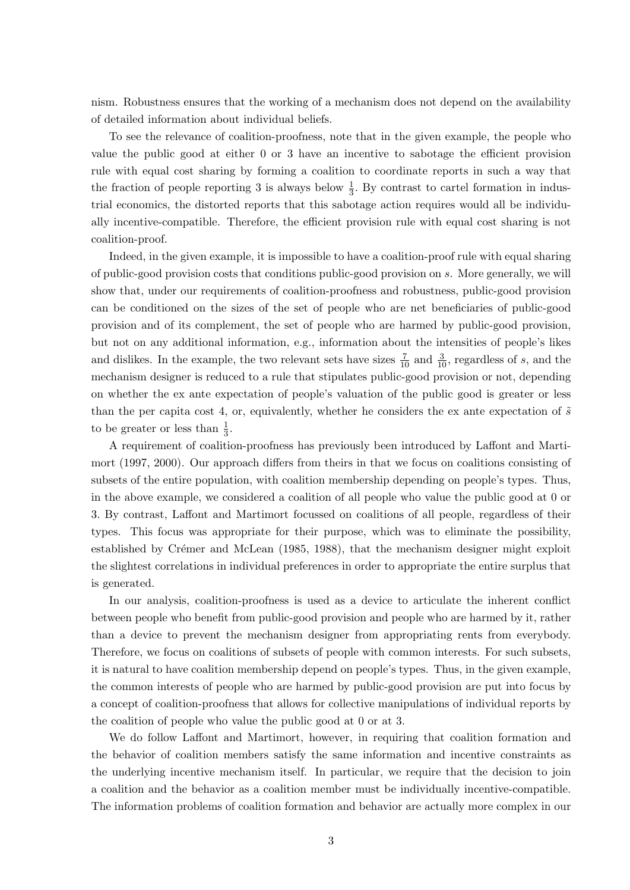nism. Robustness ensures that the working of a mechanism does not depend on the availability of detailed information about individual beliefs.

To see the relevance of coalition-proofness, note that in the given example, the people who value the public good at either 0 or 3 have an incentive to sabotage the efficient provision rule with equal cost sharing by forming a coalition to coordinate reports in such a way that the fraction of people reporting 3 is always below  $\frac{1}{3}$ . By contrast to cartel formation in industrial economics, the distorted reports that this sabotage action requires would all be individually incentive-compatible. Therefore, the efficient provision rule with equal cost sharing is not coalition-proof.

Indeed, in the given example, it is impossible to have a coalition-proof rule with equal sharing of public-good provision costs that conditions public-good provision on s. More generally, we will show that, under our requirements of coalition-proofness and robustness, public-good provision can be conditioned on the sizes of the set of people who are net beneficiaries of public-good provision and of its complement, the set of people who are harmed by public-good provision, but not on any additional information, e.g., information about the intensities of people's likes and dislikes. In the example, the two relevant sets have sizes  $\frac{7}{10}$  and  $\frac{3}{10}$ , regardless of s, and the mechanism designer is reduced to a rule that stipulates public-good provision or not, depending on whether the ex ante expectation of people's valuation of the public good is greater or less than the per capita cost 4, or, equivalently, whether he considers the ex ante expectation of  $\tilde{s}$ to be greater or less than  $\frac{1}{3}$ .

A requirement of coalition-proofness has previously been introduced by Laffont and Martimort (1997, 2000). Our approach differs from theirs in that we focus on coalitions consisting of subsets of the entire population, with coalition membership depending on people's types. Thus, in the above example, we considered a coalition of all people who value the public good at 0 or 3. By contrast, Laffont and Martimort focussed on coalitions of all people, regardless of their types. This focus was appropriate for their purpose, which was to eliminate the possibility, established by Crémer and McLean (1985, 1988), that the mechanism designer might exploit the slightest correlations in individual preferences in order to appropriate the entire surplus that is generated.

In our analysis, coalition-proofness is used as a device to articulate the inherent conflict between people who benefit from public-good provision and people who are harmed by it, rather than a device to prevent the mechanism designer from appropriating rents from everybody. Therefore, we focus on coalitions of subsets of people with common interests. For such subsets, it is natural to have coalition membership depend on people's types. Thus, in the given example, the common interests of people who are harmed by public-good provision are put into focus by a concept of coalition-proofness that allows for collective manipulations of individual reports by the coalition of people who value the public good at 0 or at 3.

We do follow Laffont and Martimort, however, in requiring that coalition formation and the behavior of coalition members satisfy the same information and incentive constraints as the underlying incentive mechanism itself. In particular, we require that the decision to join a coalition and the behavior as a coalition member must be individually incentive-compatible. The information problems of coalition formation and behavior are actually more complex in our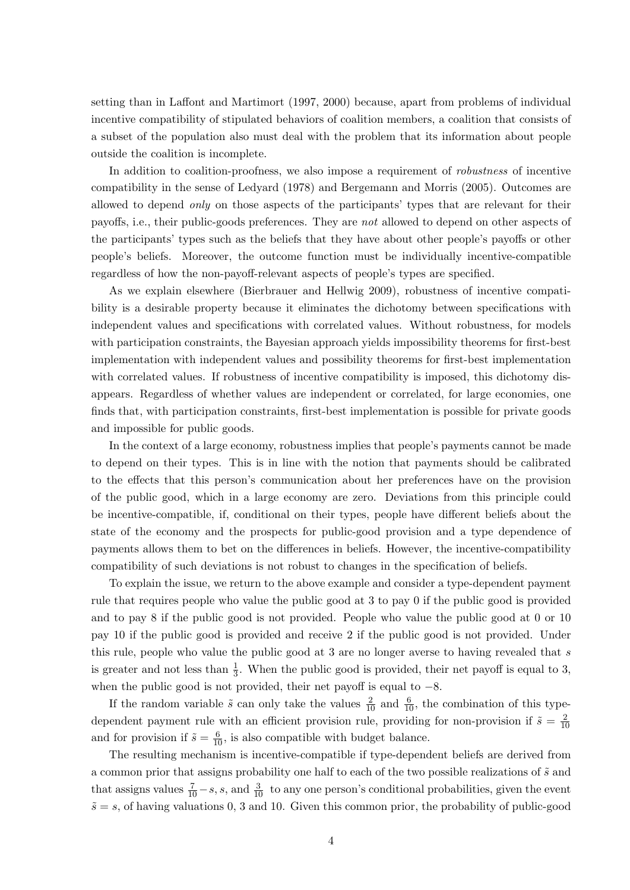setting than in Laffont and Martimort (1997, 2000) because, apart from problems of individual incentive compatibility of stipulated behaviors of coalition members, a coalition that consists of a subset of the population also must deal with the problem that its information about people outside the coalition is incomplete.

In addition to coalition-proofness, we also impose a requirement of *robustness* of incentive compatibility in the sense of Ledyard (1978) and Bergemann and Morris (2005). Outcomes are allowed to depend only on those aspects of the participants' types that are relevant for their payoffs, i.e., their public-goods preferences. They are not allowed to depend on other aspects of the participants' types such as the beliefs that they have about other people's payoffs or other people's beliefs. Moreover, the outcome function must be individually incentive-compatible regardless of how the non-payoff-relevant aspects of people's types are specified.

As we explain elsewhere (Bierbrauer and Hellwig 2009), robustness of incentive compatibility is a desirable property because it eliminates the dichotomy between specifications with independent values and specifications with correlated values. Without robustness, for models with participation constraints, the Bayesian approach yields impossibility theorems for first-best implementation with independent values and possibility theorems for first-best implementation with correlated values. If robustness of incentive compatibility is imposed, this dichotomy disappears. Regardless of whether values are independent or correlated, for large economies, one finds that, with participation constraints, first-best implementation is possible for private goods and impossible for public goods.

In the context of a large economy, robustness implies that people's payments cannot be made to depend on their types. This is in line with the notion that payments should be calibrated to the effects that this person's communication about her preferences have on the provision of the public good, which in a large economy are zero. Deviations from this principle could be incentive-compatible, if, conditional on their types, people have different beliefs about the state of the economy and the prospects for public-good provision and a type dependence of payments allows them to bet on the differences in beliefs. However, the incentive-compatibility compatibility of such deviations is not robust to changes in the specification of beliefs.

To explain the issue, we return to the above example and consider a type-dependent payment rule that requires people who value the public good at 3 to pay 0 if the public good is provided and to pay 8 if the public good is not provided. People who value the public good at 0 or 10 pay 10 if the public good is provided and receive 2 if the public good is not provided. Under this rule, people who value the public good at 3 are no longer averse to having revealed that s is greater and not less than  $\frac{1}{3}$ . When the public good is provided, their net payoff is equal to 3, when the public good is not provided, their net payoff is equal to  $-8$ .

If the random variable  $\tilde{s}$  can only take the values  $\frac{2}{10}$  and  $\frac{6}{10}$ , the combination of this typedependent payment rule with an efficient provision rule, providing for non-provision if  $\tilde{s} = \frac{2}{10}$ 10 and for provision if  $\tilde{s} = \frac{6}{10}$ , is also compatible with budget balance.

The resulting mechanism is incentive-compatible if type-dependent beliefs are derived from a common prior that assigns probability one half to each of the two possible realizations of  $\tilde{s}$  and that assigns values  $\frac{7}{10} - s$ , s, and  $\frac{3}{10}$  to any one person's conditional probabilities, given the event  $\tilde{s} = s$ , of having valuations 0, 3 and 10. Given this common prior, the probability of public-good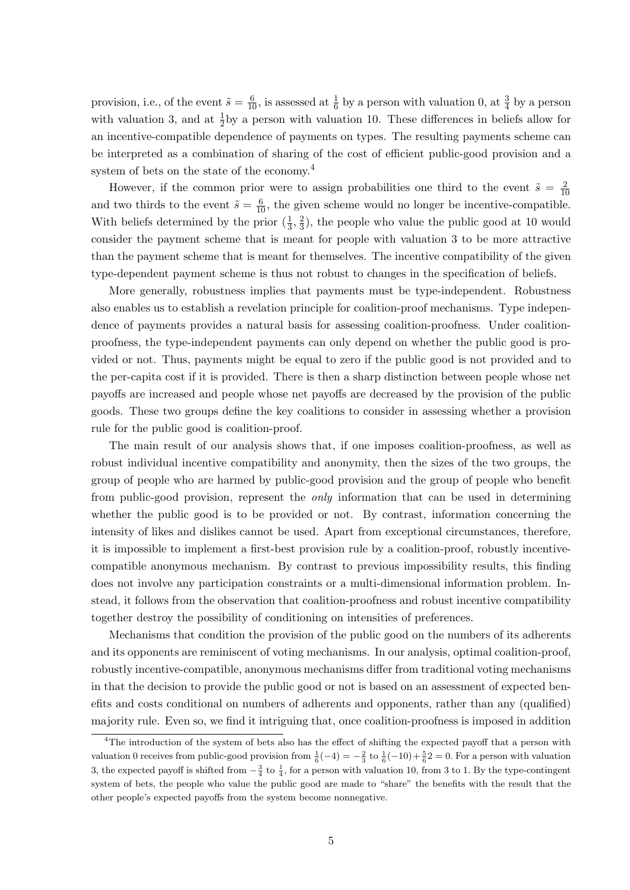provision, i.e., of the event  $\tilde{s} = \frac{6}{10}$ , is assessed at  $\frac{1}{6}$  by a person with valuation 0, at  $\frac{3}{4}$  by a person with valuation 3, and at  $\frac{1}{2}$  by a person with valuation 10. These differences in beliefs allow for an incentive-compatible dependence of payments on types. The resulting payments scheme can be interpreted as a combination of sharing of the cost of efficient public-good provision and a system of bets on the state of the economy.<sup>4</sup>

However, if the common prior were to assign probabilities one third to the event  $\tilde{s} = \frac{2}{10}$ 10 and two thirds to the event  $\tilde{s} = \frac{6}{10}$ , the given scheme would no longer be incentive-compatible. With beliefs determined by the prior  $(\frac{1}{3}, \frac{2}{3})$  $\frac{2}{3}$ , the people who value the public good at 10 would consider the payment scheme that is meant for people with valuation 3 to be more attractive than the payment scheme that is meant for themselves. The incentive compatibility of the given type-dependent payment scheme is thus not robust to changes in the specification of beliefs.

More generally, robustness implies that payments must be type-independent. Robustness also enables us to establish a revelation principle for coalition-proof mechanisms. Type independence of payments provides a natural basis for assessing coalition-proofness. Under coalitionproofness, the type-independent payments can only depend on whether the public good is provided or not. Thus, payments might be equal to zero if the public good is not provided and to the per-capita cost if it is provided. There is then a sharp distinction between people whose net payoffs are increased and people whose net payoffs are decreased by the provision of the public goods. These two groups define the key coalitions to consider in assessing whether a provision rule for the public good is coalition-proof.

The main result of our analysis shows that, if one imposes coalition-proofness, as well as robust individual incentive compatibility and anonymity, then the sizes of the two groups, the group of people who are harmed by public-good provision and the group of people who benefit from public-good provision, represent the only information that can be used in determining whether the public good is to be provided or not. By contrast, information concerning the intensity of likes and dislikes cannot be used. Apart from exceptional circumstances, therefore, it is impossible to implement a first-best provision rule by a coalition-proof, robustly incentivecompatible anonymous mechanism. By contrast to previous impossibility results, this finding does not involve any participation constraints or a multi-dimensional information problem. Instead, it follows from the observation that coalition-proofness and robust incentive compatibility together destroy the possibility of conditioning on intensities of preferences.

Mechanisms that condition the provision of the public good on the numbers of its adherents and its opponents are reminiscent of voting mechanisms. In our analysis, optimal coalition-proof, robustly incentive-compatible, anonymous mechanisms differ from traditional voting mechanisms in that the decision to provide the public good or not is based on an assessment of expected benefits and costs conditional on numbers of adherents and opponents, rather than any (qualified) majority rule. Even so, we find it intriguing that, once coalition-proofness is imposed in addition

<sup>&</sup>lt;sup>4</sup>The introduction of the system of bets also has the effect of shifting the expected payoff that a person with valuation 0 receives from public-good provision from  $\frac{1}{6}(-4) = -\frac{2}{3}$  to  $\frac{1}{6}(-10) + \frac{5}{6}$  2 = 0. For a person with valuation 3, the expected payoff is shifted from  $-\frac{3}{4}$  to  $\frac{1}{4}$ , for a person with valuation 10, from 3 to 1. By the type-contingent system of bets, the people who value the public good are made to "share" the benefits with the result that the other people's expected payoffs from the system become nonnegative.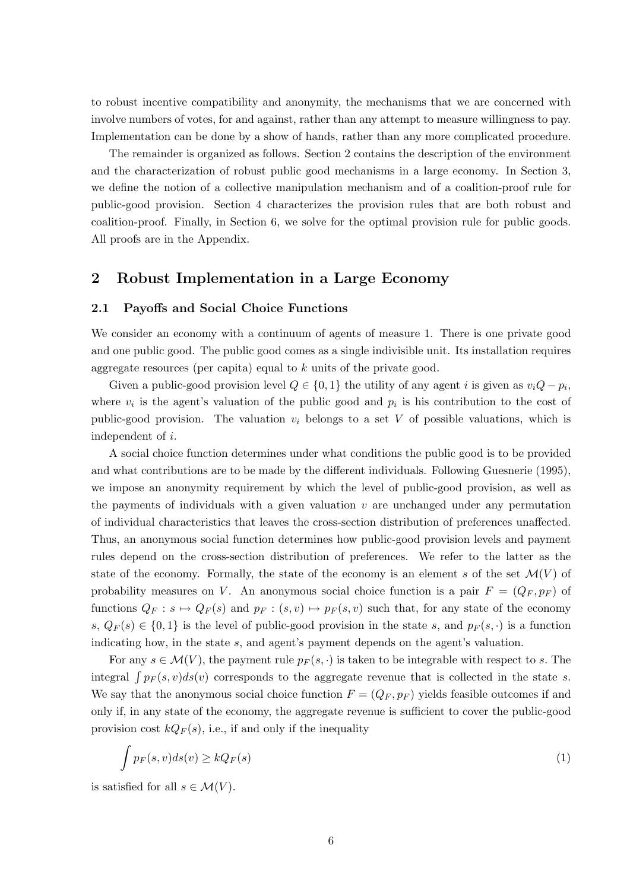to robust incentive compatibility and anonymity, the mechanisms that we are concerned with involve numbers of votes, for and against, rather than any attempt to measure willingness to pay. Implementation can be done by a show of hands, rather than any more complicated procedure.

The remainder is organized as follows. Section 2 contains the description of the environment and the characterization of robust public good mechanisms in a large economy. In Section 3, we define the notion of a collective manipulation mechanism and of a coalition-proof rule for public-good provision. Section 4 characterizes the provision rules that are both robust and coalition-proof. Finally, in Section 6, we solve for the optimal provision rule for public goods. All proofs are in the Appendix.

## 2 Robust Implementation in a Large Economy

#### 2.1 Payoffs and Social Choice Functions

We consider an economy with a continuum of agents of measure 1. There is one private good and one public good. The public good comes as a single indivisible unit. Its installation requires aggregate resources (per capita) equal to k units of the private good.

Given a public-good provision level  $Q \in \{0,1\}$  the utility of any agent i is given as  $v_iQ - p_i$ , where  $v_i$  is the agent's valuation of the public good and  $p_i$  is his contribution to the cost of public-good provision. The valuation  $v_i$  belongs to a set V of possible valuations, which is independent of i.

A social choice function determines under what conditions the public good is to be provided and what contributions are to be made by the different individuals. Following Guesnerie (1995), we impose an anonymity requirement by which the level of public-good provision, as well as the payments of individuals with a given valuation  $v$  are unchanged under any permutation of individual characteristics that leaves the cross-section distribution of preferences unaffected. Thus, an anonymous social function determines how public-good provision levels and payment rules depend on the cross-section distribution of preferences. We refer to the latter as the state of the economy. Formally, the state of the economy is an element s of the set  $\mathcal{M}(V)$  of probability measures on V. An anonymous social choice function is a pair  $F = (Q_F, p_F)$  of functions  $Q_F : s \mapsto Q_F(s)$  and  $p_F : (s, v) \mapsto p_F(s, v)$  such that, for any state of the economy s,  $Q_F(s) \in \{0,1\}$  is the level of public-good provision in the state s, and  $p_F(s, \cdot)$  is a function indicating how, in the state s, and agent's payment depends on the agent's valuation.

For any  $s \in \mathcal{M}(V)$ , the payment rule  $p_F(s, \cdot)$  is taken to be integrable with respect to s. The integral  $\int p_F(s, v)ds(v)$  corresponds to the aggregate revenue that is collected in the state s. We say that the anonymous social choice function  $F = (Q_F, p_F)$  yields feasible outcomes if and only if, in any state of the economy, the aggregate revenue is sufficient to cover the public-good provision cost  $kQ_F(s)$ , i.e., if and only if the inequality

$$
\int p_F(s,v)ds(v) \ge kQ_F(s)
$$
\n(1)

is satisfied for all  $s \in \mathcal{M}(V)$ .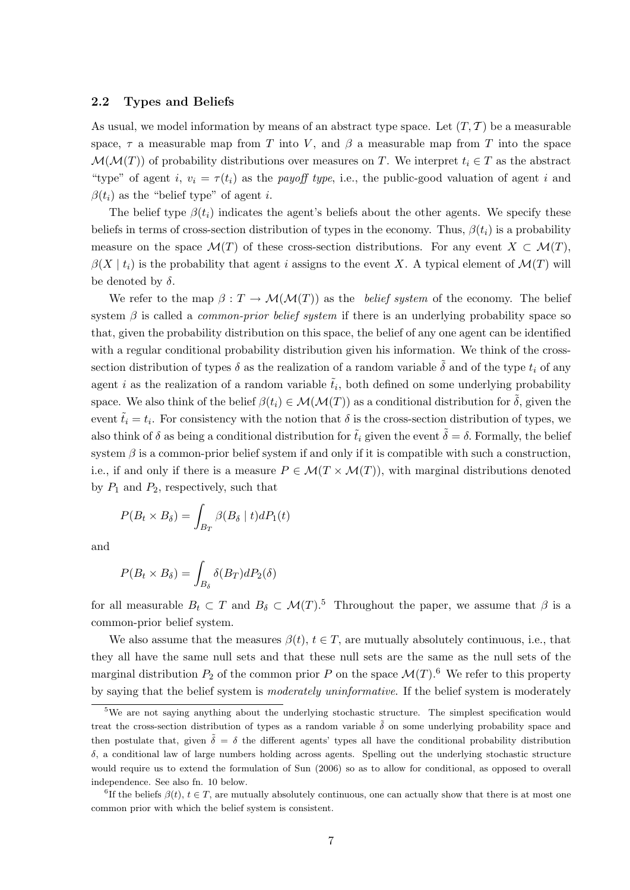#### 2.2 Types and Beliefs

As usual, we model information by means of an abstract type space. Let  $(T, \mathcal{T})$  be a measurable space,  $\tau$  a measurable map from T into V, and  $\beta$  a measurable map from T into the space  $\mathcal{M}(\mathcal{M}(T))$  of probability distributions over measures on T. We interpret  $t_i \in T$  as the abstract "type" of agent i,  $v_i = \tau(t_i)$  as the payoff type, i.e., the public-good valuation of agent i and  $\beta(t_i)$  as the "belief type" of agent *i*.

The belief type  $\beta(t_i)$  indicates the agent's beliefs about the other agents. We specify these beliefs in terms of cross-section distribution of types in the economy. Thus,  $\beta(t_i)$  is a probability measure on the space  $\mathcal{M}(T)$  of these cross-section distributions. For any event  $X \subset \mathcal{M}(T)$ ,  $\beta(X \mid t_i)$  is the probability that agent i assigns to the event X. A typical element of  $\mathcal{M}(T)$  will be denoted by  $\delta$ .

We refer to the map  $\beta: T \to \mathcal{M}(\mathcal{M}(T))$  as the *belief system* of the economy. The belief system  $\beta$  is called a *common-prior belief system* if there is an underlying probability space so that, given the probability distribution on this space, the belief of any one agent can be identified with a regular conditional probability distribution given his information. We think of the crosssection distribution of types  $\delta$  as the realization of a random variable  $\tilde{\delta}$  and of the type  $t_i$  of any agent *i* as the realization of a random variable  $\tilde{t}_i$ , both defined on some underlying probability space. We also think of the belief  $\beta(t_i) \in \mathcal{M}(\mathcal{M}(T))$  as a conditional distribution for  $\tilde{\delta}$ , given the event  $\tilde{t}_i = t_i$ . For consistency with the notion that  $\delta$  is the cross-section distribution of types, we also think of  $\delta$  as being a conditional distribution for  $\tilde{t}_i$  given the event  $\tilde{\delta} = \delta$ . Formally, the belief system  $\beta$  is a common-prior belief system if and only if it is compatible with such a construction, i.e., if and only if there is a measure  $P \in \mathcal{M}(T \times \mathcal{M}(T))$ , with marginal distributions denoted by  $P_1$  and  $P_2$ , respectively, such that

$$
P(B_t \times B_\delta) = \int_{B_T} \beta(B_\delta \mid t) dP_1(t)
$$

and

$$
P(B_t \times B_\delta) = \int_{B_\delta} \delta(B_T) dP_2(\delta)
$$

for all measurable  $B_t \subset T$  and  $B_\delta \subset \mathcal{M}(T)$ .<sup>5</sup> Throughout the paper, we assume that  $\beta$  is a common-prior belief system.

We also assume that the measures  $\beta(t)$ ,  $t \in T$ , are mutually absolutely continuous, i.e., that they all have the same null sets and that these null sets are the same as the null sets of the marginal distribution  $P_2$  of the common prior P on the space  $\mathcal{M}(T)$ .<sup>6</sup> We refer to this property by saying that the belief system is moderately uninformative. If the belief system is moderately

<sup>&</sup>lt;sup>5</sup>We are not saying anything about the underlying stochastic structure. The simplest specification would treat the cross-section distribution of types as a random variable  $\tilde{\delta}$  on some underlying probability space and then postulate that, given  $\tilde{\delta} = \delta$  the different agents' types all have the conditional probability distribution δ, a conditional law of large numbers holding across agents. Spelling out the underlying stochastic structure would require us to extend the formulation of Sun (2006) so as to allow for conditional, as opposed to overall independence. See also fn. 10 below.

<sup>&</sup>lt;sup>6</sup>If the beliefs  $\beta(t)$ ,  $t \in T$ , are mutually absolutely continuous, one can actually show that there is at most one common prior with which the belief system is consistent.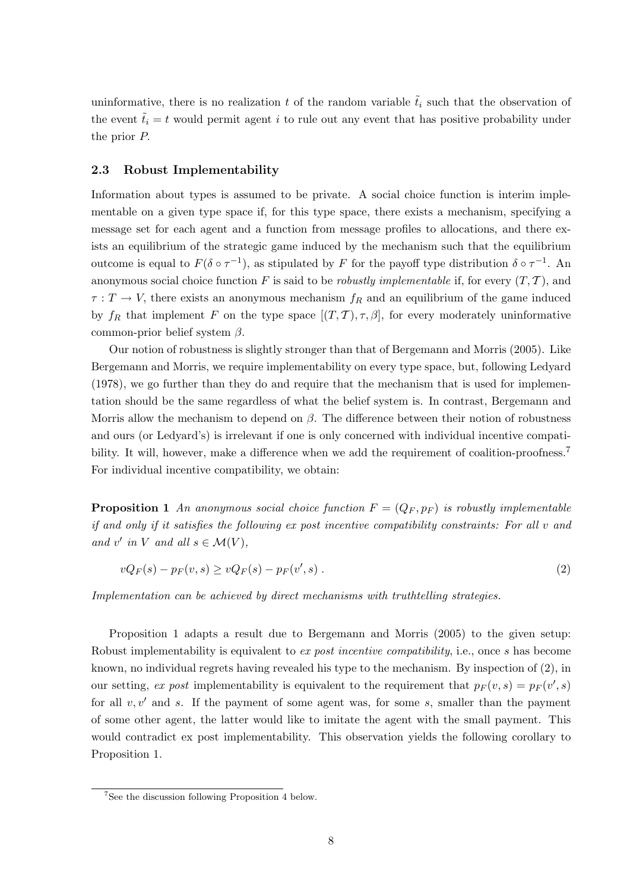uninformative, there is no realization t of the random variable  $\tilde{t}_i$  such that the observation of the event  $\tilde{t}_i = t$  would permit agent i to rule out any event that has positive probability under the prior P.

#### 2.3 Robust Implementability

Information about types is assumed to be private. A social choice function is interim implementable on a given type space if, for this type space, there exists a mechanism, specifying a message set for each agent and a function from message profiles to allocations, and there exists an equilibrium of the strategic game induced by the mechanism such that the equilibrium outcome is equal to  $F(\delta \circ \tau^{-1})$ , as stipulated by F for the payoff type distribution  $\delta \circ \tau^{-1}$ . An anonymous social choice function F is said to be *robustly implementable* if, for every  $(T, T)$ , and  $\tau: T \to V$ , there exists an anonymous mechanism  $f_R$  and an equilibrium of the game induced by  $f_R$  that implement F on the type space  $[(T, \mathcal{T}), \tau, \beta]$ , for every moderately uninformative common-prior belief system  $\beta$ .

Our notion of robustness is slightly stronger than that of Bergemann and Morris (2005). Like Bergemann and Morris, we require implementability on every type space, but, following Ledyard (1978), we go further than they do and require that the mechanism that is used for implementation should be the same regardless of what the belief system is. In contrast, Bergemann and Morris allow the mechanism to depend on  $\beta$ . The difference between their notion of robustness and ours (or Ledyard's) is irrelevant if one is only concerned with individual incentive compatibility. It will, however, make a difference when we add the requirement of coalition-proofness.<sup>7</sup> For individual incentive compatibility, we obtain:

**Proposition 1** An anonymous social choice function  $F = (Q_F, p_F)$  is robustly implementable if and only if it satisfies the following ex post incentive compatibility constraints: For all v and and v' in V and all  $s \in \mathcal{M}(V)$ ,

$$
vQ_F(s) - p_F(v, s) \ge vQ_F(s) - p_F(v', s) \tag{2}
$$

Implementation can be achieved by direct mechanisms with truthtelling strategies.

Proposition 1 adapts a result due to Bergemann and Morris (2005) to the given setup: Robust implementability is equivalent to ex post incentive compatibility, i.e., once s has become known, no individual regrets having revealed his type to the mechanism. By inspection of (2), in our setting, ex post implementability is equivalent to the requirement that  $p_F(v, s) = p_F(v', s)$ for all  $v, v'$  and s. If the payment of some agent was, for some s, smaller than the payment of some other agent, the latter would like to imitate the agent with the small payment. This would contradict ex post implementability. This observation yields the following corollary to Proposition 1.

<sup>7</sup>See the discussion following Proposition 4 below.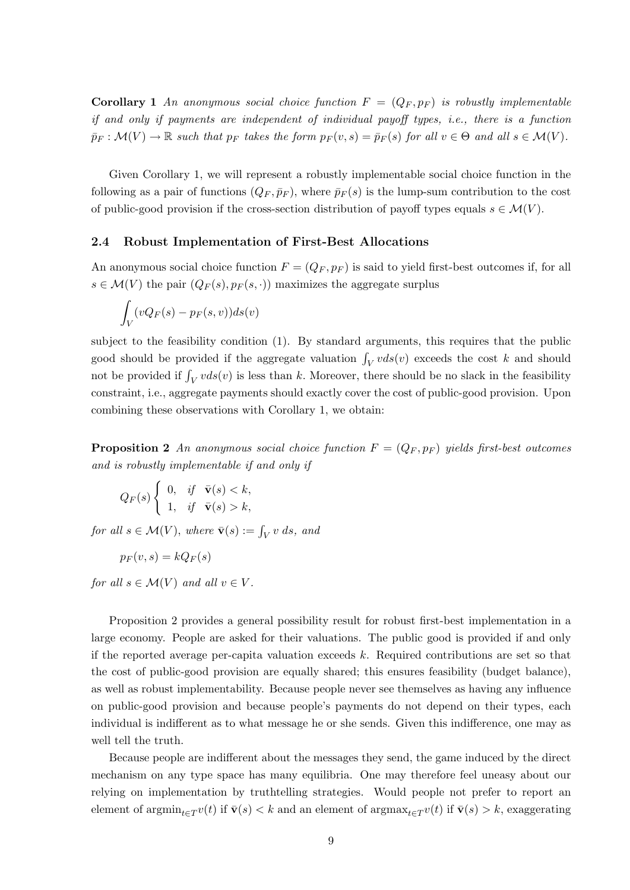**Corollary 1** An anonymous social choice function  $F = (Q_F, p_F)$  is robustly implementable if and only if payments are independent of individual payoff types, i.e., there is a function  $\bar{p}_F : \mathcal{M}(V) \to \mathbb{R}$  such that  $p_F$  takes the form  $p_F(v, s) = \bar{p}_F(s)$  for all  $v \in \Theta$  and all  $s \in \mathcal{M}(V)$ .

Given Corollary 1, we will represent a robustly implementable social choice function in the following as a pair of functions  $(Q_F, \bar{p}_F)$ , where  $\bar{p}_F(s)$  is the lump-sum contribution to the cost of public-good provision if the cross-section distribution of payoff types equals  $s \in \mathcal{M}(V)$ .

#### 2.4 Robust Implementation of First-Best Allocations

An anonymous social choice function  $F = (Q_F, p_F)$  is said to yield first-best outcomes if, for all  $s \in \mathcal{M}(V)$  the pair  $(Q_F(s), p_F(s, \cdot))$  maximizes the aggregate surplus

$$
\int_V (vQ_F(s) - p_F(s,v)) ds(v)
$$

subject to the feasibility condition (1). By standard arguments, this requires that the public good should be provided if the aggregate valuation  $\int_V v ds(v)$  exceeds the cost k and should not be provided if  $\int_V v ds(v)$  is less than k. Moreover, there should be no slack in the feasibility constraint, i.e., aggregate payments should exactly cover the cost of public-good provision. Upon combining these observations with Corollary 1, we obtain:

**Proposition 2** An anonymous social choice function  $F = (Q_F, p_F)$  yields first-best outcomes and is robustly implementable if and only if

$$
Q_F(s) \begin{cases} 0, & \text{if } \bar{\mathbf{v}}(s) < k, \\ 1, & \text{if } \bar{\mathbf{v}}(s) > k, \end{cases}
$$

for all  $s \in \mathcal{M}(V)$ , where  $\bar{\mathbf{v}}(s) := \int_V v \, ds$ , and

$$
p_F(v, s) = kQ_F(s)
$$

for all  $s \in \mathcal{M}(V)$  and all  $v \in V$ .

Proposition 2 provides a general possibility result for robust first-best implementation in a large economy. People are asked for their valuations. The public good is provided if and only if the reported average per-capita valuation exceeds k. Required contributions are set so that the cost of public-good provision are equally shared; this ensures feasibility (budget balance), as well as robust implementability. Because people never see themselves as having any influence on public-good provision and because people's payments do not depend on their types, each individual is indifferent as to what message he or she sends. Given this indifference, one may as well tell the truth.

Because people are indifferent about the messages they send, the game induced by the direct mechanism on any type space has many equilibria. One may therefore feel uneasy about our relying on implementation by truthtelling strategies. Would people not prefer to report an element of  $\operatorname{argmin}_{t\in T} v(t)$  if  $\bar{\mathbf{v}}(s) < k$  and an element of  $\operatorname{argmax}_{t\in T} v(t)$  if  $\bar{\mathbf{v}}(s) > k$ , exaggerating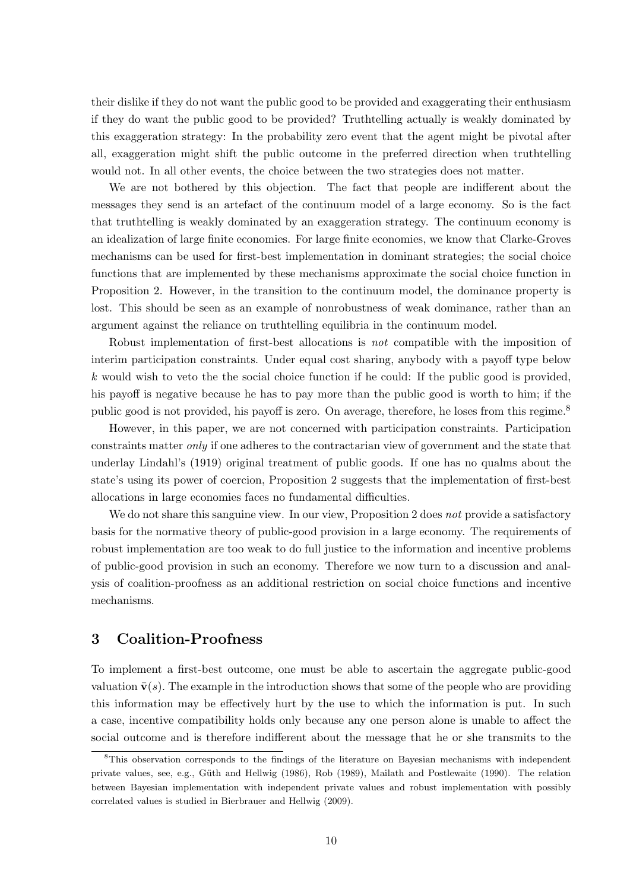their dislike if they do not want the public good to be provided and exaggerating their enthusiasm if they do want the public good to be provided? Truthtelling actually is weakly dominated by this exaggeration strategy: In the probability zero event that the agent might be pivotal after all, exaggeration might shift the public outcome in the preferred direction when truthtelling would not. In all other events, the choice between the two strategies does not matter.

We are not bothered by this objection. The fact that people are indifferent about the messages they send is an artefact of the continuum model of a large economy. So is the fact that truthtelling is weakly dominated by an exaggeration strategy. The continuum economy is an idealization of large finite economies. For large finite economies, we know that Clarke-Groves mechanisms can be used for first-best implementation in dominant strategies; the social choice functions that are implemented by these mechanisms approximate the social choice function in Proposition 2. However, in the transition to the continuum model, the dominance property is lost. This should be seen as an example of nonrobustness of weak dominance, rather than an argument against the reliance on truthtelling equilibria in the continuum model.

Robust implementation of first-best allocations is not compatible with the imposition of interim participation constraints. Under equal cost sharing, anybody with a payoff type below  $k$  would wish to veto the the social choice function if he could: If the public good is provided, his payoff is negative because he has to pay more than the public good is worth to him; if the public good is not provided, his payoff is zero. On average, therefore, he loses from this regime.<sup>8</sup>

However, in this paper, we are not concerned with participation constraints. Participation constraints matter only if one adheres to the contractarian view of government and the state that underlay Lindahl's (1919) original treatment of public goods. If one has no qualms about the state's using its power of coercion, Proposition 2 suggests that the implementation of first-best allocations in large economies faces no fundamental difficulties.

We do not share this sanguine view. In our view, Proposition 2 does not provide a satisfactory basis for the normative theory of public-good provision in a large economy. The requirements of robust implementation are too weak to do full justice to the information and incentive problems of public-good provision in such an economy. Therefore we now turn to a discussion and analysis of coalition-proofness as an additional restriction on social choice functions and incentive mechanisms.

## 3 Coalition-Proofness

To implement a first-best outcome, one must be able to ascertain the aggregate public-good valuation  $\bar{\mathbf{v}}(s)$ . The example in the introduction shows that some of the people who are providing this information may be effectively hurt by the use to which the information is put. In such a case, incentive compatibility holds only because any one person alone is unable to affect the social outcome and is therefore indifferent about the message that he or she transmits to the

<sup>8</sup>This observation corresponds to the findings of the literature on Bayesian mechanisms with independent private values, see, e.g., Güth and Hellwig (1986), Rob (1989), Mailath and Postlewaite (1990). The relation between Bayesian implementation with independent private values and robust implementation with possibly correlated values is studied in Bierbrauer and Hellwig (2009).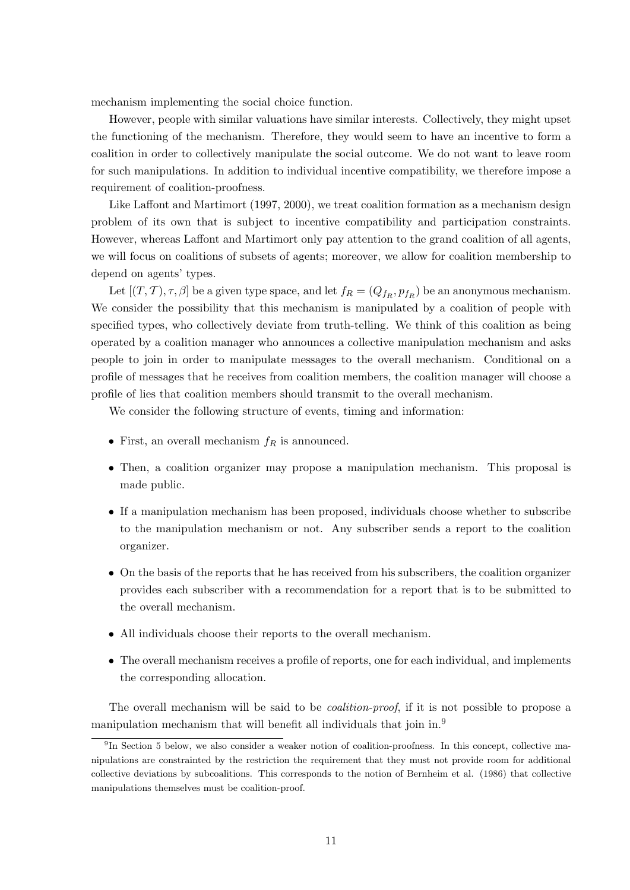mechanism implementing the social choice function.

However, people with similar valuations have similar interests. Collectively, they might upset the functioning of the mechanism. Therefore, they would seem to have an incentive to form a coalition in order to collectively manipulate the social outcome. We do not want to leave room for such manipulations. In addition to individual incentive compatibility, we therefore impose a requirement of coalition-proofness.

Like Laffont and Martimort (1997, 2000), we treat coalition formation as a mechanism design problem of its own that is subject to incentive compatibility and participation constraints. However, whereas Laffont and Martimort only pay attention to the grand coalition of all agents, we will focus on coalitions of subsets of agents; moreover, we allow for coalition membership to depend on agents' types.

Let  $[(T, T), \tau, \beta]$  be a given type space, and let  $f_R = (Q_{f_R}, p_{f_R})$  be an anonymous mechanism. We consider the possibility that this mechanism is manipulated by a coalition of people with specified types, who collectively deviate from truth-telling. We think of this coalition as being operated by a coalition manager who announces a collective manipulation mechanism and asks people to join in order to manipulate messages to the overall mechanism. Conditional on a profile of messages that he receives from coalition members, the coalition manager will choose a profile of lies that coalition members should transmit to the overall mechanism.

We consider the following structure of events, timing and information:

- First, an overall mechanism  $f_R$  is announced.
- Then, a coalition organizer may propose a manipulation mechanism. This proposal is made public.
- If a manipulation mechanism has been proposed, individuals choose whether to subscribe to the manipulation mechanism or not. Any subscriber sends a report to the coalition organizer.
- On the basis of the reports that he has received from his subscribers, the coalition organizer provides each subscriber with a recommendation for a report that is to be submitted to the overall mechanism.
- All individuals choose their reports to the overall mechanism.
- The overall mechanism receives a profile of reports, one for each individual, and implements the corresponding allocation.

The overall mechanism will be said to be *coalition-proof*, if it is not possible to propose a manipulation mechanism that will benefit all individuals that join in.<sup>9</sup>

<sup>&</sup>lt;sup>9</sup>In Section 5 below, we also consider a weaker notion of coalition-proofness. In this concept, collective manipulations are constrainted by the restriction the requirement that they must not provide room for additional collective deviations by subcoalitions. This corresponds to the notion of Bernheim et al. (1986) that collective manipulations themselves must be coalition-proof.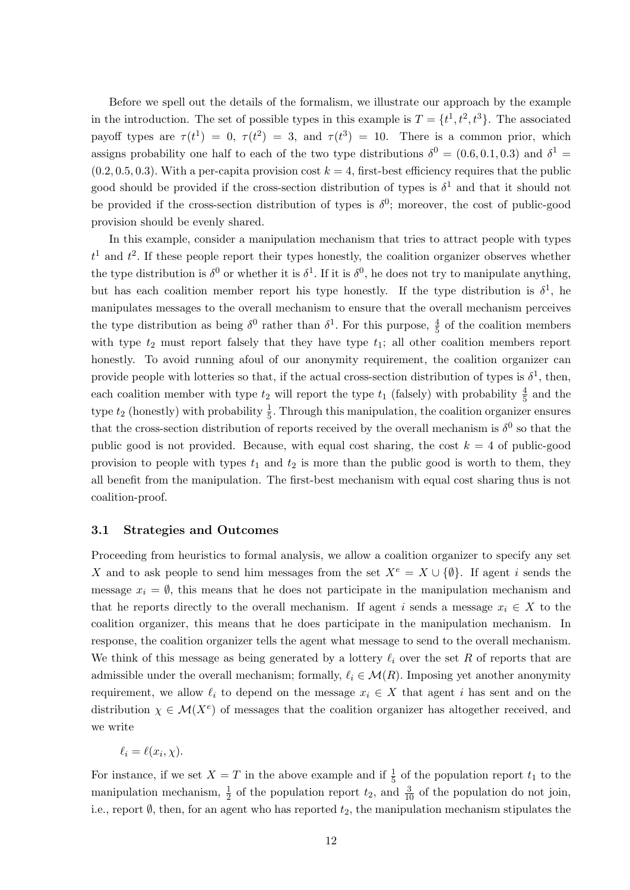Before we spell out the details of the formalism, we illustrate our approach by the example in the introduction. The set of possible types in this example is  $T = \{t^1, t^2, t^3\}$ . The associated payoff types are  $\tau(t^1) = 0, \tau(t^2) = 3$ , and  $\tau(t^3) = 10$ . There is a common prior, which assigns probability one half to each of the two type distributions  $\delta^0 = (0.6, 0.1, 0.3)$  and  $\delta^1 =$  $(0.2, 0.5, 0.3)$ . With a per-capita provision cost  $k = 4$ , first-best efficiency requires that the public good should be provided if the cross-section distribution of types is  $\delta^1$  and that it should not be provided if the cross-section distribution of types is  $\delta^0$ ; moreover, the cost of public-good provision should be evenly shared.

In this example, consider a manipulation mechanism that tries to attract people with types  $t<sup>1</sup>$  and  $t<sup>2</sup>$ . If these people report their types honestly, the coalition organizer observes whether the type distribution is  $\delta^0$  or whether it is  $\delta^1$ . If it is  $\delta^0$ , he does not try to manipulate anything, but has each coalition member report his type honestly. If the type distribution is  $\delta^1$ , he manipulates messages to the overall mechanism to ensure that the overall mechanism perceives the type distribution as being  $\delta^0$  rather than  $\delta^1$ . For this purpose,  $\frac{4}{5}$  of the coalition members with type  $t_2$  must report falsely that they have type  $t_1$ ; all other coalition members report honestly. To avoid running afoul of our anonymity requirement, the coalition organizer can provide people with lotteries so that, if the actual cross-section distribution of types is  $\delta^1$ , then, each coalition member with type  $t_2$  will report the type  $t_1$  (falsely) with probability  $\frac{4}{5}$  and the type  $t_2$  (honestly) with probability  $\frac{1}{5}$ . Through this manipulation, the coalition organizer ensures that the cross-section distribution of reports received by the overall mechanism is  $\delta^0$  so that the public good is not provided. Because, with equal cost sharing, the cost  $k = 4$  of public-good provision to people with types  $t_1$  and  $t_2$  is more than the public good is worth to them, they all benefit from the manipulation. The first-best mechanism with equal cost sharing thus is not coalition-proof.

#### 3.1 Strategies and Outcomes

Proceeding from heuristics to formal analysis, we allow a coalition organizer to specify any set X and to ask people to send him messages from the set  $X^e = X \cup {\emptyset}$ . If agent i sends the message  $x_i = \emptyset$ , this means that he does not participate in the manipulation mechanism and that he reports directly to the overall mechanism. If agent i sends a message  $x_i \in X$  to the coalition organizer, this means that he does participate in the manipulation mechanism. In response, the coalition organizer tells the agent what message to send to the overall mechanism. We think of this message as being generated by a lottery  $\ell_i$  over the set R of reports that are admissible under the overall mechanism; formally,  $\ell_i \in \mathcal{M}(R)$ . Imposing yet another anonymity requirement, we allow  $\ell_i$  to depend on the message  $x_i \in X$  that agent i has sent and on the distribution  $\chi \in \mathcal{M}(X^e)$  of messages that the coalition organizer has altogether received, and we write

$$
\ell_i = \ell(x_i, \chi).
$$

For instance, if we set  $X = T$  in the above example and if  $\frac{1}{5}$  of the population report  $t_1$  to the manipulation mechanism,  $\frac{1}{2}$  of the population report  $t_2$ , and  $\frac{3}{10}$  of the population do not join, i.e., report  $\emptyset$ , then, for an agent who has reported  $t_2$ , the manipulation mechanism stipulates the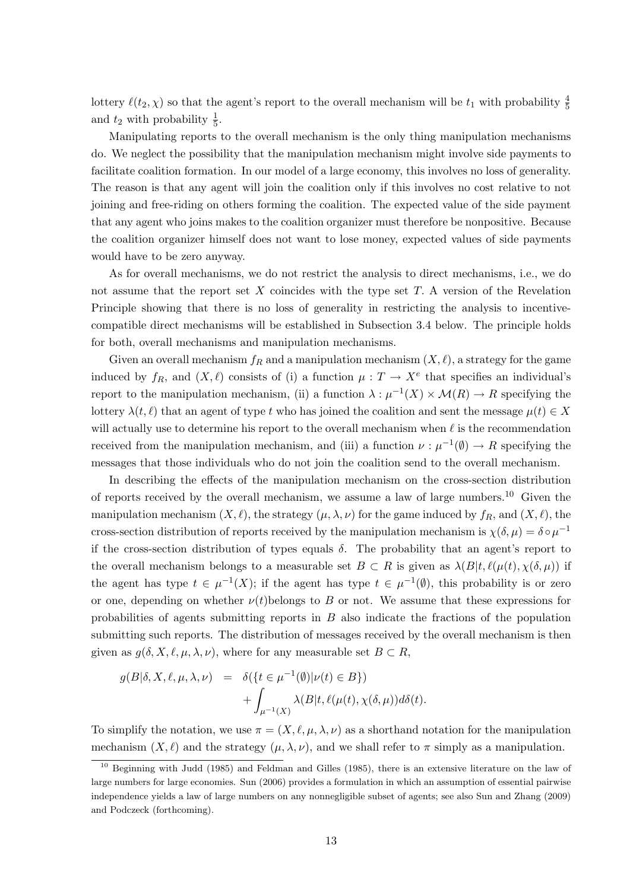lottery  $\ell(t_2, \chi)$  so that the agent's report to the overall mechanism will be  $t_1$  with probability  $\frac{4}{5}$ and  $t_2$  with probability  $\frac{1}{5}$ .

Manipulating reports to the overall mechanism is the only thing manipulation mechanisms do. We neglect the possibility that the manipulation mechanism might involve side payments to facilitate coalition formation. In our model of a large economy, this involves no loss of generality. The reason is that any agent will join the coalition only if this involves no cost relative to not joining and free-riding on others forming the coalition. The expected value of the side payment that any agent who joins makes to the coalition organizer must therefore be nonpositive. Because the coalition organizer himself does not want to lose money, expected values of side payments would have to be zero anyway.

As for overall mechanisms, we do not restrict the analysis to direct mechanisms, i.e., we do not assume that the report set X coincides with the type set  $T$ . A version of the Revelation Principle showing that there is no loss of generality in restricting the analysis to incentivecompatible direct mechanisms will be established in Subsection 3.4 below. The principle holds for both, overall mechanisms and manipulation mechanisms.

Given an overall mechanism  $f_R$  and a manipulation mechanism  $(X, \ell)$ , a strategy for the game induced by  $f_R$ , and  $(X, \ell)$  consists of (i) a function  $\mu : T \to X^e$  that specifies an individual's report to the manipulation mechanism, (ii) a function  $\lambda : \mu^{-1}(X) \times \mathcal{M}(R) \to R$  specifying the lottery  $\lambda(t, \ell)$  that an agent of type t who has joined the coalition and sent the message  $\mu(t) \in X$ will actually use to determine his report to the overall mechanism when  $\ell$  is the recommendation received from the manipulation mechanism, and (iii) a function  $\nu : \mu^{-1}(\emptyset) \to R$  specifying the messages that those individuals who do not join the coalition send to the overall mechanism.

In describing the effects of the manipulation mechanism on the cross-section distribution of reports received by the overall mechanism, we assume a law of large numbers.<sup>10</sup> Given the manipulation mechanism  $(X, \ell)$ , the strategy  $(\mu, \lambda, \nu)$  for the game induced by  $f_R$ , and  $(X, \ell)$ , the cross-section distribution of reports received by the manipulation mechanism is  $\chi(\delta,\mu) = \delta \circ \mu^{-1}$ if the cross-section distribution of types equals  $\delta$ . The probability that an agent's report to the overall mechanism belongs to a measurable set  $B \subset R$  is given as  $\lambda(B|t, \ell(\mu(t), \chi(\delta, \mu))$  if the agent has type  $t \in \mu^{-1}(X)$ ; if the agent has type  $t \in \mu^{-1}(\emptyset)$ , this probability is or zero or one, depending on whether  $\nu(t)$ belongs to B or not. We assume that these expressions for probabilities of agents submitting reports in  $B$  also indicate the fractions of the population submitting such reports. The distribution of messages received by the overall mechanism is then given as  $g(\delta, X, \ell, \mu, \lambda, \nu)$ , where for any measurable set  $B \subset R$ ,

$$
g(B|\delta, X, \ell, \mu, \lambda, \nu) = \delta(\lbrace t \in \mu^{-1}(\emptyset) | \nu(t) \in B \rbrace) + \int_{\mu^{-1}(X)} \lambda(B|t, \ell(\mu(t), \chi(\delta, \mu))d\delta(t).
$$

To simplify the notation, we use  $\pi = (X, \ell, \mu, \lambda, \nu)$  as a shorthand notation for the manipulation mechanism  $(X, \ell)$  and the strategy  $(\mu, \lambda, \nu)$ , and we shall refer to  $\pi$  simply as a manipulation.

<sup>10</sup> Beginning with Judd (1985) and Feldman and Gilles (1985), there is an extensive literature on the law of large numbers for large economies. Sun (2006) provides a formulation in which an assumption of essential pairwise independence yields a law of large numbers on any nonnegligible subset of agents; see also Sun and Zhang (2009) and Podczeck (forthcoming).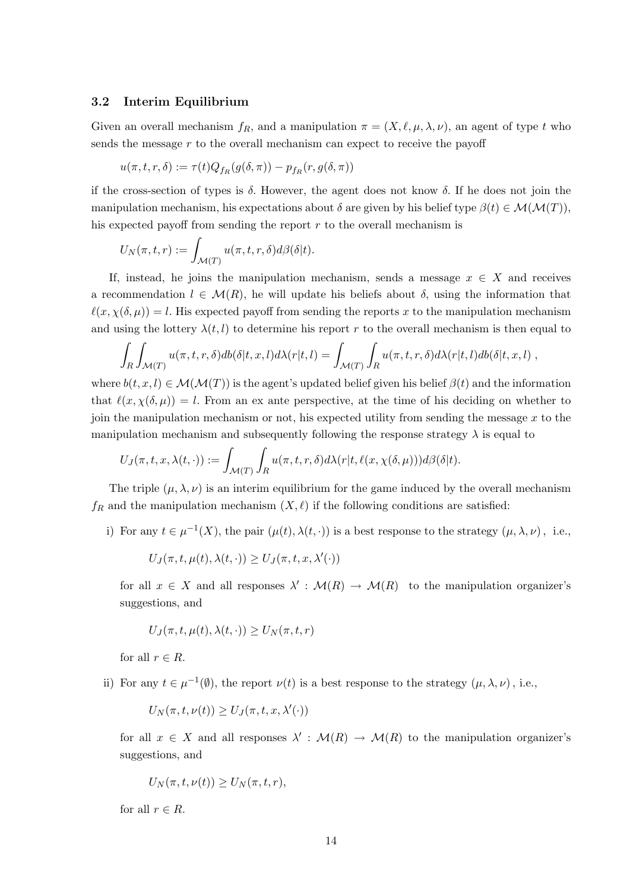#### 3.2 Interim Equilibrium

Given an overall mechanism  $f_R$ , and a manipulation  $\pi = (X, \ell, \mu, \lambda, \nu)$ , an agent of type t who sends the message  $r$  to the overall mechanism can expect to receive the payoff

$$
u(\pi, t, r, \delta) := \tau(t) Q_{f_R}(g(\delta, \pi)) - p_{f_R}(r, g(\delta, \pi))
$$

if the cross-section of types is  $\delta$ . However, the agent does not know  $\delta$ . If he does not join the manipulation mechanism, his expectations about  $\delta$  are given by his belief type  $\beta(t) \in \mathcal{M}(\mathcal{M}(T))$ , his expected payoff from sending the report  $r$  to the overall mechanism is

$$
U_N(\pi,t,r):=\int_{\mathcal{M}(T)}u(\pi,t,r,\delta)d\beta(\delta|t).
$$

If, instead, he joins the manipulation mechanism, sends a message  $x \in X$  and receives a recommendation  $l \in \mathcal{M}(R)$ , he will update his beliefs about  $\delta$ , using the information that  $\ell(x, \chi(\delta, \mu)) = l$ . His expected payoff from sending the reports x to the manipulation mechanism and using the lottery  $\lambda(t, l)$  to determine his report r to the overall mechanism is then equal to

$$
\int_R \int_{\mathcal{M}(T)} u(\pi, t, r, \delta) db(\delta | t, x, l) d\lambda(r | t, l) = \int_{\mathcal{M}(T)} \int_R u(\pi, t, r, \delta) d\lambda(r | t, l) db(\delta | t, x, l) ,
$$

where  $b(t, x, l) \in \mathcal{M}(\mathcal{M}(T))$  is the agent's updated belief given his belief  $\beta(t)$  and the information that  $\ell(x, \chi(\delta, \mu)) = l$ . From an ex ante perspective, at the time of his deciding on whether to join the manipulation mechanism or not, his expected utility from sending the message  $x$  to the manipulation mechanism and subsequently following the response strategy  $\lambda$  is equal to

$$
U_J(\pi, t, x, \lambda(t, \cdot)) := \int_{\mathcal{M}(T)} \int_R u(\pi, t, r, \delta) d\lambda(r|t, \ell(x, \chi(\delta, \mu))) d\beta(\delta|t).
$$

The triple  $(\mu, \lambda, \nu)$  is an interim equilibrium for the game induced by the overall mechanism  $f_R$  and the manipulation mechanism  $(X, \ell)$  if the following conditions are satisfied:

i) For any  $t \in \mu^{-1}(X)$ , the pair  $(\mu(t), \lambda(t, \cdot))$  is a best response to the strategy  $(\mu, \lambda, \nu)$ , i.e.,

$$
U_J(\pi, t, \mu(t), \lambda(t, \cdot)) \ge U_J(\pi, t, x, \lambda'(\cdot))
$$

for all  $x \in X$  and all responses  $\lambda' : \mathcal{M}(R) \to \mathcal{M}(R)$  to the manipulation organizer's suggestions, and

$$
U_J(\pi, t, \mu(t), \lambda(t, \cdot)) \ge U_N(\pi, t, r)
$$

for all  $r \in R$ .

ii) For any  $t \in \mu^{-1}(\emptyset)$ , the report  $\nu(t)$  is a best response to the strategy  $(\mu, \lambda, \nu)$ , i.e.,

$$
U_N(\pi, t, \nu(t)) \ge U_J(\pi, t, x, \lambda'(\cdot))
$$

for all  $x \in X$  and all responses  $\lambda' : \mathcal{M}(R) \to \mathcal{M}(R)$  to the manipulation organizer's suggestions, and

$$
U_N(\pi, t, \nu(t)) \ge U_N(\pi, t, r),
$$

for all  $r \in R$ .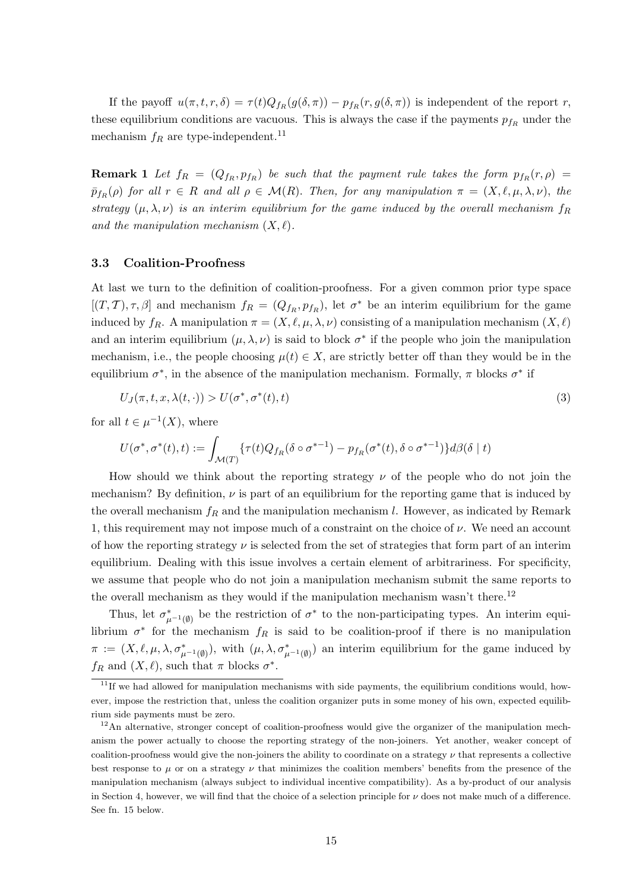If the payoff  $u(\pi, t, r, \delta) = \tau(t) Q_{f_R}(g(\delta, \pi)) - p_{f_R}(r, g(\delta, \pi))$  is independent of the report r, these equilibrium conditions are vacuous. This is always the case if the payments  $p_{fR}$  under the mechanism  $f_R$  are type-independent.<sup>11</sup>

**Remark 1** Let  $f_R = (Q_{f_R}, p_{f_R})$  be such that the payment rule takes the form  $p_{f_R}(r, \rho)$  =  $\bar{p}_{f_R}(\rho)$  for all  $r \in R$  and all  $\rho \in \mathcal{M}(R)$ . Then, for any manipulation  $\pi = (X, \ell, \mu, \lambda, \nu)$ , the strategy  $(\mu, \lambda, \nu)$  is an interim equilibrium for the game induced by the overall mechanism  $f_R$ and the manipulation mechanism  $(X, \ell)$ .

#### 3.3 Coalition-Proofness

At last we turn to the definition of coalition-proofness. For a given common prior type space  $[(T, T), \tau, \beta]$  and mechanism  $f_R = (Q_{f_R}, p_{f_R})$ , let  $\sigma^*$  be an interim equilibrium for the game induced by  $f_R$ . A manipulation  $\pi = (X, \ell, \mu, \lambda, \nu)$  consisting of a manipulation mechanism  $(X, \ell)$ and an interim equilibrium  $(\mu, \lambda, \nu)$  is said to block  $\sigma^*$  if the people who join the manipulation mechanism, i.e., the people choosing  $\mu(t) \in X$ , are strictly better off than they would be in the equilibrium  $\sigma^*$ , in the absence of the manipulation mechanism. Formally,  $\pi$  blocks  $\sigma^*$  if

$$
U_J(\pi, t, x, \lambda(t, \cdot)) > U(\sigma^*, \sigma^*(t), t)
$$
\n
$$
(3)
$$

for all  $t \in \mu^{-1}(X)$ , where

$$
U(\sigma^*,\sigma^*(t),t):=\int_{\mathcal{M}(T)}\{\tau(t)Q_{f_R}(\delta\circ\sigma^{*-1})-p_{f_R}(\sigma^*(t),\delta\circ\sigma^{*-1})\}d\beta(\delta\mid t)
$$

How should we think about the reporting strategy  $\nu$  of the people who do not join the mechanism? By definition,  $\nu$  is part of an equilibrium for the reporting game that is induced by the overall mechanism  $f_R$  and the manipulation mechanism l. However, as indicated by Remark 1, this requirement may not impose much of a constraint on the choice of  $\nu$ . We need an account of how the reporting strategy  $\nu$  is selected from the set of strategies that form part of an interim equilibrium. Dealing with this issue involves a certain element of arbitrariness. For specificity, we assume that people who do not join a manipulation mechanism submit the same reports to the overall mechanism as they would if the manipulation mechanism wasn't there.<sup>12</sup>

Thus, let  $\sigma_{\mu^{-1}(\emptyset)}^*$  be the restriction of  $\sigma^*$  to the non-participating types. An interim equilibrium  $\sigma^*$  for the mechanism  $f_R$  is said to be coalition-proof if there is no manipulation  $\pi := (X, \ell, \mu, \lambda, \sigma^*_{\mu^{-1}(\emptyset)})$ , with  $(\mu, \lambda, \sigma^*_{\mu^{-1}(\emptyset)})$  an interim equilibrium for the game induced by  $f_R$  and  $(X, \ell)$ , such that  $\pi$  blocks  $\sigma^*$ .

 $11$ If we had allowed for manipulation mechanisms with side payments, the equilibrium conditions would, however, impose the restriction that, unless the coalition organizer puts in some money of his own, expected equilibrium side payments must be zero.

 $12$ An alternative, stronger concept of coalition-proofness would give the organizer of the manipulation mechanism the power actually to choose the reporting strategy of the non-joiners. Yet another, weaker concept of coalition-proofness would give the non-joiners the ability to coordinate on a strategy  $\nu$  that represents a collective best response to  $\mu$  or on a strategy  $\nu$  that minimizes the coalition members' benefits from the presence of the manipulation mechanism (always subject to individual incentive compatibility). As a by-product of our analysis in Section 4, however, we will find that the choice of a selection principle for  $\nu$  does not make much of a difference. See fn. 15 below.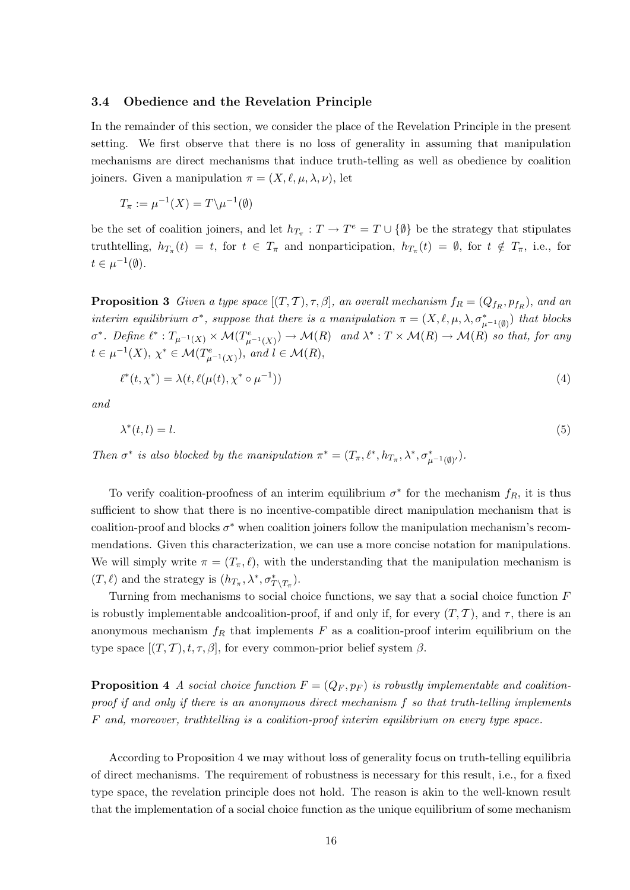#### 3.4 Obedience and the Revelation Principle

In the remainder of this section, we consider the place of the Revelation Principle in the present setting. We first observe that there is no loss of generality in assuming that manipulation mechanisms are direct mechanisms that induce truth-telling as well as obedience by coalition joiners. Given a manipulation  $\pi = (X, \ell, \mu, \lambda, \nu)$ , let

$$
T_{\pi} := \mu^{-1}(X) = T \backslash \mu^{-1}(\emptyset)
$$

be the set of coalition joiners, and let  $h_{T_{\pi}}: T \to T^e = T \cup \{\emptyset\}$  be the strategy that stipulates truth telling,  $h_{T_{\pi}}(t) = t$ , for  $t \in T_{\pi}$  and nonparticipation,  $h_{T_{\pi}}(t) = \emptyset$ , for  $t \notin T_{\pi}$ , i.e., for  $t\in\mu^{-1}(\emptyset).$ 

**Proposition 3** Given a type space  $[(T, \mathcal{T}), \tau, \beta]$ , an overall mechanism  $f_R = (Q_{f_R}, p_{f_R})$ , and an interim equilibrium  $\sigma^*$ , suppose that there is a manipulation  $\pi = (X, \ell, \mu, \lambda, \sigma^*_{\mu^{-1}(\emptyset)})$  that blocks  $\sigma^*$ . Define  $\ell^*: T_{\mu^{-1}(X)} \times \mathcal{M}(T_{\mu^{-1}(X)}^e) \to \mathcal{M}(R)$  and  $\lambda^*: T \times \mathcal{M}(R) \to \mathcal{M}(R)$  so that, for any  $t \in \mu^{-1}(X), \ \chi^* \in \mathcal{M}(T^e_{\mu^{-1}(X)}), \ and \ l \in \mathcal{M}(R),$ 

$$
\ell^*(t, \chi^*) = \lambda(t, \ell(\mu(t), \chi^* \circ \mu^{-1}))
$$
\n<sup>(4)</sup>

and

$$
\lambda^*(t,l) = l. \tag{5}
$$

Then  $\sigma^*$  is also blocked by the manipulation  $\pi^* = (T_\pi, \ell^*, h_{T_\pi}, \lambda^*, \sigma^*_{\mu^{-1}(\emptyset)'})$ .

To verify coalition-proofness of an interim equilibrium  $\sigma^*$  for the mechanism  $f_R$ , it is thus sufficient to show that there is no incentive-compatible direct manipulation mechanism that is coalition-proof and blocks  $\sigma^*$  when coalition joiners follow the manipulation mechanism's recommendations. Given this characterization, we can use a more concise notation for manipulations. We will simply write  $\pi = (T_{\pi}, \ell)$ , with the understanding that the manipulation mechanism is  $(T, \ell)$  and the strategy is  $(h_{T_{\pi}}, \lambda^*, \sigma^*_{T \setminus T_{\pi}})$ .

Turning from mechanisms to social choice functions, we say that a social choice function F is robustly implementable and coalition-proof, if and only if, for every  $(T, \mathcal{T})$ , and  $\tau$ , there is an anonymous mechanism  $f_R$  that implements F as a coalition-proof interim equilibrium on the type space  $[(T, T), t, \tau, \beta]$ , for every common-prior belief system  $\beta$ .

**Proposition 4** A social choice function  $F = (Q_F, p_F)$  is robustly implementable and coalitionproof if and only if there is an anonymous direct mechanism f so that truth-telling implements F and, moreover, truthtelling is a coalition-proof interim equilibrium on every type space.

According to Proposition 4 we may without loss of generality focus on truth-telling equilibria of direct mechanisms. The requirement of robustness is necessary for this result, i.e., for a fixed type space, the revelation principle does not hold. The reason is akin to the well-known result that the implementation of a social choice function as the unique equilibrium of some mechanism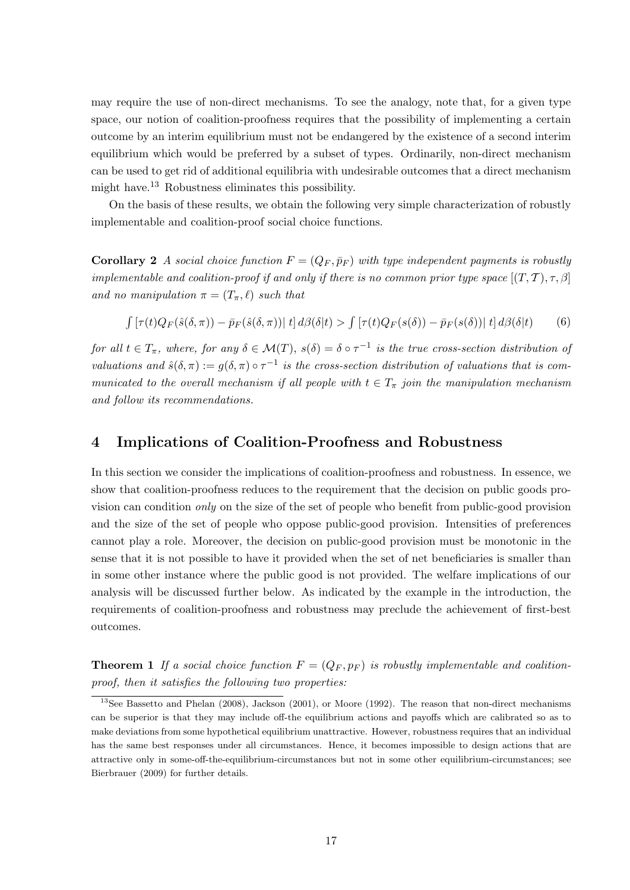may require the use of non-direct mechanisms. To see the analogy, note that, for a given type space, our notion of coalition-proofness requires that the possibility of implementing a certain outcome by an interim equilibrium must not be endangered by the existence of a second interim equilibrium which would be preferred by a subset of types. Ordinarily, non-direct mechanism can be used to get rid of additional equilibria with undesirable outcomes that a direct mechanism might have.<sup>13</sup> Robustness eliminates this possibility.

On the basis of these results, we obtain the following very simple characterization of robustly implementable and coalition-proof social choice functions.

**Corollary 2** A social choice function  $F = (Q_F, \bar{p}_F)$  with type independent payments is robustly implementable and coalition-proof if and only if there is no common prior type space  $[(T, \mathcal{T}), \tau, \beta]$ and no manipulation  $\pi = (T_{\pi}, \ell)$  such that

$$
\int \left[ \tau(t) Q_F(\hat{s}(\delta, \pi)) - \bar{p}_F(\hat{s}(\delta, \pi)) \right] t \, d\beta(\delta | t) > \int \left[ \tau(t) Q_F(s(\delta)) - \bar{p}_F(s(\delta)) \right] t \, d\beta(\delta | t) \tag{6}
$$

for all  $t \in T_{\pi}$ , where, for any  $\delta \in \mathcal{M}(T)$ ,  $s(\delta) = \delta \circ \tau^{-1}$  is the true cross-section distribution of valuations and  $\hat{s}(\delta, \pi) := g(\delta, \pi) \circ \tau^{-1}$  is the cross-section distribution of valuations that is communicated to the overall mechanism if all people with  $t \in T_{\pi}$  join the manipulation mechanism and follow its recommendations.

## 4 Implications of Coalition-Proofness and Robustness

In this section we consider the implications of coalition-proofness and robustness. In essence, we show that coalition-proofness reduces to the requirement that the decision on public goods provision can condition only on the size of the set of people who benefit from public-good provision and the size of the set of people who oppose public-good provision. Intensities of preferences cannot play a role. Moreover, the decision on public-good provision must be monotonic in the sense that it is not possible to have it provided when the set of net beneficiaries is smaller than in some other instance where the public good is not provided. The welfare implications of our analysis will be discussed further below. As indicated by the example in the introduction, the requirements of coalition-proofness and robustness may preclude the achievement of first-best outcomes.

**Theorem 1** If a social choice function  $F = (Q_F, p_F)$  is robustly implementable and coalitionproof, then it satisfies the following two properties:

<sup>&</sup>lt;sup>13</sup>See Bassetto and Phelan (2008), Jackson (2001), or Moore (1992). The reason that non-direct mechanisms can be superior is that they may include off-the equilibrium actions and payoffs which are calibrated so as to make deviations from some hypothetical equilibrium unattractive. However, robustness requires that an individual has the same best responses under all circumstances. Hence, it becomes impossible to design actions that are attractive only in some-off-the-equilibrium-circumstances but not in some other equilibrium-circumstances; see Bierbrauer (2009) for further details.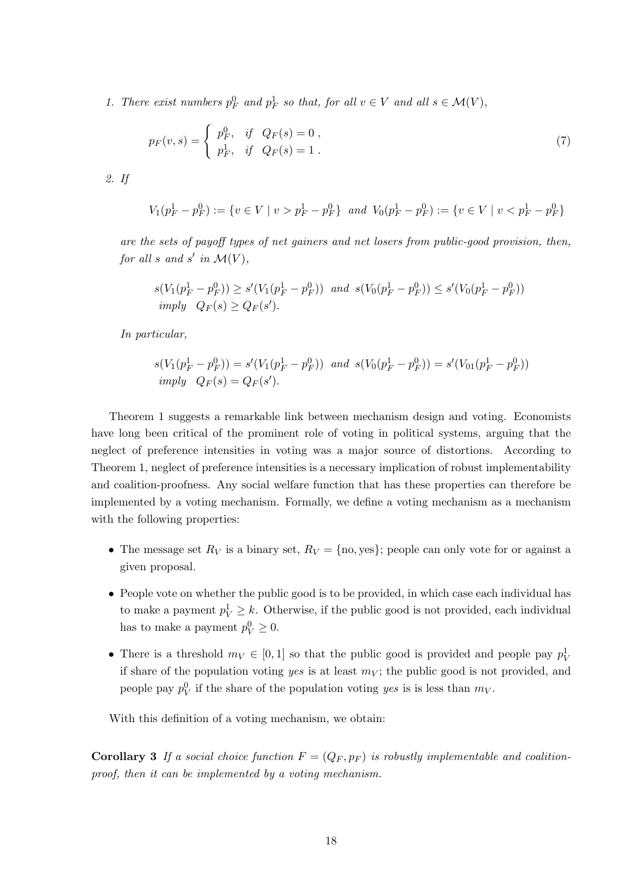1. There exist numbers  $p_F^0$  and  $p_F^1$  so that, for all  $v \in V$  and all  $s \in \mathcal{M}(V)$ ,

$$
p_F(v,s) = \begin{cases} p_F^0, & \text{if } Q_F(s) = 0, \\ p_F^1, & \text{if } Q_F(s) = 1. \end{cases}
$$
 (7)

2. If

$$
V_1(p_F^1 - p_F^0) := \{ v \in V \mid v > p_F^1 - p_F^0 \} \text{ and } V_0(p_F^1 - p_F^0) := \{ v \in V \mid v < p_F^1 - p_F^0 \}
$$

are the sets of payoff types of net gainers and net losers from public-good provision, then, for all s and s' in  $\mathcal{M}(V)$ ,

$$
s(V_1(p_F^1 - p_F^0)) \ge s'(V_1(p_F^1 - p_F^0)) \text{ and } s(V_0(p_F^1 - p_F^0)) \le s'(V_0(p_F^1 - p_F^0))
$$
  
imply  $Q_F(s) \ge Q_F(s')$ .

In particular,

$$
s(V_1(p_F^1 - p_F^0)) = s'(V_1(p_F^1 - p_F^0)) \text{ and } s(V_0(p_F^1 - p_F^0)) = s'(V_{01}(p_F^1 - p_F^0))
$$
  
imply  $Q_F(s) = Q_F(s')$ .

Theorem 1 suggests a remarkable link between mechanism design and voting. Economists have long been critical of the prominent role of voting in political systems, arguing that the neglect of preference intensities in voting was a major source of distortions. According to Theorem 1, neglect of preference intensities is a necessary implication of robust implementability and coalition-proofness. Any social welfare function that has these properties can therefore be implemented by a voting mechanism. Formally, we define a voting mechanism as a mechanism with the following properties:

- The message set  $R_V$  is a binary set,  $R_V = \{no, yes\}$ ; people can only vote for or against a given proposal.
- People vote on whether the public good is to be provided, in which case each individual has to make a payment  $p_V^1 \geq k$ . Otherwise, if the public good is not provided, each individual has to make a payment  $p_V^0 \geq 0$ .
- There is a threshold  $m_V \in [0, 1]$  so that the public good is provided and people pay  $p_V^1$ if share of the population voting yes is at least  $m_V$ ; the public good is not provided, and people pay  $p_V^0$  if the share of the population voting yes is is less than  $m_V$ .

With this definition of a voting mechanism, we obtain:

**Corollary 3** If a social choice function  $F = (Q_F, p_F)$  is robustly implementable and coalitionproof, then it can be implemented by a voting mechanism.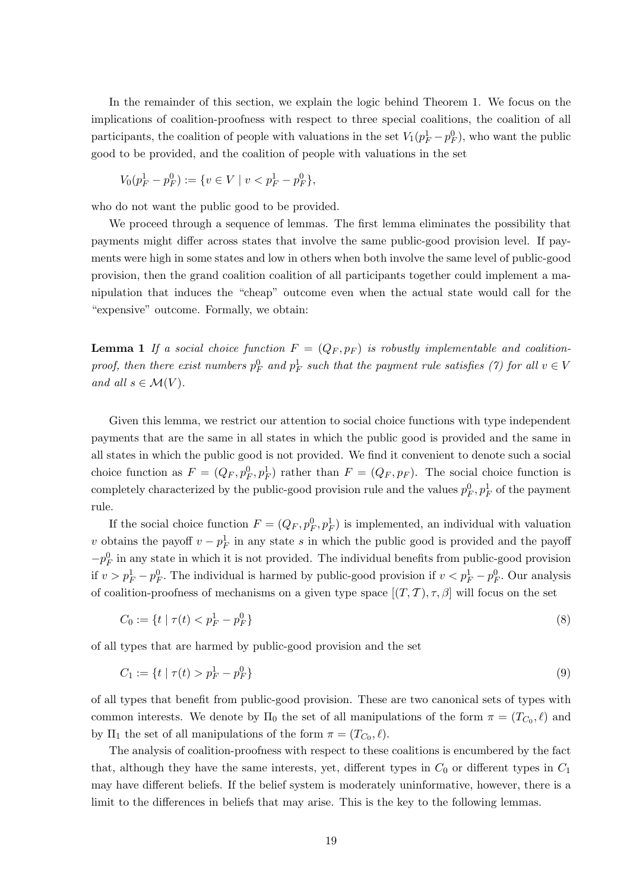In the remainder of this section, we explain the logic behind Theorem 1. We focus on the implications of coalition-proofness with respect to three special coalitions, the coalition of all participants, the coalition of people with valuations in the set  $V_1(p_F^1 - p_F^0)$ , who want the public good to be provided, and the coalition of people with valuations in the set

$$
V_0(p_F^1 - p_F^0) := \{ v \in V \mid v < p_F^1 - p_F^0 \},
$$

who do not want the public good to be provided.

We proceed through a sequence of lemmas. The first lemma eliminates the possibility that payments might differ across states that involve the same public-good provision level. If payments were high in some states and low in others when both involve the same level of public-good provision, then the grand coalition coalition of all participants together could implement a manipulation that induces the "cheap" outcome even when the actual state would call for the "expensive" outcome. Formally, we obtain:

**Lemma 1** If a social choice function  $F = (Q_F, p_F)$  is robustly implementable and coalitionproof, then there exist numbers  $p_F^0$  and  $p_F^1$  such that the payment rule satisfies (7) for all  $v \in V$ and all  $s \in \mathcal{M}(V)$ .

Given this lemma, we restrict our attention to social choice functions with type independent payments that are the same in all states in which the public good is provided and the same in all states in which the public good is not provided. We find it convenient to denote such a social choice function as  $F = (Q_F, p_F^0, p_F^1)$  rather than  $F = (Q_F, p_F)$ . The social choice function is completely characterized by the public-good provision rule and the values  $p_F^0, p_F^1$  of the payment rule.

If the social choice function  $F = (Q_F, p_F^0, p_F^1)$  is implemented, an individual with valuation v obtains the payoff  $v - p_F^1$  in any state s in which the public good is provided and the payoff  $-p_F^0$  in any state in which it is not provided. The individual benefits from public-good provision if  $v > p_F^1 - p_F^0$ . The individual is harmed by public-good provision if  $v < p_F^1 - p_F^0$ . Our analysis of coalition-proofness of mechanisms on a given type space  $[(T, \mathcal{T}), \tau, \beta]$  will focus on the set

$$
C_0 := \{ t \mid \tau(t) < p_F^1 - p_F^0 \} \tag{8}
$$

of all types that are harmed by public-good provision and the set

$$
C_1 := \{ t \mid \tau(t) > p_F^1 - p_F^0 \} \tag{9}
$$

of all types that benefit from public-good provision. These are two canonical sets of types with common interests. We denote by  $\Pi_0$  the set of all manipulations of the form  $\pi = (T_{C_0}, \ell)$  and by  $\Pi_1$  the set of all manipulations of the form  $\pi = (T_{C_0}, \ell)$ .

The analysis of coalition-proofness with respect to these coalitions is encumbered by the fact that, although they have the same interests, yet, different types in  $C_0$  or different types in  $C_1$ may have different beliefs. If the belief system is moderately uninformative, however, there is a limit to the differences in beliefs that may arise. This is the key to the following lemmas.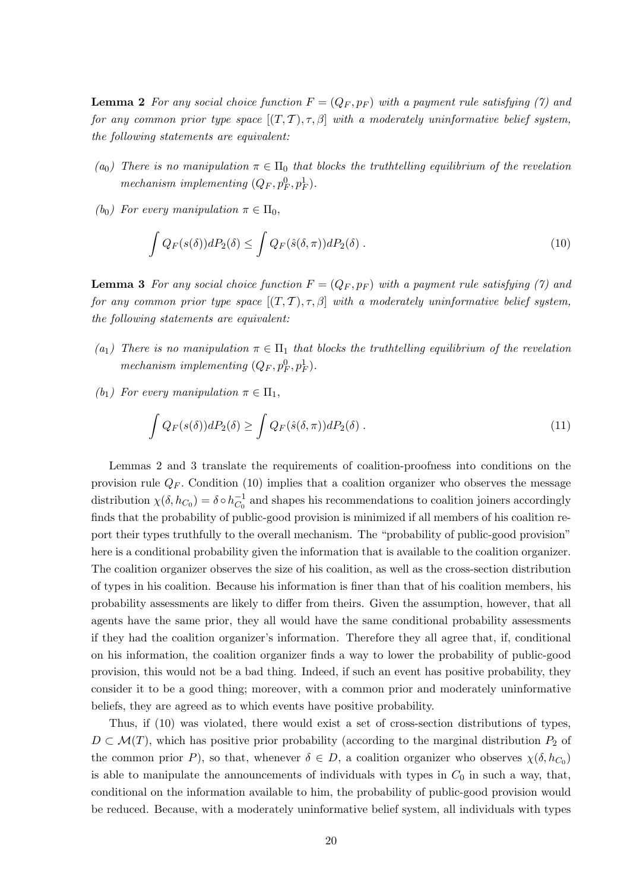**Lemma 2** For any social choice function  $F = (Q_F, p_F)$  with a payment rule satisfying (7) and for any common prior type space  $[(T, \mathcal{T}), \tau, \beta]$  with a moderately uninformative belief system, the following statements are equivalent:

- (a) There is no manipulation  $\pi \in \Pi_0$  that blocks the truthtelling equilibrium of the revelation mechanism implementing  $(Q_F, p_F^0, p_F^1)$ .
- (b<sub>0</sub>) For every manipulation  $\pi \in \Pi_0$ ,

$$
\int Q_F(s(\delta))dP_2(\delta) \le \int Q_F(\hat{s}(\delta,\pi))dP_2(\delta).
$$
\n(10)

**Lemma 3** For any social choice function  $F = (Q_F, p_F)$  with a payment rule satisfying (7) and for any common prior type space  $[(T, \mathcal{T}), \tau, \beta]$  with a moderately uninformative belief system, the following statements are equivalent:

- (a<sub>1</sub>) There is no manipulation  $\pi \in \Pi_1$  that blocks the truthtelling equilibrium of the revelation mechanism implementing  $(Q_F, p_F^0, p_F^1)$ .
- (b<sub>1</sub>) For every manipulation  $\pi \in \Pi_1$ ,

$$
\int Q_F(s(\delta))dP_2(\delta) \ge \int Q_F(\hat{s}(\delta,\pi))dP_2(\delta).
$$
\n(11)

Lemmas 2 and 3 translate the requirements of coalition-proofness into conditions on the provision rule  $Q_F$ . Condition (10) implies that a coalition organizer who observes the message distribution  $\chi(\delta, h_{C_0}) = \delta \circ h_{C_0}^{-1}$  $C_0^{-1}$  and shapes his recommendations to coalition joiners accordingly finds that the probability of public-good provision is minimized if all members of his coalition report their types truthfully to the overall mechanism. The "probability of public-good provision" here is a conditional probability given the information that is available to the coalition organizer. The coalition organizer observes the size of his coalition, as well as the cross-section distribution of types in his coalition. Because his information is finer than that of his coalition members, his probability assessments are likely to differ from theirs. Given the assumption, however, that all agents have the same prior, they all would have the same conditional probability assessments if they had the coalition organizer's information. Therefore they all agree that, if, conditional on his information, the coalition organizer finds a way to lower the probability of public-good provision, this would not be a bad thing. Indeed, if such an event has positive probability, they consider it to be a good thing; moreover, with a common prior and moderately uninformative beliefs, they are agreed as to which events have positive probability.

Thus, if (10) was violated, there would exist a set of cross-section distributions of types,  $D \subset \mathcal{M}(T)$ , which has positive prior probability (according to the marginal distribution  $P_2$  of the common prior P), so that, whenever  $\delta \in D$ , a coalition organizer who observes  $\chi(\delta, h_{C_0})$ is able to manipulate the announcements of individuals with types in  $C_0$  in such a way, that, conditional on the information available to him, the probability of public-good provision would be reduced. Because, with a moderately uninformative belief system, all individuals with types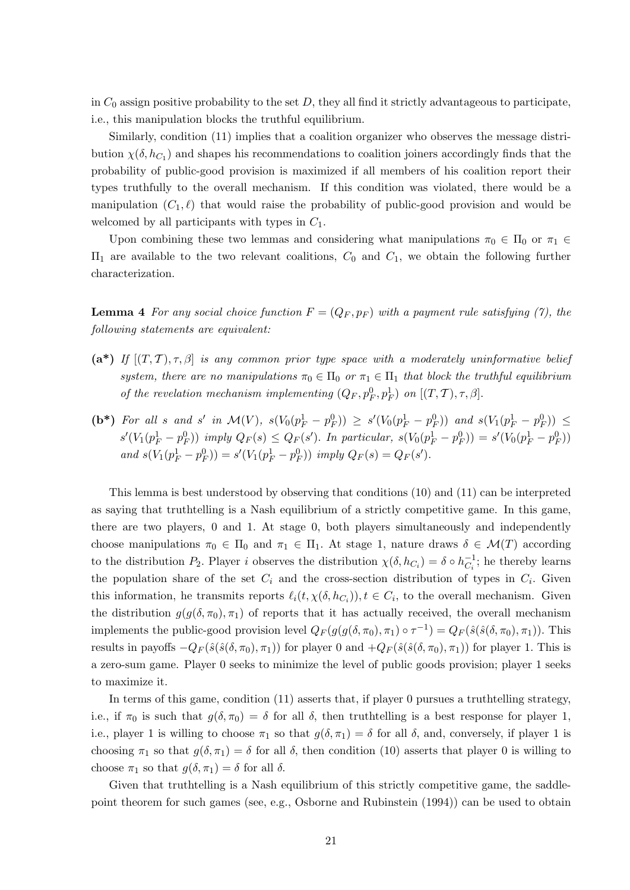in  $C_0$  assign positive probability to the set D, they all find it strictly advantageous to participate, i.e., this manipulation blocks the truthful equilibrium.

Similarly, condition (11) implies that a coalition organizer who observes the message distribution  $\chi(\delta, h_{C_1})$  and shapes his recommendations to coalition joiners accordingly finds that the probability of public-good provision is maximized if all members of his coalition report their types truthfully to the overall mechanism. If this condition was violated, there would be a manipulation  $(C_1, \ell)$  that would raise the probability of public-good provision and would be welcomed by all participants with types in  $C_1$ .

Upon combining these two lemmas and considering what manipulations  $\pi_0 \in \Pi_0$  or  $\pi_1 \in$  $\Pi_1$  are available to the two relevant coalitions,  $C_0$  and  $C_1$ , we obtain the following further characterization.

**Lemma 4** For any social choice function  $F = (Q_F, p_F)$  with a payment rule satisfying (7), the following statements are equivalent:

- (a\*) If  $[(T, T), \tau, \beta]$  is any common prior type space with a moderately uninformative belief system, there are no manipulations  $\pi_0 \in \Pi_0$  or  $\pi_1 \in \Pi_1$  that block the truthful equilibrium of the revelation mechanism implementing  $(Q_F, p_F^0, p_F^1)$  on  $[(T, \mathcal{T}), \tau, \beta]$ .
- (b\*) For all s and s' in  $\mathcal{M}(V)$ ,  $s(V_0(p_F^1 p_F^0)) \ge s'(V_0(p_F^1 p_F^0))$  and  $s(V_1(p_F^1 p_F^0)) \le$  $s'(V_1(p_F^1 - p_F^0))$  imply  $Q_F(s) \leq Q_F(s')$ . In particular,  $s(V_0(p_F^1 - p_F^0)) = s'(V_0(p_F^1 - p_F^0))$ and  $s(V_1(p_F^1 - p_F^0)) = s'(V_1(p_F^1 - p_F^0))$  imply  $Q_F(s) = Q_F(s')$ .

This lemma is best understood by observing that conditions (10) and (11) can be interpreted as saying that truthtelling is a Nash equilibrium of a strictly competitive game. In this game, there are two players, 0 and 1. At stage 0, both players simultaneously and independently choose manipulations  $\pi_0 \in \Pi_0$  and  $\pi_1 \in \Pi_1$ . At stage 1, nature draws  $\delta \in \mathcal{M}(T)$  according to the distribution  $P_2$ . Player i observes the distribution  $\chi(\delta, h_{C_i}) = \delta \circ h_{C_i}^{-1}$  $\overline{C}_i^{-1}$ ; he thereby learns the population share of the set  $C_i$  and the cross-section distribution of types in  $C_i$ . Given this information, he transmits reports  $\ell_i(t, \chi(\delta, h_{C_i}))$ ,  $t \in C_i$ , to the overall mechanism. Given the distribution  $g(g(\delta, \pi_0), \pi_1)$  of reports that it has actually received, the overall mechanism implements the public-good provision level  $Q_F(g(g(\delta, \pi_0), \pi_1) \circ \tau^{-1}) = Q_F(\hat{s}(\hat{s}(\delta, \pi_0), \pi_1))$ . This results in payoffs  $-Q_F(\hat{s}(\hat{s}(\delta,\pi_0),\pi_1))$  for player 0 and  $+Q_F(\hat{s}(\hat{s}(\delta,\pi_0),\pi_1))$  for player 1. This is a zero-sum game. Player 0 seeks to minimize the level of public goods provision; player 1 seeks to maximize it.

In terms of this game, condition (11) asserts that, if player 0 pursues a truthtelling strategy, i.e., if  $\pi_0$  is such that  $g(\delta, \pi_0) = \delta$  for all  $\delta$ , then truthtelling is a best response for player 1, i.e., player 1 is willing to choose  $\pi_1$  so that  $g(\delta, \pi_1) = \delta$  for all  $\delta$ , and, conversely, if player 1 is choosing  $\pi_1$  so that  $g(\delta, \pi_1) = \delta$  for all  $\delta$ , then condition (10) asserts that player 0 is willing to choose  $\pi_1$  so that  $g(\delta, \pi_1) = \delta$  for all  $\delta$ .

Given that truthtelling is a Nash equilibrium of this strictly competitive game, the saddlepoint theorem for such games (see, e.g., Osborne and Rubinstein (1994)) can be used to obtain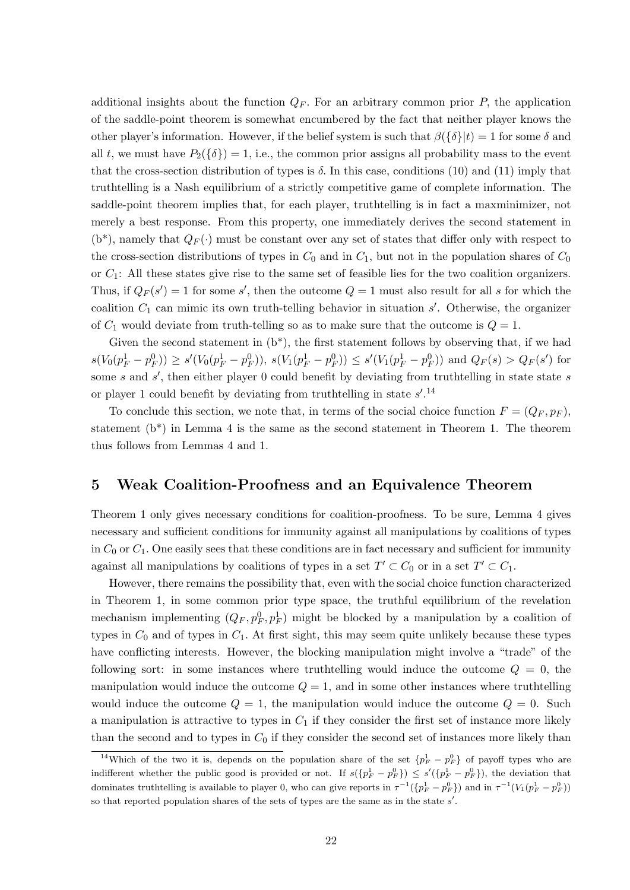additional insights about the function  $Q_F$ . For an arbitrary common prior P, the application of the saddle-point theorem is somewhat encumbered by the fact that neither player knows the other player's information. However, if the belief system is such that  $\beta({\{\delta\}}|t) = 1$  for some  $\delta$  and all t, we must have  $P_2({\delta}) = 1$ , i.e., the common prior assigns all probability mass to the event that the cross-section distribution of types is  $\delta$ . In this case, conditions (10) and (11) imply that truthtelling is a Nash equilibrium of a strictly competitive game of complete information. The saddle-point theorem implies that, for each player, truthtelling is in fact a maxminimizer, not merely a best response. From this property, one immediately derives the second statement in  $(b^*)$ , namely that  $Q_F(\cdot)$  must be constant over any set of states that differ only with respect to the cross-section distributions of types in  $C_0$  and in  $C_1$ , but not in the population shares of  $C_0$ or  $C_1$ : All these states give rise to the same set of feasible lies for the two coalition organizers. Thus, if  $Q_F(s') = 1$  for some s', then the outcome  $Q = 1$  must also result for all s for which the coalition  $C_1$  can mimic its own truth-telling behavior in situation  $s'$ . Otherwise, the organizer of  $C_1$  would deviate from truth-telling so as to make sure that the outcome is  $Q = 1$ .

Given the second statement in  $(b^*)$ , the first statement follows by observing that, if we had  $s(V_0(p_F^1 - p_F^0)) \ge s'(V_0(p_F^1 - p_F^0)), s(V_1(p_F^1 - p_F^0)) \le s'(V_1(p_F^1 - p_F^0))$  and  $Q_F(s) > Q_F(s')$  for some s and  $s'$ , then either player 0 could benefit by deviating from truthtelling in state state s or player 1 could benefit by deviating from truthtelling in state  $s'.<sup>14</sup>$ 

To conclude this section, we note that, in terms of the social choice function  $F = (Q_F, p_F)$ , statement  $(b^*)$  in Lemma 4 is the same as the second statement in Theorem 1. The theorem thus follows from Lemmas 4 and 1.

## 5 Weak Coalition-Proofness and an Equivalence Theorem

Theorem 1 only gives necessary conditions for coalition-proofness. To be sure, Lemma 4 gives necessary and sufficient conditions for immunity against all manipulations by coalitions of types in  $C_0$  or  $C_1$ . One easily sees that these conditions are in fact necessary and sufficient for immunity against all manipulations by coalitions of types in a set  $T' \subset C_0$  or in a set  $T' \subset C_1$ .

However, there remains the possibility that, even with the social choice function characterized in Theorem 1, in some common prior type space, the truthful equilibrium of the revelation mechanism implementing  $(Q_F, p_F^0, p_F^1)$  might be blocked by a manipulation by a coalition of types in  $C_0$  and of types in  $C_1$ . At first sight, this may seem quite unlikely because these types have conflicting interests. However, the blocking manipulation might involve a "trade" of the following sort: in some instances where truthtelling would induce the outcome  $Q = 0$ , the manipulation would induce the outcome  $Q = 1$ , and in some other instances where truthtelling would induce the outcome  $Q = 1$ , the manipulation would induce the outcome  $Q = 0$ . Such a manipulation is attractive to types in  $C_1$  if they consider the first set of instance more likely than the second and to types in  $C_0$  if they consider the second set of instances more likely than

<sup>&</sup>lt;sup>14</sup>Which of the two it is, depends on the population share of the set  $\{p_F^1 - p_F^0\}$  of payoff types who are indifferent whether the public good is provided or not. If  $s(\lbrace p_F^1-p_F^0 \rbrace) \leq s'(\lbrace p_F^1-p_F^0 \rbrace)$ , the deviation that dominates truthtelling is available to player 0, who can give reports in  $\tau^{-1}(\{p_F^1 - p_F^0\})$  and in  $\tau^{-1}(V_1(p_F^1 - p_F^0))$ so that reported population shares of the sets of types are the same as in the state  $s'$ .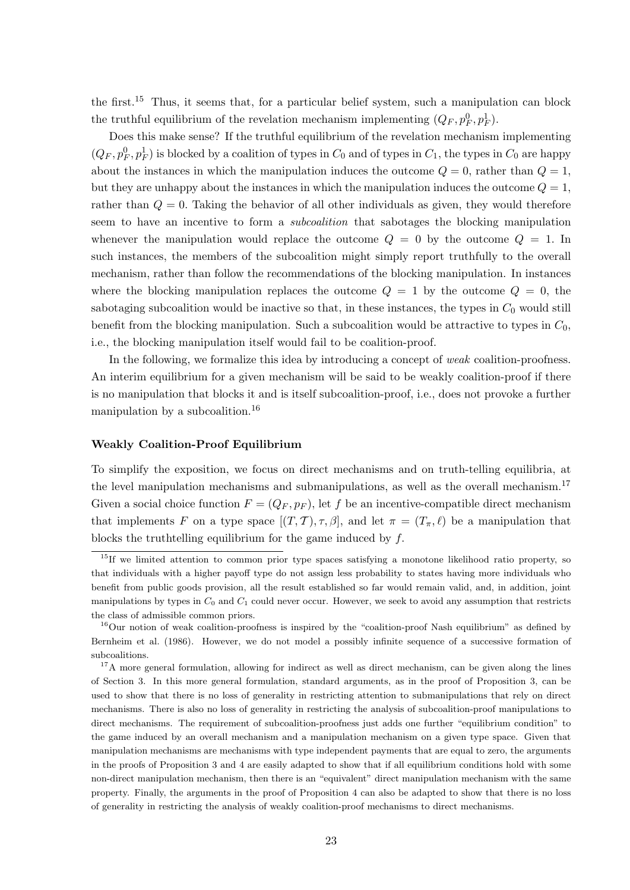the first.<sup>15</sup> Thus, it seems that, for a particular belief system, such a manipulation can block the truthful equilibrium of the revelation mechanism implementing  $(Q_F, p_F^0, p_F^1)$ .

Does this make sense? If the truthful equilibrium of the revelation mechanism implementing  $(Q_F, p_F^0, p_F^1)$  is blocked by a coalition of types in  $C_0$  and of types in  $C_1$ , the types in  $C_0$  are happy about the instances in which the manipulation induces the outcome  $Q = 0$ , rather than  $Q = 1$ , but they are unhappy about the instances in which the manipulation induces the outcome  $Q = 1$ , rather than  $Q = 0$ . Taking the behavior of all other individuals as given, they would therefore seem to have an incentive to form a *subcoalition* that sabotages the blocking manipulation whenever the manipulation would replace the outcome  $Q = 0$  by the outcome  $Q = 1$ . In such instances, the members of the subcoalition might simply report truthfully to the overall mechanism, rather than follow the recommendations of the blocking manipulation. In instances where the blocking manipulation replaces the outcome  $Q = 1$  by the outcome  $Q = 0$ , the sabotaging subcoalition would be inactive so that, in these instances, the types in  $C_0$  would still benefit from the blocking manipulation. Such a subcoalition would be attractive to types in  $C_0$ , i.e., the blocking manipulation itself would fail to be coalition-proof.

In the following, we formalize this idea by introducing a concept of *weak* coalition-proofness. An interim equilibrium for a given mechanism will be said to be weakly coalition-proof if there is no manipulation that blocks it and is itself subcoalition-proof, i.e., does not provoke a further manipulation by a subcoalition.<sup>16</sup>

#### Weakly Coalition-Proof Equilibrium

To simplify the exposition, we focus on direct mechanisms and on truth-telling equilibria, at the level manipulation mechanisms and submanipulations, as well as the overall mechanism.<sup>17</sup> Given a social choice function  $F = (Q_F, p_F)$ , let f be an incentive-compatible direct mechanism that implements F on a type space  $[(T, T), \tau, \beta]$ , and let  $\pi = (T_{\pi}, \ell)$  be a manipulation that blocks the truthtelling equilibrium for the game induced by  $f$ .

 $15$ If we limited attention to common prior type spaces satisfying a monotone likelihood ratio property, so that individuals with a higher payoff type do not assign less probability to states having more individuals who benefit from public goods provision, all the result established so far would remain valid, and, in addition, joint manipulations by types in  $C_0$  and  $C_1$  could never occur. However, we seek to avoid any assumption that restricts the class of admissible common priors.

<sup>&</sup>lt;sup>16</sup>Our notion of weak coalition-proofness is inspired by the "coalition-proof Nash equilibrium" as defined by Bernheim et al. (1986). However, we do not model a possibly infinite sequence of a successive formation of subcoalitions.

<sup>&</sup>lt;sup>17</sup>A more general formulation, allowing for indirect as well as direct mechanism, can be given along the lines of Section 3. In this more general formulation, standard arguments, as in the proof of Proposition 3, can be used to show that there is no loss of generality in restricting attention to submanipulations that rely on direct mechanisms. There is also no loss of generality in restricting the analysis of subcoalition-proof manipulations to direct mechanisms. The requirement of subcoalition-proofness just adds one further "equilibrium condition" to the game induced by an overall mechanism and a manipulation mechanism on a given type space. Given that manipulation mechanisms are mechanisms with type independent payments that are equal to zero, the arguments in the proofs of Proposition 3 and 4 are easily adapted to show that if all equilibrium conditions hold with some non-direct manipulation mechanism, then there is an "equivalent" direct manipulation mechanism with the same property. Finally, the arguments in the proof of Proposition 4 can also be adapted to show that there is no loss of generality in restricting the analysis of weakly coalition-proof mechanisms to direct mechanisms.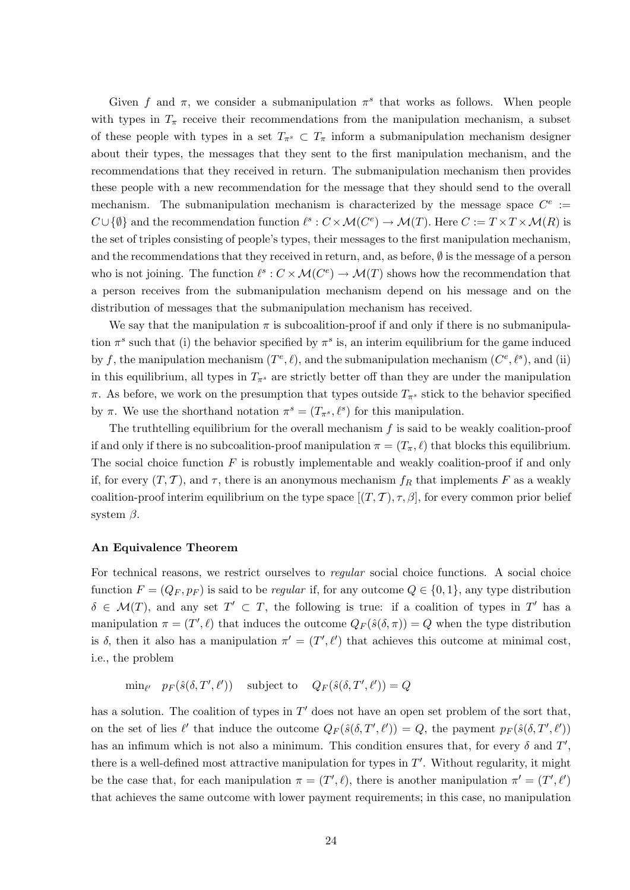Given f and  $\pi$ , we consider a submanipulation  $\pi^s$  that works as follows. When people with types in  $T_{\pi}$  receive their recommendations from the manipulation mechanism, a subset of these people with types in a set  $T_{\pi^s} \subset T_{\pi}$  inform a submanipulation mechanism designer about their types, the messages that they sent to the first manipulation mechanism, and the recommendations that they received in return. The submanipulation mechanism then provides these people with a new recommendation for the message that they should send to the overall mechanism. The submanipulation mechanism is characterized by the message space  $C^e$  :=  $C \cup \{\emptyset\}$  and the recommendation function  $\ell^s : C \times \mathcal{M}(C^e) \to \mathcal{M}(T)$ . Here  $C := T \times T \times \mathcal{M}(R)$  is the set of triples consisting of people's types, their messages to the first manipulation mechanism, and the recommendations that they received in return, and, as before,  $\emptyset$  is the message of a person who is not joining. The function  $\ell^s : C \times \mathcal{M}(C^e) \to \mathcal{M}(T)$  shows how the recommendation that a person receives from the submanipulation mechanism depend on his message and on the distribution of messages that the submanipulation mechanism has received.

We say that the manipulation  $\pi$  is subcoalition-proof if and only if there is no submanipulation  $\pi^s$  such that (i) the behavior specified by  $\pi^s$  is, an interim equilibrium for the game induced by f, the manipulation mechanism  $(T^e, \ell)$ , and the submanipulation mechanism  $(C^e, \ell^s)$ , and (ii) in this equilibrium, all types in  $T_{\pi^s}$  are strictly better off than they are under the manipulation  $\pi$ . As before, we work on the presumption that types outside  $T_{\pi^s}$  stick to the behavior specified by  $\pi$ . We use the shorthand notation  $\pi^s = (T_{\pi^s}, \ell^s)$  for this manipulation.

The truthtelling equilibrium for the overall mechanism  $f$  is said to be weakly coalition-proof if and only if there is no subcoalition-proof manipulation  $\pi = (T_\pi, \ell)$  that blocks this equilibrium. The social choice function  $F$  is robustly implementable and weakly coalition-proof if and only if, for every  $(T, \mathcal{T})$ , and  $\tau$ , there is an anonymous mechanism  $f_R$  that implements F as a weakly coalition-proof interim equilibrium on the type space  $[(T, \mathcal{T}), \tau, \beta]$ , for every common prior belief system  $\beta$ .

#### An Equivalence Theorem

For technical reasons, we restrict ourselves to regular social choice functions. A social choice function  $F = (Q_F, p_F)$  is said to be *regular* if, for any outcome  $Q \in \{0, 1\}$ , any type distribution  $\delta \in \mathcal{M}(T)$ , and any set  $T' \subset T$ , the following is true: if a coalition of types in T' has a manipulation  $\pi = (T', \ell)$  that induces the outcome  $Q_F(\hat{s}(\delta, \pi)) = Q$  when the type distribution is δ, then it also has a manipulation  $\pi' = (T', \ell')$  that achieves this outcome at minimal cost, i.e., the problem

 $\min_{\ell'} \quad p_F(\hat{s}(\delta, T', \ell')) \quad \text{subject to} \quad Q_F(\hat{s}(\delta, T', \ell')) = Q$ 

has a solution. The coalition of types in  $T'$  does not have an open set problem of the sort that, on the set of lies  $\ell'$  that induce the outcome  $Q_F(\hat{s}(\delta, T', \ell')) = Q$ , the payment  $p_F(\hat{s}(\delta, T', \ell'))$ has an infimum which is not also a minimum. This condition ensures that, for every  $\delta$  and  $T'$ , there is a well-defined most attractive manipulation for types in  $T'$ . Without regularity, it might be the case that, for each manipulation  $\pi = (T', \ell)$ , there is another manipulation  $\pi' = (T', \ell')$ that achieves the same outcome with lower payment requirements; in this case, no manipulation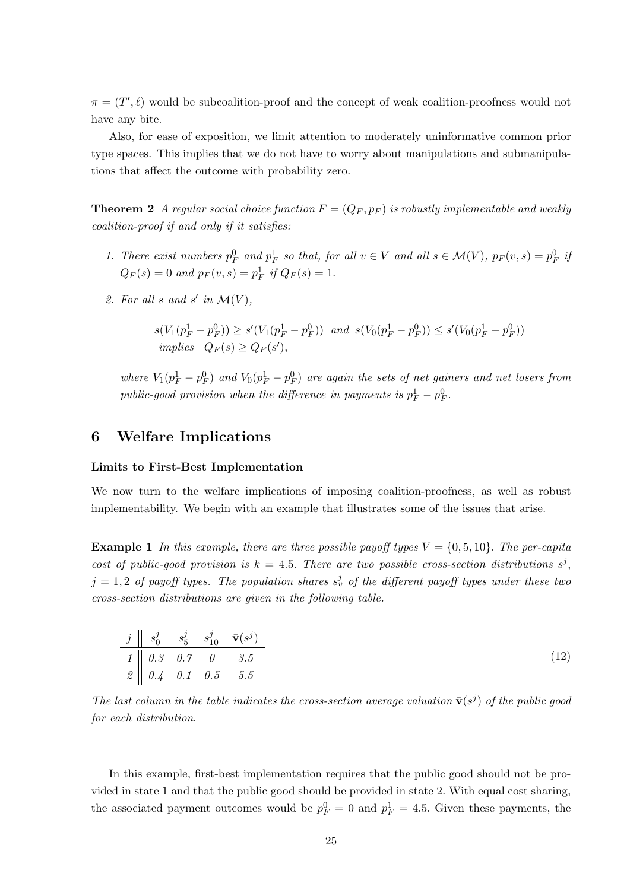$\pi = (T', \ell)$  would be subcoalition-proof and the concept of weak coalition-proofness would not have any bite.

Also, for ease of exposition, we limit attention to moderately uninformative common prior type spaces. This implies that we do not have to worry about manipulations and submanipulations that affect the outcome with probability zero.

**Theorem 2** A regular social choice function  $F = (Q_F, p_F)$  is robustly implementable and weakly coalition-proof if and only if it satisfies:

- 1. There exist numbers  $p_F^0$  and  $p_F^1$  so that, for all  $v \in V$  and all  $s \in \mathcal{M}(V)$ ,  $p_F(v, s) = p_F^0$  is  $Q_F(s) = 0$  and  $p_F(v, s) = p_F^1$  if  $Q_F(s) = 1$ .
- 2. For all s and s' in  $\mathcal{M}(V)$ ,

$$
s(V_1(p_F^1 - p_F^0)) \ge s'(V_1(p_F^1 - p_F^0)) \text{ and } s(V_0(p_F^1 - p_F^0)) \le s'(V_0(p_F^1 - p_F^0))
$$
  
implies  $Q_F(s) \ge Q_F(s')$ ,

where  $V_1(p_F^1 - p_F^0)$  and  $V_0(p_F^1 - p_F^0)$  are again the sets of net gainers and net losers from public-good provision when the difference in payments is  $p_F^1 - p_F^0$ .

### 6 Welfare Implications

#### Limits to First-Best Implementation

We now turn to the welfare implications of imposing coalition-proofness, as well as robust implementability. We begin with an example that illustrates some of the issues that arise.

**Example 1** In this example, there are three possible payoff types  $V = \{0, 5, 10\}$ . The per-capita cost of public-good provision is  $k = 4.5$ . There are two possible cross-section distributions  $s^j$ ,  $j = 1,2$  of payoff types. The population shares  $s_v^j$  of the different payoff types under these two cross-section distributions are given in the following table.

$$
\begin{array}{c|ccccc}\nj & s_0^j & s_5^j & s_{10}^j & \bar{\mathbf{v}}(s^j) \\
\hline\n1 & 0.3 & 0.7 & 0 & 3.5 \\
2 & 0.4 & 0.1 & 0.5 & 5.5\n\end{array}
$$
\n(12)

The last column in the table indicates the cross-section average valuation  $\bar{\mathbf{v}}(s^j)$  of the public good for each distribution.

In this example, first-best implementation requires that the public good should not be provided in state 1 and that the public good should be provided in state 2. With equal cost sharing, the associated payment outcomes would be  $p_F^0 = 0$  and  $p_F^1 = 4.5$ . Given these payments, the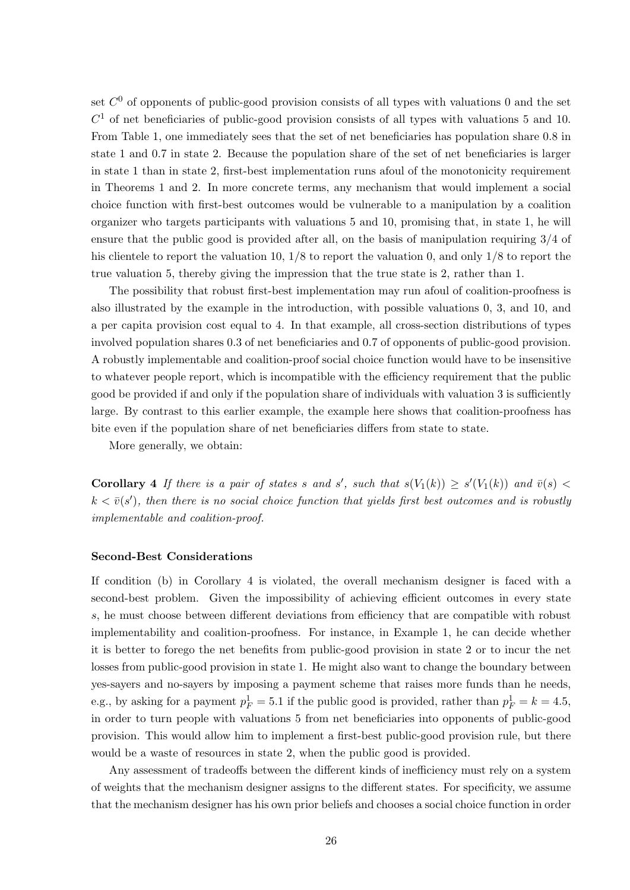set  $C^0$  of opponents of public-good provision consists of all types with valuations 0 and the set  $C<sup>1</sup>$  of net beneficiaries of public-good provision consists of all types with valuations 5 and 10. From Table 1, one immediately sees that the set of net beneficiaries has population share 0.8 in state 1 and 0.7 in state 2. Because the population share of the set of net beneficiaries is larger in state 1 than in state 2, first-best implementation runs afoul of the monotonicity requirement in Theorems 1 and 2. In more concrete terms, any mechanism that would implement a social choice function with first-best outcomes would be vulnerable to a manipulation by a coalition organizer who targets participants with valuations 5 and 10, promising that, in state 1, he will ensure that the public good is provided after all, on the basis of manipulation requiring 3/4 of his clientele to report the valuation 10,  $1/8$  to report the valuation 0, and only  $1/8$  to report the true valuation 5, thereby giving the impression that the true state is 2, rather than 1.

The possibility that robust first-best implementation may run afoul of coalition-proofness is also illustrated by the example in the introduction, with possible valuations 0, 3, and 10, and a per capita provision cost equal to 4. In that example, all cross-section distributions of types involved population shares 0.3 of net beneficiaries and 0.7 of opponents of public-good provision. A robustly implementable and coalition-proof social choice function would have to be insensitive to whatever people report, which is incompatible with the efficiency requirement that the public good be provided if and only if the population share of individuals with valuation 3 is sufficiently large. By contrast to this earlier example, the example here shows that coalition-proofness has bite even if the population share of net beneficiaries differs from state to state.

More generally, we obtain:

**Corollary 4** If there is a pair of states s and s', such that  $s(V_1(k)) \geq s'(V_1(k))$  and  $\bar{v}(s)$  $k < \bar{v}(s')$ , then there is no social choice function that yields first best outcomes and is robustly implementable and coalition-proof.

#### Second-Best Considerations

If condition (b) in Corollary 4 is violated, the overall mechanism designer is faced with a second-best problem. Given the impossibility of achieving efficient outcomes in every state s, he must choose between different deviations from efficiency that are compatible with robust implementability and coalition-proofness. For instance, in Example 1, he can decide whether it is better to forego the net benefits from public-good provision in state 2 or to incur the net losses from public-good provision in state 1. He might also want to change the boundary between yes-sayers and no-sayers by imposing a payment scheme that raises more funds than he needs, e.g., by asking for a payment  $p_F^1 = 5.1$  if the public good is provided, rather than  $p_F^1 = k = 4.5$ , in order to turn people with valuations 5 from net beneficiaries into opponents of public-good provision. This would allow him to implement a first-best public-good provision rule, but there would be a waste of resources in state 2, when the public good is provided.

Any assessment of tradeoffs between the different kinds of inefficiency must rely on a system of weights that the mechanism designer assigns to the different states. For specificity, we assume that the mechanism designer has his own prior beliefs and chooses a social choice function in order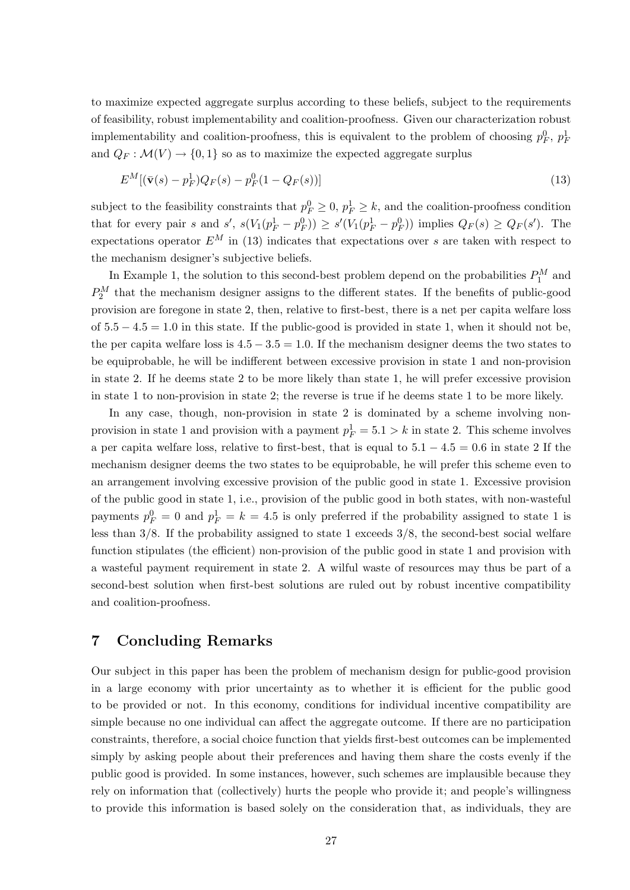to maximize expected aggregate surplus according to these beliefs, subject to the requirements of feasibility, robust implementability and coalition-proofness. Given our characterization robust implementability and coalition-proofness, this is equivalent to the problem of choosing  $p_F^0$ ,  $p_F^1$ and  $Q_F : \mathcal{M}(V) \to \{0, 1\}$  so as to maximize the expected aggregate surplus

$$
E^M[(\bar{\mathbf{v}}(s) - p_F^1)Q_F(s) - p_F^0(1 - Q_F(s))]
$$
\n(13)

subject to the feasibility constraints that  $p_F^0 \geq 0$ ,  $p_F^1 \geq k$ , and the coalition-proofness condition that for every pair s and s',  $s(V_1(p_F^1 - p_F^0)) \ge s'(V_1(p_F^1 - p_F^0))$  implies  $Q_F(s) \ge Q_F(s')$ . The expectations operator  $E^M$  in (13) indicates that expectations over s are taken with respect to the mechanism designer's subjective beliefs.

In Example 1, the solution to this second-best problem depend on the probabilities  $P_1^M$  and  $P_2^M$  that the mechanism designer assigns to the different states. If the benefits of public-good provision are foregone in state 2, then, relative to first-best, there is a net per capita welfare loss of  $5.5 - 4.5 = 1.0$  in this state. If the public-good is provided in state 1, when it should not be, the per capita welfare loss is  $4.5 - 3.5 = 1.0$ . If the mechanism designer deems the two states to be equiprobable, he will be indifferent between excessive provision in state 1 and non-provision in state 2. If he deems state 2 to be more likely than state 1, he will prefer excessive provision in state 1 to non-provision in state 2; the reverse is true if he deems state 1 to be more likely.

In any case, though, non-provision in state 2 is dominated by a scheme involving nonprovision in state 1 and provision with a payment  $p_F^1 = 5.1 > k$  in state 2. This scheme involves a per capita welfare loss, relative to first-best, that is equal to  $5.1 - 4.5 = 0.6$  in state 2 If the mechanism designer deems the two states to be equiprobable, he will prefer this scheme even to an arrangement involving excessive provision of the public good in state 1. Excessive provision of the public good in state 1, i.e., provision of the public good in both states, with non-wasteful payments  $p_F^0 = 0$  and  $p_F^1 = k = 4.5$  is only preferred if the probability assigned to state 1 is less than 3/8. If the probability assigned to state 1 exceeds 3/8, the second-best social welfare function stipulates (the efficient) non-provision of the public good in state 1 and provision with a wasteful payment requirement in state 2. A wilful waste of resources may thus be part of a second-best solution when first-best solutions are ruled out by robust incentive compatibility and coalition-proofness.

## 7 Concluding Remarks

Our subject in this paper has been the problem of mechanism design for public-good provision in a large economy with prior uncertainty as to whether it is efficient for the public good to be provided or not. In this economy, conditions for individual incentive compatibility are simple because no one individual can affect the aggregate outcome. If there are no participation constraints, therefore, a social choice function that yields first-best outcomes can be implemented simply by asking people about their preferences and having them share the costs evenly if the public good is provided. In some instances, however, such schemes are implausible because they rely on information that (collectively) hurts the people who provide it; and people's willingness to provide this information is based solely on the consideration that, as individuals, they are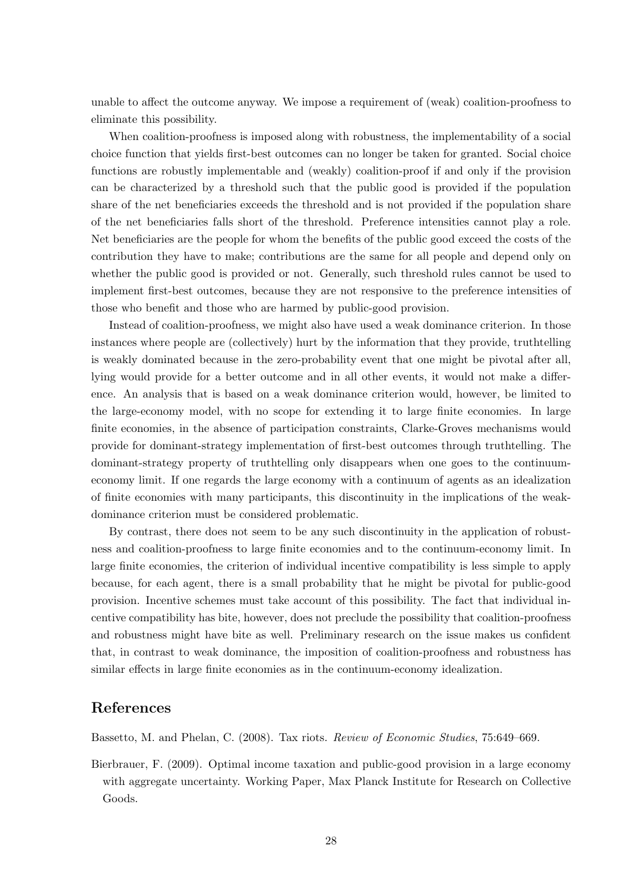unable to affect the outcome anyway. We impose a requirement of (weak) coalition-proofness to eliminate this possibility.

When coalition-proofness is imposed along with robustness, the implementability of a social choice function that yields first-best outcomes can no longer be taken for granted. Social choice functions are robustly implementable and (weakly) coalition-proof if and only if the provision can be characterized by a threshold such that the public good is provided if the population share of the net beneficiaries exceeds the threshold and is not provided if the population share of the net beneficiaries falls short of the threshold. Preference intensities cannot play a role. Net beneficiaries are the people for whom the benefits of the public good exceed the costs of the contribution they have to make; contributions are the same for all people and depend only on whether the public good is provided or not. Generally, such threshold rules cannot be used to implement first-best outcomes, because they are not responsive to the preference intensities of those who benefit and those who are harmed by public-good provision.

Instead of coalition-proofness, we might also have used a weak dominance criterion. In those instances where people are (collectively) hurt by the information that they provide, truthtelling is weakly dominated because in the zero-probability event that one might be pivotal after all, lying would provide for a better outcome and in all other events, it would not make a difference. An analysis that is based on a weak dominance criterion would, however, be limited to the large-economy model, with no scope for extending it to large finite economies. In large finite economies, in the absence of participation constraints, Clarke-Groves mechanisms would provide for dominant-strategy implementation of first-best outcomes through truthtelling. The dominant-strategy property of truthtelling only disappears when one goes to the continuumeconomy limit. If one regards the large economy with a continuum of agents as an idealization of finite economies with many participants, this discontinuity in the implications of the weakdominance criterion must be considered problematic.

By contrast, there does not seem to be any such discontinuity in the application of robustness and coalition-proofness to large finite economies and to the continuum-economy limit. In large finite economies, the criterion of individual incentive compatibility is less simple to apply because, for each agent, there is a small probability that he might be pivotal for public-good provision. Incentive schemes must take account of this possibility. The fact that individual incentive compatibility has bite, however, does not preclude the possibility that coalition-proofness and robustness might have bite as well. Preliminary research on the issue makes us confident that, in contrast to weak dominance, the imposition of coalition-proofness and robustness has similar effects in large finite economies as in the continuum-economy idealization.

## References

Bassetto, M. and Phelan, C. (2008). Tax riots. Review of Economic Studies, 75:649–669.

Bierbrauer, F. (2009). Optimal income taxation and public-good provision in a large economy with aggregate uncertainty. Working Paper, Max Planck Institute for Research on Collective Goods.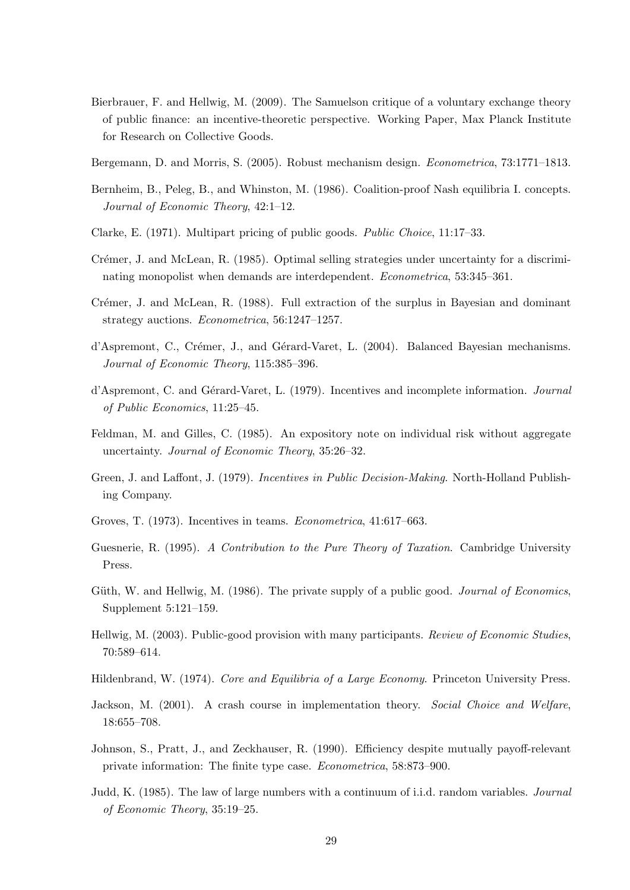- Bierbrauer, F. and Hellwig, M. (2009). The Samuelson critique of a voluntary exchange theory of public finance: an incentive-theoretic perspective. Working Paper, Max Planck Institute for Research on Collective Goods.
- Bergemann, D. and Morris, S. (2005). Robust mechanism design. Econometrica, 73:1771–1813.
- Bernheim, B., Peleg, B., and Whinston, M. (1986). Coalition-proof Nash equilibria I. concepts. Journal of Economic Theory, 42:1–12.
- Clarke, E. (1971). Multipart pricing of public goods. Public Choice, 11:17–33.
- Crémer, J. and McLean, R. (1985). Optimal selling strategies under uncertainty for a discriminating monopolist when demands are interdependent. Econometrica, 53:345–361.
- Crémer, J. and McLean, R. (1988). Full extraction of the surplus in Bayesian and dominant strategy auctions. Econometrica, 56:1247–1257.
- d'Aspremont, C., Crémer, J., and Gérard-Varet, L. (2004). Balanced Bayesian mechanisms. Journal of Economic Theory, 115:385–396.
- d'Aspremont, C. and Gérard-Varet, L. (1979). Incentives and incomplete information. Journal of Public Economics, 11:25–45.
- Feldman, M. and Gilles, C. (1985). An expository note on individual risk without aggregate uncertainty. Journal of Economic Theory, 35:26–32.
- Green, J. and Laffont, J. (1979). Incentives in Public Decision-Making. North-Holland Publishing Company.
- Groves, T. (1973). Incentives in teams. Econometrica, 41:617–663.
- Guesnerie, R. (1995). A Contribution to the Pure Theory of Taxation. Cambridge University Press.
- Güth, W. and Hellwig, M. (1986). The private supply of a public good. Journal of Economics, Supplement 5:121–159.
- Hellwig, M. (2003). Public-good provision with many participants. Review of Economic Studies, 70:589–614.
- Hildenbrand, W. (1974). Core and Equilibria of a Large Economy. Princeton University Press.
- Jackson, M. (2001). A crash course in implementation theory. Social Choice and Welfare, 18:655–708.
- Johnson, S., Pratt, J., and Zeckhauser, R. (1990). Efficiency despite mutually payoff-relevant private information: The finite type case. Econometrica, 58:873–900.
- Judd, K. (1985). The law of large numbers with a continuum of i.i.d. random variables. Journal of Economic Theory, 35:19–25.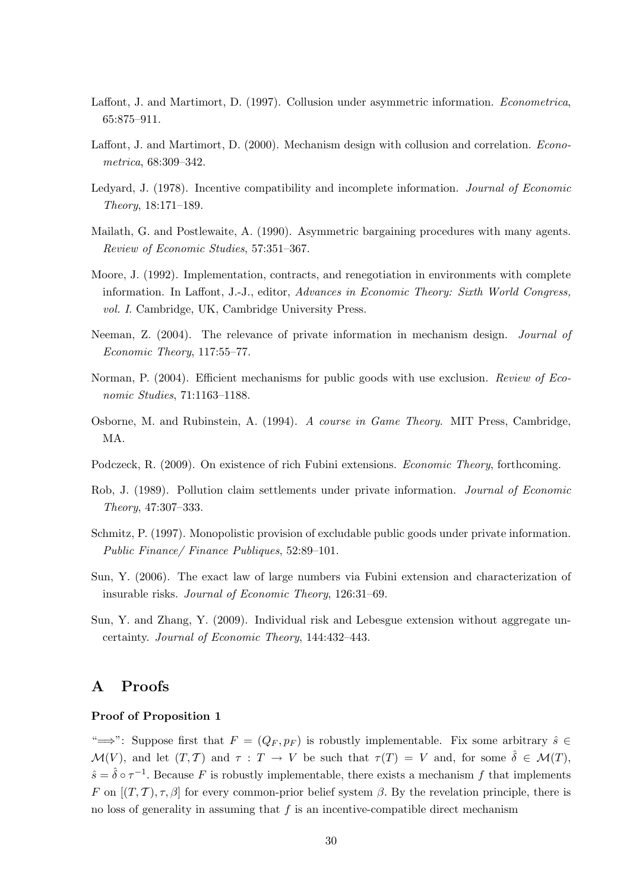- Laffont, J. and Martimort, D. (1997). Collusion under asymmetric information. Econometrica, 65:875–911.
- Laffont, J. and Martimort, D. (2000). Mechanism design with collusion and correlation. *Econo*metrica, 68:309–342.
- Ledyard, J. (1978). Incentive compatibility and incomplete information. Journal of Economic Theory, 18:171–189.
- Mailath, G. and Postlewaite, A. (1990). Asymmetric bargaining procedures with many agents. Review of Economic Studies, 57:351–367.
- Moore, J. (1992). Implementation, contracts, and renegotiation in environments with complete information. In Laffont, J.-J., editor, Advances in Economic Theory: Sixth World Congress, vol. I. Cambridge, UK, Cambridge University Press.
- Neeman, Z. (2004). The relevance of private information in mechanism design. Journal of Economic Theory, 117:55–77.
- Norman, P. (2004). Efficient mechanisms for public goods with use exclusion. Review of Economic Studies, 71:1163–1188.
- Osborne, M. and Rubinstein, A. (1994). A course in Game Theory. MIT Press, Cambridge, MA.
- Podczeck, R. (2009). On existence of rich Fubini extensions. Economic Theory, forthcoming.
- Rob, J. (1989). Pollution claim settlements under private information. Journal of Economic Theory, 47:307–333.
- Schmitz, P. (1997). Monopolistic provision of excludable public goods under private information. Public Finance/ Finance Publiques, 52:89–101.
- Sun, Y. (2006). The exact law of large numbers via Fubini extension and characterization of insurable risks. Journal of Economic Theory, 126:31–69.
- Sun, Y. and Zhang, Y. (2009). Individual risk and Lebesgue extension without aggregate uncertainty. Journal of Economic Theory, 144:432–443.

## A Proofs

#### Proof of Proposition 1

" $\implies$ ": Suppose first that  $F = (Q_F, p_F)$  is robustly implementable. Fix some arbitrary  $\hat{s} \in$  $\mathcal{M}(V)$ , and let  $(T, \mathcal{T})$  and  $\tau : T \to V$  be such that  $\tau(T) = V$  and, for some  $\hat{\delta} \in \mathcal{M}(T)$ ,  $\hat{s} = \hat{\delta} \circ \tau^{-1}$ . Because F is robustly implementable, there exists a mechanism f that implements F on  $[(T, T), \tau, \beta]$  for every common-prior belief system  $\beta$ . By the revelation principle, there is no loss of generality in assuming that  $f$  is an incentive-compatible direct mechanism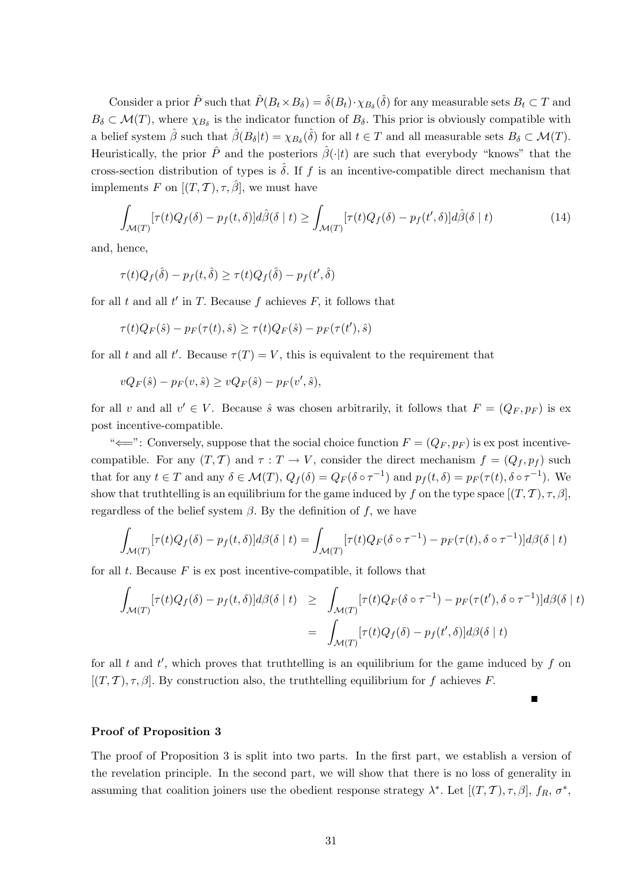Consider a prior  $\hat{P}$  such that  $\hat{P}(B_t \times B_\delta) = \hat{\delta}(B_t) \cdot \chi_{B_\delta}(\hat{\delta})$  for any measurable sets  $B_t \subset T$  and  $B_\delta \subset \mathcal{M}(T)$ , where  $\chi_{B_\delta}$  is the indicator function of  $B_\delta$ . This prior is obviously compatible with a belief system  $\hat{\beta}$  such that  $\hat{\beta}(B_{\delta}|t) = \chi_{B_{\delta}}(\hat{\delta})$  for all  $t \in T$  and all measurable sets  $B_{\delta} \subset \mathcal{M}(T)$ . Heuristically, the prior  $\hat{P}$  and the posteriors  $\hat{\beta}(\cdot|t)$  are such that everybody "knows" that the cross-section distribution of types is  $\hat{\delta}$ . If f is an incentive-compatible direct mechanism that implements F on  $[(T, \mathcal{T}), \tau, \hat{\beta}]$ , we must have

$$
\int_{\mathcal{M}(T)} [\tau(t)Q_f(\delta) - p_f(t,\delta)]d\hat{\beta}(\delta \mid t) \ge \int_{\mathcal{M}(T)} [\tau(t)Q_f(\delta) - p_f(t',\delta)]d\hat{\beta}(\delta \mid t)
$$
\n(14)

and, hence,

$$
\tau(t)Q_f(\hat{\delta}) - p_f(t,\hat{\delta}) \ge \tau(t)Q_f(\hat{\delta}) - p_f(t',\hat{\delta})
$$

for all  $t$  and all  $t'$  in  $T$ . Because  $f$  achieves  $F$ , it follows that

$$
\tau(t)Q_F(\hat{s}) - p_F(\tau(t), \hat{s}) \ge \tau(t)Q_F(\hat{s}) - p_F(\tau(t'), \hat{s})
$$

for all t and all t'. Because  $\tau(T) = V$ , this is equivalent to the requirement that

$$
vQ_F(\hat{s}) - p_F(v,\hat{s}) \ge vQ_F(\hat{s}) - p_F(v',\hat{s}),
$$

for all v and all  $v' \in V$ . Because  $\hat{s}$  was chosen arbitrarily, it follows that  $F = (Q_F, p_F)$  is expost incentive-compatible.

" $\Longleftarrow$ ": Conversely, suppose that the social choice function  $F = (Q_F, p_F)$  is expost incentivecompatible. For any  $(T, \mathcal{T})$  and  $\tau : T \to V$ , consider the direct mechanism  $f = (Q_f, p_f)$  such that for any  $t \in T$  and any  $\delta \in \mathcal{M}(T)$ ,  $Q_f(\delta) = Q_F(\delta \circ \tau^{-1})$  and  $p_f(t, \delta) = p_F(\tau(t), \delta \circ \tau^{-1})$ . We show that truthtelling is an equilibrium for the game induced by f on the type space  $[(T, \mathcal{T}), \tau, \beta]$ , regardless of the belief system  $\beta$ . By the definition of f, we have

$$
\int_{\mathcal{M}(T)} [\tau(t)Q_f(\delta) - p_f(t,\delta)]d\beta(\delta \mid t) = \int_{\mathcal{M}(T)} [\tau(t)Q_F(\delta \circ \tau^{-1}) - p_F(\tau(t), \delta \circ \tau^{-1})]d\beta(\delta \mid t)
$$

for all  $t$ . Because  $F$  is expost incentive-compatible, it follows that

$$
\int_{\mathcal{M}(T)} [\tau(t)Q_f(\delta) - p_f(t,\delta)]d\beta(\delta | t) \geq \int_{\mathcal{M}(T)} [\tau(t)Q_F(\delta \circ \tau^{-1}) - p_F(\tau(t'), \delta \circ \tau^{-1})]d\beta(\delta | t)
$$
\n
$$
= \int_{\mathcal{M}(T)} [\tau(t)Q_f(\delta) - p_f(t',\delta)]d\beta(\delta | t)
$$

 $\blacksquare$ 

for all t and  $t'$ , which proves that truthtelling is an equilibrium for the game induced by  $f$  on  $[(T, T), \tau, \beta]$ . By construction also, the truthtelling equilibrium for f achieves F.

#### Proof of Proposition 3

The proof of Proposition 3 is split into two parts. In the first part, we establish a version of the revelation principle. In the second part, we will show that there is no loss of generality in assuming that coalition joiners use the obedient response strategy  $\lambda^*$ . Let  $[(T, \mathcal{T}), \tau, \beta]$ ,  $f_R$ ,  $\sigma^*$ ,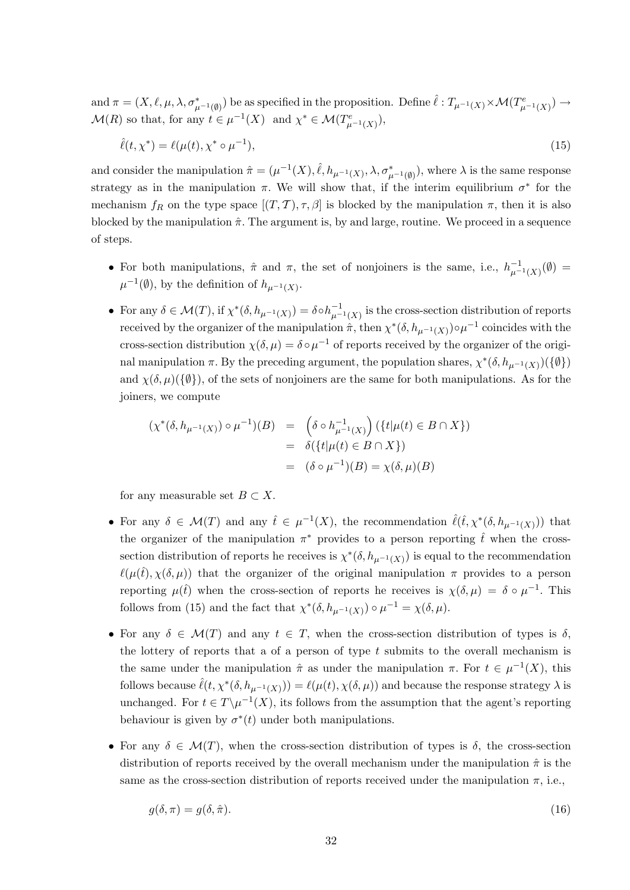and  $\pi = (X, \ell, \mu, \lambda, \sigma_{\mu^{-1}(\emptyset)}^*)$  be as specified in the proposition. Define  $\hat{\ell}: T_{\mu^{-1}(X)} \times \mathcal{M}(T_{\mu^{-1}(X)}^e) \to$  $\mathcal{M}(R)$  so that, for any  $t \in \mu^{-1}(X)$  and  $\chi^* \in \mathcal{M}(T^e_{\mu^{-1}(X)}),$ 

$$
\hat{\ell}(t, \chi^*) = \ell(\mu(t), \chi^* \circ \mu^{-1}),
$$
\n(15)

and consider the manipulation  $\hat{\pi} = (\mu^{-1}(X), \hat{\ell}, h_{\mu^{-1}(X)}, \lambda, \sigma^*_{\mu^{-1}(\emptyset)})$ , where  $\lambda$  is the same response strategy as in the manipulation  $\pi$ . We will show that, if the interim equilibrium  $\sigma^*$  for the mechanism  $f_R$  on the type space  $[(T, \mathcal{T}), \tau, \beta]$  is blocked by the manipulation  $\pi$ , then it is also blocked by the manipulation  $\hat{\pi}$ . The argument is, by and large, routine. We proceed in a sequence of steps.

- For both manipulations,  $\hat{\pi}$  and  $\pi$ , the set of nonjoiners is the same, i.e.,  $h_{\mu}^{-1}$  $\bar{U}_{\mu^{-1}(X)}^{-1}(\emptyset) =$  $\mu^{-1}(\emptyset)$ , by the definition of  $h_{\mu^{-1}(X)}$ .
- For any  $\delta \in \mathcal{M}(T)$ , if  $\chi^*(\delta, h_{\mu^{-1}(X)}) = \delta \circ h_{\mu^{-1}(X)}^{-1}$  $\mu^{-1}(X)$  is the cross-section distribution of reports received by the organizer of the manipulation  $\hat{\pi}$ , then  $\chi^*(\delta, h_{\mu^{-1}(X)}) \circ \mu^{-1}$  coincides with the cross-section distribution  $\chi(\delta,\mu) = \delta \circ \mu^{-1}$  of reports received by the organizer of the original manipulation  $\pi$ . By the preceding argument, the population shares,  $\chi^*(\delta, h_{\mu^{-1}(X)})(\{\emptyset\})$ and  $\chi(\delta,\mu)(\{\emptyset\})$ , of the sets of nonjoiners are the same for both manipulations. As for the joiners, we compute

$$
(\chi^*(\delta, h_{\mu^{-1}(X)}) \circ \mu^{-1})(B) = (\delta \circ h_{\mu^{-1}(X)}^{-1}) (\{t | \mu(t) \in B \cap X\})
$$
  
=  $\delta (\{t | \mu(t) \in B \cap X\})$   
=  $(\delta \circ \mu^{-1})(B) = \chi(\delta, \mu)(B)$ 

for any measurable set  $B \subset X$ .

- For any  $\delta \in \mathcal{M}(T)$  and any  $\hat{t} \in \mu^{-1}(X)$ , the recommendation  $\hat{\ell}(\hat{t}, \chi^*(\delta, h_{\mu^{-1}(X)}))$  that the organizer of the manipulation  $\pi^*$  provides to a person reporting  $\hat{t}$  when the crosssection distribution of reports he receives is  $\chi^*(\delta, h_{\mu^{-1}(X)})$  is equal to the recommendation  $\ell(\mu(\hat{t}), \chi(\delta, \mu))$  that the organizer of the original manipulation  $\pi$  provides to a person reporting  $\mu(\hat{t})$  when the cross-section of reports he receives is  $\chi(\delta,\mu) = \delta \circ \mu^{-1}$ . This follows from (15) and the fact that  $\chi^*(\delta, h_{\mu^{-1}(X)}) \circ \mu^{-1} = \chi(\delta, \mu)$ .
- For any  $\delta \in \mathcal{M}(T)$  and any  $t \in T$ , when the cross-section distribution of types is  $\delta$ , the lottery of reports that a of a person of type  $t$  submits to the overall mechanism is the same under the manipulation  $\hat{\pi}$  as under the manipulation  $\pi$ . For  $t \in \mu^{-1}(X)$ , this follows because  $\hat{\ell}(t, \chi^*(\delta, h_{\mu^{-1}(X)})) = \ell(\mu(t), \chi(\delta, \mu))$  and because the response strategy  $\lambda$  is unchanged. For  $t \in T\backslash \mu^{-1}(X)$ , its follows from the assumption that the agent's reporting behaviour is given by  $\sigma^*(t)$  under both manipulations.
- For any  $\delta \in \mathcal{M}(T)$ , when the cross-section distribution of types is  $\delta$ , the cross-section distribution of reports received by the overall mechanism under the manipulation  $\hat{\pi}$  is the same as the cross-section distribution of reports received under the manipulation  $\pi$ , i.e.,

$$
g(\delta, \pi) = g(\delta, \hat{\pi}).\tag{16}
$$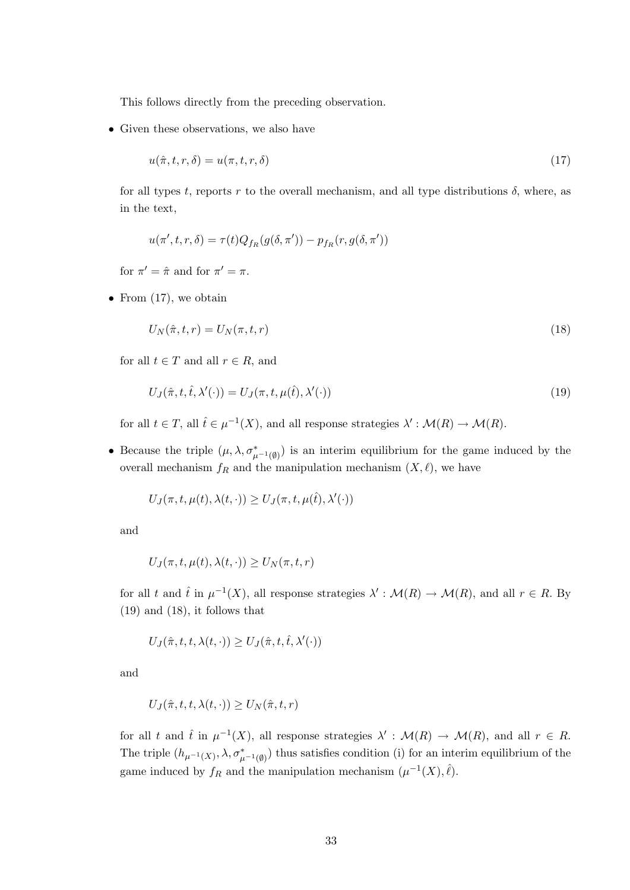This follows directly from the preceding observation.

• Given these observations, we also have

$$
u(\hat{\pi}, t, r, \delta) = u(\pi, t, r, \delta) \tag{17}
$$

for all types t, reports r to the overall mechanism, and all type distributions  $\delta$ , where, as in the text,

$$
u(\pi',t,r,\delta) = \tau(t)Q_{fn}(g(\delta,\pi')) - p_{fn}(r,g(\delta,\pi'))
$$

for  $\pi' = \hat{\pi}$  and for  $\pi' = \pi$ .

• From  $(17)$ , we obtain

$$
U_N(\hat{\pi}, t, r) = U_N(\pi, t, r) \tag{18}
$$

for all  $t \in T$  and all  $r \in R$ , and

$$
U_J(\hat{\pi}, t, \hat{t}, \lambda'(\cdot)) = U_J(\pi, t, \mu(\hat{t}), \lambda'(\cdot))
$$
\n(19)

for all  $t \in T$ , all  $\hat{t} \in \mu^{-1}(X)$ , and all response strategies  $\lambda' : \mathcal{M}(R) \to \mathcal{M}(R)$ .

• Because the triple  $(\mu, \lambda, \sigma_{\mu^{-1}(\emptyset)}^*)$  is an interim equilibrium for the game induced by the overall mechanism  $f_R$  and the manipulation mechanism  $(X, \ell)$ , we have

$$
U_J(\pi, t, \mu(t), \lambda(t, \cdot)) \ge U_J(\pi, t, \mu(\hat{t}), \lambda'(\cdot))
$$

and

$$
U_J(\pi, t, \mu(t), \lambda(t, \cdot)) \ge U_N(\pi, t, r)
$$

for all t and  $\hat{t}$  in  $\mu^{-1}(X)$ , all response strategies  $\lambda' : \mathcal{M}(R) \to \mathcal{M}(R)$ , and all  $r \in R$ . By (19) and (18), it follows that

$$
U_J(\hat{\pi}, t, t, \lambda(t, \cdot)) \ge U_J(\hat{\pi}, t, \hat{t}, \lambda'(\cdot))
$$

and

$$
U_J(\hat{\pi}, t, t, \lambda(t, \cdot)) \geq U_N(\hat{\pi}, t, r)
$$

for all t and  $\hat{t}$  in  $\mu^{-1}(X)$ , all response strategies  $\lambda' : \mathcal{M}(R) \to \mathcal{M}(R)$ , and all  $r \in R$ . The triple  $(h_{\mu^{-1}(X)}, \lambda, \sigma_{\mu^{-1}(\emptyset)}^*)$  thus satisfies condition (i) for an interim equilibrium of the game induced by  $f_R$  and the manipulation mechanism  $(\mu^{-1}(X), \hat{\ell})$ .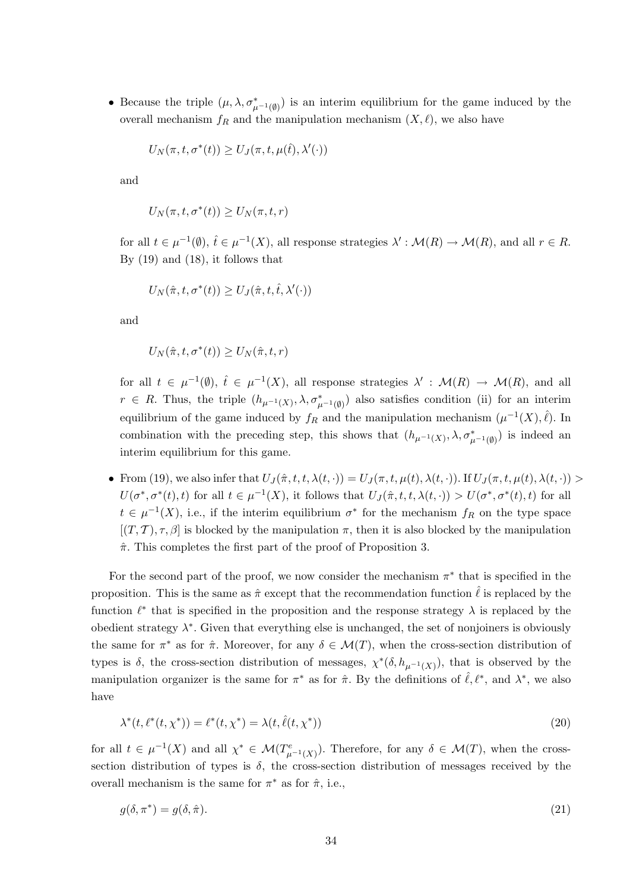• Because the triple  $(\mu, \lambda, \sigma_{\mu^{-1}(\emptyset)}^*)$  is an interim equilibrium for the game induced by the overall mechanism  $f_R$  and the manipulation mechanism  $(X, \ell)$ , we also have

$$
U_N(\pi, t, \sigma^*(t)) \ge U_J(\pi, t, \mu(\hat{t}), \lambda'(\cdot))
$$

and

$$
U_N(\pi, t, \sigma^*(t)) \ge U_N(\pi, t, r)
$$

for all  $t \in \mu^{-1}(\emptyset)$ ,  $\hat{t} \in \mu^{-1}(X)$ , all response strategies  $\lambda' : \mathcal{M}(R) \to \mathcal{M}(R)$ , and all  $r \in R$ . By (19) and (18), it follows that

$$
U_N(\hat{\pi}, t, \sigma^*(t)) \ge U_J(\hat{\pi}, t, \hat{t}, \lambda'(\cdot))
$$

and

$$
U_N(\hat{\pi}, t, \sigma^*(t)) \ge U_N(\hat{\pi}, t, r)
$$

for all  $t \in \mu^{-1}(\emptyset)$ ,  $\hat{t} \in \mu^{-1}(X)$ , all response strategies  $\lambda' : \mathcal{M}(R) \to \mathcal{M}(R)$ , and all  $r \in R$ . Thus, the triple  $(h_{\mu^{-1}(X)}, \lambda, \sigma_{\mu^{-1}(\emptyset)}^*)$  also satisfies condition (ii) for an interim equilibrium of the game induced by  $f_R$  and the manipulation mechanism  $(\mu^{-1}(X), \hat{\ell})$ . In combination with the preceding step, this shows that  $(h_{\mu^{-1}(X)}, \lambda, \sigma_{\mu^{-1}(\emptyset)}^*)$  is indeed an interim equilibrium for this game.

• From (19), we also infer that  $U_J(\hat{\pi}, t, t, \lambda(t, \cdot)) = U_J(\pi, t, \mu(t), \lambda(t, \cdot))$ . If  $U_J(\pi, t, \mu(t), \lambda(t, \cdot))$  $U(\sigma^*, \sigma^*(t), t)$  for all  $t \in \mu^{-1}(X)$ , it follows that  $U_J(\hat{\pi}, t, t, \lambda(t, \cdot)) > U(\sigma^*, \sigma^*(t), t)$  for all  $t \in \mu^{-1}(X)$ , i.e., if the interim equilibrium  $\sigma^*$  for the mechanism  $f_R$  on the type space  $[(T, T), \tau, \beta]$  is blocked by the manipulation  $\pi$ , then it is also blocked by the manipulation  $\hat{\pi}$ . This completes the first part of the proof of Proposition 3.

For the second part of the proof, we now consider the mechanism  $\pi^*$  that is specified in the proposition. This is the same as  $\hat{\pi}$  except that the recommendation function  $\ell$  is replaced by the function  $\ell^*$  that is specified in the proposition and the response strategy  $\lambda$  is replaced by the obedient strategy  $\lambda^*$ . Given that everything else is unchanged, the set of nonjoiners is obviously the same for  $\pi^*$  as for  $\hat{\pi}$ . Moreover, for any  $\delta \in \mathcal{M}(T)$ , when the cross-section distribution of types is  $\delta$ , the cross-section distribution of messages,  $\chi^*(\delta, h_{\mu^{-1}(X)})$ , that is observed by the manipulation organizer is the same for  $\pi^*$  as for  $\hat{\pi}$ . By the definitions of  $\hat{\ell}, \ell^*$ , and  $\lambda^*$ , we also have

$$
\lambda^*(t, \ell^*(t, \chi^*)) = \ell^*(t, \chi^*) = \lambda(t, \hat{\ell}(t, \chi^*))
$$
\n(20)

for all  $t \in \mu^{-1}(X)$  and all  $\chi^* \in \mathcal{M}(T^e_{\mu^{-1}(X)})$ . Therefore, for any  $\delta \in \mathcal{M}(T)$ , when the crosssection distribution of types is  $\delta$ , the cross-section distribution of messages received by the overall mechanism is the same for  $\pi^*$  as for  $\hat{\pi}$ , i.e.,

$$
g(\delta, \pi^*) = g(\delta, \hat{\pi}). \tag{21}
$$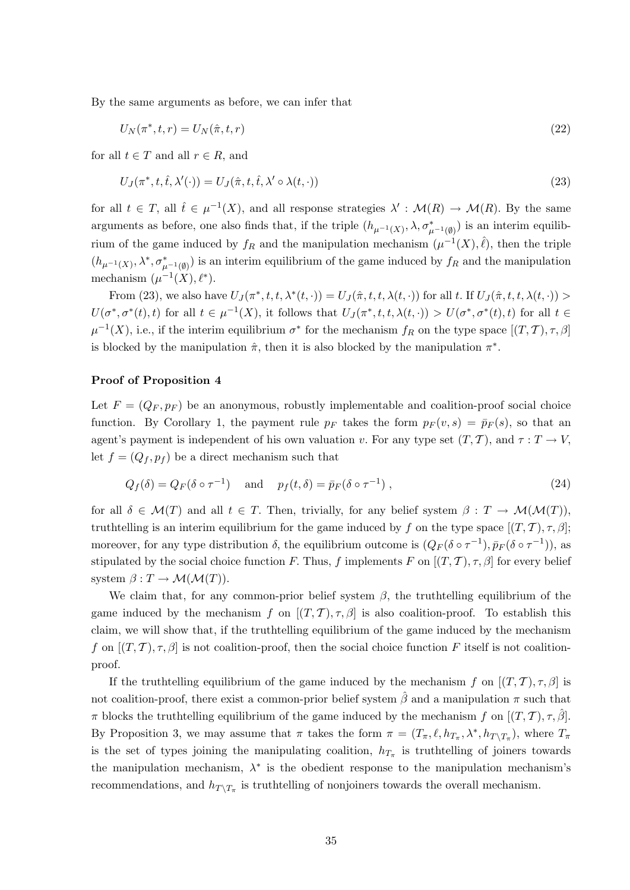By the same arguments as before, we can infer that

$$
U_N(\pi^*, t, r) = U_N(\hat{\pi}, t, r) \tag{22}
$$

for all  $t \in T$  and all  $r \in R$ , and

$$
U_J(\pi^*, t, \hat{t}, \lambda'(\cdot)) = U_J(\hat{\pi}, t, \hat{t}, \lambda' \circ \lambda(t, \cdot))
$$
\n(23)

for all  $t \in T$ , all  $\hat{t} \in \mu^{-1}(X)$ , and all response strategies  $\lambda' : \mathcal{M}(R) \to \mathcal{M}(R)$ . By the same arguments as before, one also finds that, if the triple  $(h_{\mu^{-1}(X)}, \lambda, \sigma^*_{\mu^{-1}(\emptyset)})$  is an interim equilibrium of the game induced by  $f_R$  and the manipulation mechanism  $(\mu^{-1}(X), \hat{\ell})$ , then the triple  $(h_{\mu^{-1}(X)}, \lambda^*, \sigma_{\mu^{-1}(\emptyset)}^*)$  is an interim equilibrium of the game induced by  $f_R$  and the manipulation mechanism  $(\mu^{-1}(X), \ell^*)$ .

From (23), we also have  $U_J(\pi^*, t, t, \lambda^*(t, \cdot)) = U_J(\hat{\pi}, t, t, \lambda(t, \cdot))$  for all t. If  $U_J(\hat{\pi}, t, t, \lambda(t, \cdot))$  >  $U(\sigma^*, \sigma^*(t), t)$  for all  $t \in \mu^{-1}(X)$ , it follows that  $U_J(\pi^*, t, t, \lambda(t, \cdot)) > U(\sigma^*, \sigma^*(t), t)$  for all  $t \in$  $\mu^{-1}(X)$ , i.e., if the interim equilibrium  $\sigma^*$  for the mechanism  $f_R$  on the type space  $[(T, \mathcal{T}), \tau, \beta]$ is blocked by the manipulation  $\hat{\pi}$ , then it is also blocked by the manipulation  $\pi^*$ .

#### Proof of Proposition 4

Let  $F = (Q_F, p_F)$  be an anonymous, robustly implementable and coalition-proof social choice function. By Corollary 1, the payment rule  $p_F$  takes the form  $p_F(v, s) = \bar{p}_F(s)$ , so that an agent's payment is independent of his own valuation v. For any type set  $(T, \mathcal{T})$ , and  $\tau : T \to V$ , let  $f = (Q_f, p_f)$  be a direct mechanism such that

$$
Q_f(\delta) = Q_F(\delta \circ \tau^{-1}) \quad \text{and} \quad p_f(t,\delta) = \bar{p}_F(\delta \circ \tau^{-1}), \tag{24}
$$

for all  $\delta \in \mathcal{M}(T)$  and all  $t \in T$ . Then, trivially, for any belief system  $\beta : T \to \mathcal{M}(\mathcal{M}(T))$ , truthtelling is an interim equilibrium for the game induced by f on the type space  $[(T, \mathcal{T}), \tau, \beta]$ ; moreover, for any type distribution  $\delta$ , the equilibrium outcome is  $(Q_F(\delta \circ \tau^{-1}), \bar{p}_F(\delta \circ \tau^{-1}))$ , as stipulated by the social choice function F. Thus, f implements F on  $[(T, \mathcal{T}), \tau, \beta]$  for every belief system  $\beta: T \to \mathcal{M}(\mathcal{M}(T)).$ 

We claim that, for any common-prior belief system  $\beta$ , the truthtelling equilibrium of the game induced by the mechanism f on  $[(T, \mathcal{T}), \tau, \beta]$  is also coalition-proof. To establish this claim, we will show that, if the truthtelling equilibrium of the game induced by the mechanism f on  $[(T, T), \tau, \beta]$  is not coalition-proof, then the social choice function F itself is not coalitionproof.

If the truthtelling equilibrium of the game induced by the mechanism f on  $[(T, T), \tau, \beta]$  is not coalition-proof, there exist a common-prior belief system  $\hat{\beta}$  and a manipulation  $\pi$  such that π blocks the truthtelling equilibrium of the game induced by the mechanism f on  $[(T, \mathcal{T}), \tau, \hat{\beta}]$ . By Proposition 3, we may assume that  $\pi$  takes the form  $\pi = (T_{\pi}, \ell, h_{T_{\pi}}, \lambda^*, h_{T \setminus T_{\pi}})$ , where  $T_{\pi}$ is the set of types joining the manipulating coalition,  $h_{T_{\pi}}$  is truthtelling of joiners towards the manipulation mechanism,  $\lambda^*$  is the obedient response to the manipulation mechanism's recommendations, and  $h_{T\setminus T_\pi}$  is truthtelling of nonjoiners towards the overall mechanism.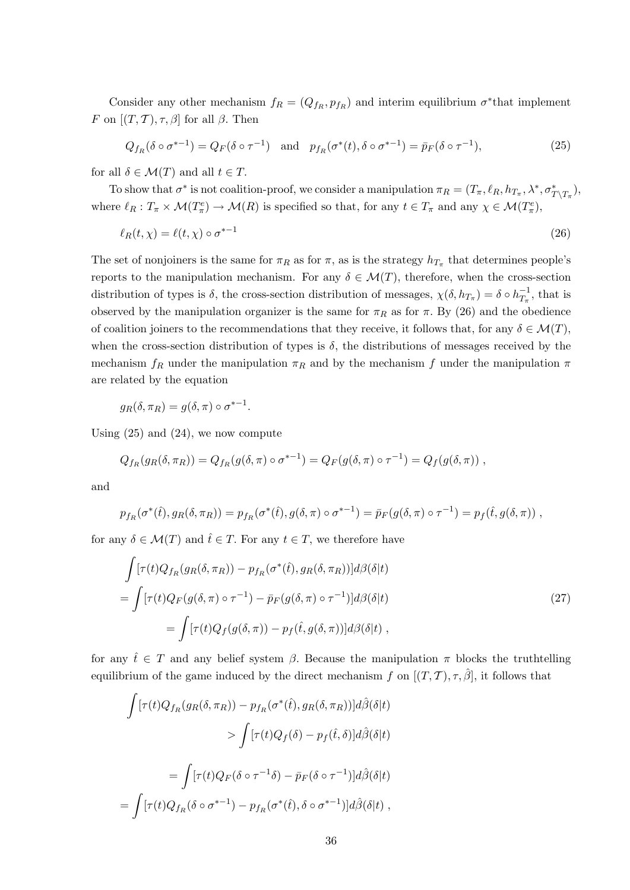Consider any other mechanism  $f_R = (Q_{f_R}, p_{f_R})$  and interim equilibrium  $\sigma^*$  that implement F on  $[(T, \mathcal{T}), \tau, \beta]$  for all  $\beta$ . Then

$$
Q_{f_R}(\delta \circ \sigma^{*-1}) = Q_F(\delta \circ \tau^{-1}) \quad \text{and} \quad p_{f_R}(\sigma^*(t), \delta \circ \sigma^{*-1}) = \bar{p}_F(\delta \circ \tau^{-1}), \tag{25}
$$

for all  $\delta \in \mathcal{M}(T)$  and all  $t \in T$ .

To show that  $\sigma^*$  is not coalition-proof, we consider a manipulation  $\pi_R = (T_\pi, \ell_R, h_{T_\pi}, \lambda^*, \sigma^*_{T \setminus T_\pi}),$ where  $\ell_R : T_\pi \times \mathcal{M}(T_\pi^e) \to \mathcal{M}(R)$  is specified so that, for any  $t \in T_\pi$  and any  $\chi \in \mathcal{M}(T_\pi^e)$ ,

$$
\ell_R(t,\chi) = \ell(t,\chi) \circ \sigma^{*-1}
$$
\n(26)

The set of nonjoiners is the same for  $\pi_R$  as for  $\pi$ , as is the strategy  $h_{T_{\pi}}$  that determines people's reports to the manipulation mechanism. For any  $\delta \in \mathcal{M}(T)$ , therefore, when the cross-section distribution of types is  $\delta$ , the cross-section distribution of messages,  $\chi(\delta, h_{T_{\pi}}) = \delta \circ h_{T_{\pi}}^{-1}$  $\overline{T_{\pi}}^1$ , that is observed by the manipulation organizer is the same for  $\pi_R$  as for  $\pi$ . By (26) and the obedience of coalition joiners to the recommendations that they receive, it follows that, for any  $\delta \in \mathcal{M}(T)$ , when the cross-section distribution of types is  $\delta$ , the distributions of messages received by the mechanism  $f_R$  under the manipulation  $\pi_R$  and by the mechanism f under the manipulation  $\pi$ are related by the equation

$$
g_R(\delta, \pi_R) = g(\delta, \pi) \circ \sigma^{*-1}.
$$

Using  $(25)$  and  $(24)$ , we now compute

$$
Q_{f_R}(g_R(\delta, \pi_R)) = Q_{f_R}(g(\delta, \pi) \circ \sigma^{*-1}) = Q_F(g(\delta, \pi) \circ \tau^{-1}) = Q_f(g(\delta, \pi)),
$$

and

$$
p_{f_R}(\sigma^*(\hat{t}), g_R(\delta, \pi_R)) = p_{f_R}(\sigma^*(\hat{t}), g(\delta, \pi) \circ \sigma^{*-1}) = \bar{p}_F(g(\delta, \pi) \circ \tau^{-1}) = p_f(\hat{t}, g(\delta, \pi)),
$$

for any  $\delta \in \mathcal{M}(T)$  and  $\hat{t} \in T$ . For any  $t \in T$ , we therefore have

$$
\int [\tau(t)Q_{f_R}(g_R(\delta,\pi_R)) - p_{f_R}(\sigma^*(\hat{t}), g_R(\delta,\pi_R))]d\beta(\delta|t)
$$
\n
$$
= \int [\tau(t)Q_F(g(\delta,\pi)\circ\tau^{-1}) - \bar{p}_F(g(\delta,\pi)\circ\tau^{-1})]d\beta(\delta|t)
$$
\n
$$
= \int [\tau(t)Q_f(g(\delta,\pi)) - p_f(\hat{t}, g(\delta,\pi))]d\beta(\delta|t) , \qquad (27)
$$

for any  $\hat{t} \in T$  and any belief system  $\beta$ . Because the manipulation  $\pi$  blocks the truthtelling equilibrium of the game induced by the direct mechanism f on  $[(T, \mathcal{T}), \tau, \hat{\beta}]$ , it follows that

$$
\int [\tau(t)Q_{f_R}(g_R(\delta,\pi_R)) - p_{f_R}(\sigma^*(\hat{t}), g_R(\delta,\pi_R))]d\hat{\beta}(\delta|t)
$$
  
\n
$$
> \int [\tau(t)Q_f(\delta) - p_f(\hat{t},\delta)]d\hat{\beta}(\delta|t)
$$
  
\n
$$
= \int [\tau(t)Q_F(\delta \circ \tau^{-1}\delta) - \bar{p}_F(\delta \circ \tau^{-1})]d\hat{\beta}(\delta|t)
$$
  
\n
$$
= \int [\tau(t)Q_{f_R}(\delta \circ \sigma^{*-1}) - p_{f_R}(\sigma^*(\hat{t}), \delta \circ \sigma^{*-1})]d\hat{\beta}(\delta|t),
$$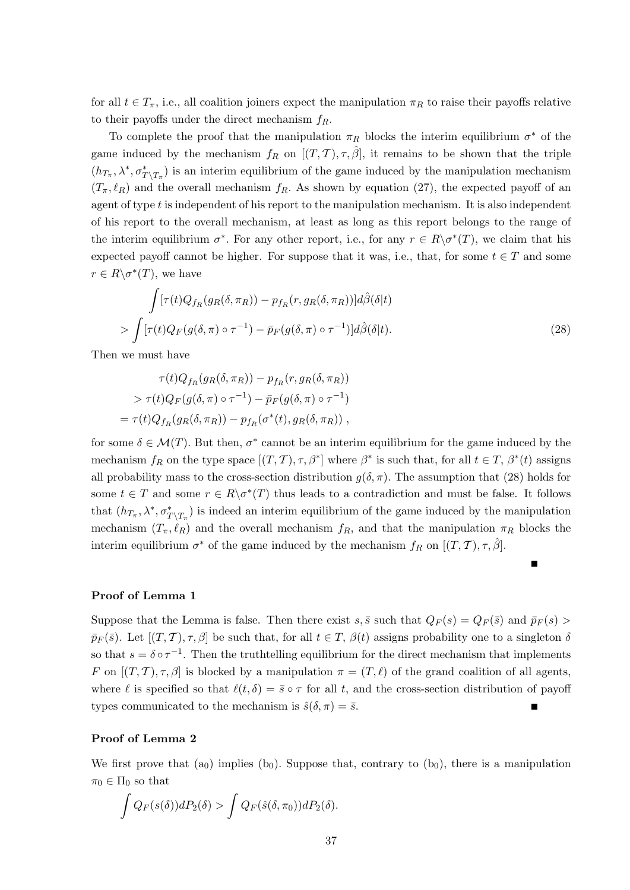for all  $t \in T_{\pi}$ , i.e., all coalition joiners expect the manipulation  $\pi_R$  to raise their payoffs relative to their payoffs under the direct mechanism  $f_R$ .

To complete the proof that the manipulation  $\pi_R$  blocks the interim equilibrium  $\sigma^*$  of the game induced by the mechanism  $f_R$  on  $[(T, T), \tau, \hat{\beta}]$ , it remains to be shown that the triple  $(h_{T_\pi}, \lambda^*, \sigma^*_{T\setminus T_\pi})$  is an interim equilibrium of the game induced by the manipulation mechanism  $(T_\pi, \ell_R)$  and the overall mechanism  $f_R$ . As shown by equation (27), the expected payoff of an agent of type  $t$  is independent of his report to the manipulation mechanism. It is also independent of his report to the overall mechanism, at least as long as this report belongs to the range of the interim equilibrium  $\sigma^*$ . For any other report, i.e., for any  $r \in R \setminus \sigma^*(T)$ , we claim that his expected payoff cannot be higher. For suppose that it was, i.e., that, for some  $t \in T$  and some  $r \in R \backslash \sigma^*(T)$ , we have

$$
\int [\tau(t)Q_{f_R}(g_R(\delta,\pi_R)) - p_{f_R}(r, g_R(\delta,\pi_R))]d\hat{\beta}(\delta|t)
$$
  
> 
$$
\int [\tau(t)Q_F(g(\delta,\pi)\circ\tau^{-1}) - \bar{p}_F(g(\delta,\pi)\circ\tau^{-1})]d\hat{\beta}(\delta|t).
$$
 (28)

Then we must have

$$
\tau(t)Q_{f_R}(g_R(\delta, \pi_R)) - p_{f_R}(r, g_R(\delta, \pi_R))
$$
  
> 
$$
\tau(t)Q_F(g(\delta, \pi) \circ \tau^{-1}) - \bar{p}_F(g(\delta, \pi) \circ \tau^{-1})
$$
  
= 
$$
\tau(t)Q_{f_R}(g_R(\delta, \pi_R)) - p_{f_R}(\sigma^*(t), g_R(\delta, \pi_R)),
$$

for some  $\delta \in \mathcal{M}(T)$ . But then,  $\sigma^*$  cannot be an interim equilibrium for the game induced by the mechanism  $f_R$  on the type space  $[(T, \mathcal{T}), \tau, \beta^*]$  where  $\beta^*$  is such that, for all  $t \in T$ ,  $\beta^*(t)$  assigns all probability mass to the cross-section distribution  $g(\delta, \pi)$ . The assumption that (28) holds for some  $t \in T$  and some  $r \in R \setminus \sigma^*(T)$  thus leads to a contradiction and must be false. It follows that  $(h_{T_{\pi}}, \lambda^*, \sigma^*_{T\setminus T_{\pi}})$  is indeed an interim equilibrium of the game induced by the manipulation mechanism  $(T_\pi, \ell_R)$  and the overall mechanism  $f_R$ , and that the manipulation  $\pi_R$  blocks the interim equilibrium  $\sigma^*$  of the game induced by the mechanism  $f_R$  on  $[(T, \mathcal{T}), \tau, \hat{\beta}]$ .

#### Proof of Lemma 1

Suppose that the Lemma is false. Then there exist s,  $\bar{s}$  such that  $Q_F(s) = Q_F(\bar{s})$  and  $\bar{p}_F(s) >$  $\bar{p}_F(\bar{s})$ . Let  $[(T, \mathcal{T}), \tau, \beta]$  be such that, for all  $t \in T$ ,  $\beta(t)$  assigns probability one to a singleton  $\delta$ so that  $s = \delta \circ \tau^{-1}$ . Then the truthtelling equilibrium for the direct mechanism that implements F on  $[(T, T), \tau, \beta]$  is blocked by a manipulation  $\pi = (T, \ell)$  of the grand coalition of all agents, where  $\ell$  is specified so that  $\ell(t, \delta) = \bar{s} \circ \tau$  for all t, and the cross-section distribution of payoff types communicated to the mechanism is  $\hat{s}(\delta, \pi) = \bar{s}$ .

#### Proof of Lemma 2

We first prove that  $(a_0)$  implies  $(b_0)$ . Suppose that, contrary to  $(b_0)$ , there is a manipulation  $\pi_0 \in \Pi_0$  so that

$$
\int Q_F(s(\delta))dP_2(\delta) > \int Q_F(\hat{s}(\delta,\pi_0))dP_2(\delta).
$$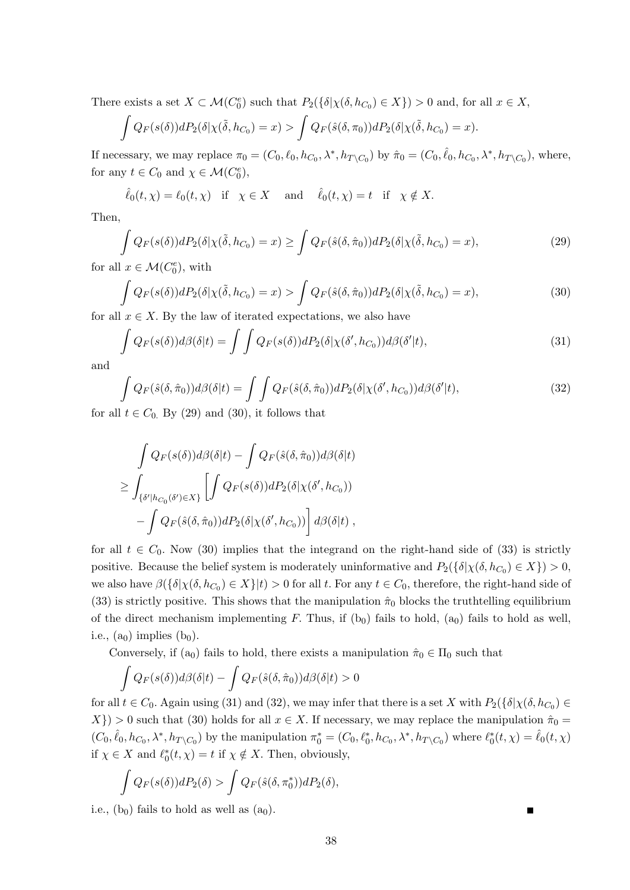There exists a set  $X \subset \mathcal{M}(C_0^e)$  such that  $P_2(\{\delta | \chi(\delta, h_{C_0}) \in X\}) > 0$  and, for all  $x \in X$ ,

$$
\int Q_F(s(\delta))dP_2(\delta|\chi(\tilde{\delta},h_{C_0})=x) > \int Q_F(\hat{s}(\delta,\pi_0))dP_2(\delta|\chi(\tilde{\delta},h_{C_0})=x).
$$

If necessary, we may replace  $\pi_0 = (C_0, \ell_0, h_{C_0}, \lambda^*, h_{T \setminus C_0})$  by  $\hat{\pi}_0 = (C_0, \hat{\ell}_0, h_{C_0}, \lambda^*, h_{T \setminus C_0})$ , where, for any  $t \in C_0$  and  $\chi \in \mathcal{M}(C_0^e)$ ,

$$
\hat{\ell}_0(t,\chi) = \ell_0(t,\chi)
$$
 if  $\chi \in X$  and  $\hat{\ell}_0(t,\chi) = t$  if  $\chi \notin X$ .

Then,

$$
\int Q_F(s(\delta))dP_2(\delta|\chi(\tilde{\delta},h_{C_0})=x) \ge \int Q_F(\hat{s}(\delta,\hat{\pi}_0))dP_2(\delta|\chi(\tilde{\delta},h_{C_0})=x),\tag{29}
$$

for all  $x \in \mathcal{M}(C_0^e)$ , with

$$
\int Q_F(s(\delta))dP_2(\delta|\chi(\tilde{\delta},h_{C_0})=x) > \int Q_F(\hat{s}(\delta,\hat{\pi}_0))dP_2(\delta|\chi(\tilde{\delta},h_{C_0})=x),\tag{30}
$$

for all  $x \in X$ . By the law of iterated expectations, we also have

$$
\int Q_F(s(\delta))d\beta(\delta|t) = \int \int Q_F(s(\delta))dP_2(\delta|\chi(\delta', h_{C_0}))d\beta(\delta'|t), \tag{31}
$$

and

$$
\int Q_F(\hat{s}(\delta, \hat{\pi}_0))d\beta(\delta|t) = \int \int Q_F(\hat{s}(\delta, \hat{\pi}_0))dP_2(\delta|\chi(\delta', h_{C_0}))d\beta(\delta'|t),
$$
\n(32)

for all  $t \in C_0$ . By (29) and (30), it follows that

$$
\int Q_F(s(\delta))d\beta(\delta|t) - \int Q_F(\hat{s}(\delta,\hat{\pi}_0))d\beta(\delta|t)
$$
  
\n
$$
\geq \int_{\{\delta'|h_{C_0}(\delta') \in X\}} \left[ \int Q_F(s(\delta))dP_2(\delta|\chi(\delta',h_{C_0})) - \int Q_F(\hat{s}(\delta,\hat{\pi}_0))dP_2(\delta|\chi(\delta',h_{C_0})) \right] d\beta(\delta|t),
$$

for all  $t \in C_0$ . Now (30) implies that the integrand on the right-hand side of (33) is strictly positive. Because the belief system is moderately uninformative and  $P_2(\{\delta|\chi(\delta, h_{C_0}) \in X\}) > 0$ , we also have  $\beta(\{\delta|\chi(\delta, h_{C_0}) \in X\}|t) > 0$  for all t. For any  $t \in C_0$ , therefore, the right-hand side of (33) is strictly positive. This shows that the manipulation  $\hat{\pi}_0$  blocks the truthtelling equilibrium of the direct mechanism implementing F. Thus, if  $(b_0)$  fails to hold,  $(a_0)$  fails to hold as well, i.e.,  $(a_0)$  implies  $(b_0)$ .

Conversely, if (a<sub>0</sub>) fails to hold, there exists a manipulation  $\hat{\pi}_0 \in \Pi_0$  such that

$$
\int Q_F(s(\delta))d\beta(\delta|t) - \int Q_F(\hat{s}(\delta,\hat{\pi}_0))d\beta(\delta|t) > 0
$$

for all  $t \in C_0$ . Again using (31) and (32), we may infer that there is a set X with  $P_2(\{\delta|\chi(\delta, h_{C_0}) \in$  $X$ ) > 0 such that (30) holds for all  $x \in X$ . If necessary, we may replace the manipulation  $\hat{\pi}_0 =$  $(C_0, \hat{\ell}_0, h_{C_0}, \lambda^*, h_{T\setminus C_0})$  by the manipulation  $\pi_0^* = (C_0, \ell_0^*, h_{C_0}, \lambda^*, h_{T\setminus C_0})$  where  $\ell_0^*(t, \chi) = \hat{\ell}_0(t, \chi)$ if  $\chi \in X$  and  $\ell_0^*(t, \chi) = t$  if  $\chi \notin X$ . Then, obviously,

$$
\int Q_F(s(\delta))dP_2(\delta) > \int Q_F(\hat{s}(\delta,\pi_0^*))dP_2(\delta),
$$

i.e.,  $(b_0)$  fails to hold as well as  $(a_0)$ .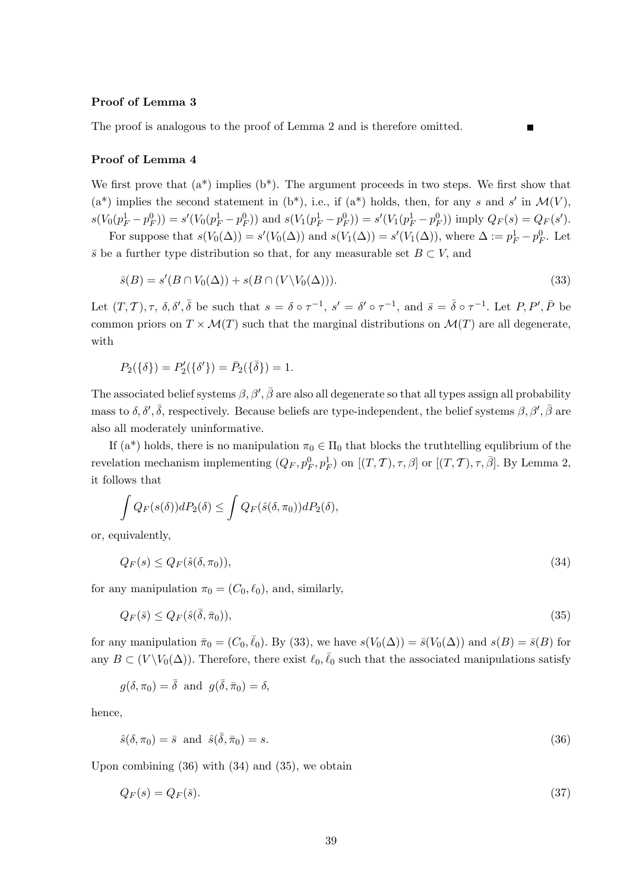#### Proof of Lemma 3

The proof is analogous to the proof of Lemma 2 and is therefore omitted.

#### Proof of Lemma 4

We first prove that  $(a^*)$  implies  $(b^*)$ . The argument proceeds in two steps. We first show that (a\*) implies the second statement in (b\*), i.e., if (a\*) holds, then, for any s and s' in  $\mathcal{M}(V)$ ,  $s(V_0(p_F^1 - p_F^0)) = s'(V_0(p_F^1 - p_F^0))$  and  $s(V_1(p_F^1 - p_F^0)) = s'(V_1(p_F^1 - p_F^0))$  imply  $Q_F(s) = Q_F(s')$ .

For suppose that  $s(V_0(\Delta)) = s'(V_0(\Delta))$  and  $s(V_1(\Delta)) = s'(V_1(\Delta))$ , where  $\Delta := p_F^1 - p_F^0$ . Let  $\bar{s}$  be a further type distribution so that, for any measurable set  $B \subset V$ , and

$$
\bar{s}(B) = s'(B \cap V_0(\Delta)) + s(B \cap (V \backslash V_0(\Delta))). \tag{33}
$$

Let  $(T, \mathcal{T}), \tau$ ,  $\delta, \delta', \bar{\delta}$  be such that  $s = \delta \circ \tau^{-1}$ ,  $s' = \delta' \circ \tau^{-1}$ , and  $\bar{s} = \bar{\delta} \circ \tau^{-1}$ . Let  $P, P', \bar{P}$  be common priors on  $T \times \mathcal{M}(T)$  such that the marginal distributions on  $\mathcal{M}(T)$  are all degenerate, with

$$
P_2({\{\delta\}}) = P'_2({\{\delta'\}}) = \bar{P}_2({\{\bar{\delta}\}}) = 1.
$$

The associated belief systems  $\beta, \beta', \bar{\beta}$  are also all degenerate so that all types assign all probability mass to  $\delta, \delta', \bar{\delta}$ , respectively. Because beliefs are type-independent, the belief systems  $\beta, \beta', \bar{\beta}$  are also all moderately uninformative.

If (a<sup>\*</sup>) holds, there is no manipulation  $\pi_0 \in \Pi_0$  that blocks the truthtelling equlibrium of the revelation mechanism implementing  $(Q_F, p_F^0, p_F^1)$  on  $[(T, T), \tau, \beta]$  or  $[(T, T), \tau, \overline{\beta}]$ . By Lemma 2, it follows that

$$
\int Q_F(s(\delta))dP_2(\delta) \leq \int Q_F(\hat{s}(\delta,\pi_0))dP_2(\delta),
$$

or, equivalently,

$$
Q_F(s) \le Q_F(\hat{s}(\delta, \pi_0)),\tag{34}
$$

for any manipulation  $\pi_0 = (C_0, \ell_0)$ , and, similarly,

$$
Q_F(\bar{s}) \le Q_F(\hat{s}(\bar{\delta}, \bar{\pi}_0)),\tag{35}
$$

for any manipulation  $\bar{\pi}_0 = (C_0, \bar{\ell}_0)$ . By (33), we have  $s(V_0(\Delta)) = \bar{s}(V_0(\Delta))$  and  $s(B) = \bar{s}(B)$  for any  $B \subset (V \setminus V_0(\Delta))$ . Therefore, there exist  $\ell_0, \bar{\ell}_0$  such that the associated manipulations satisfy

 $g(\delta, \pi_0) = \overline{\delta}$  and  $g(\overline{\delta}, \overline{\pi}_0) = \delta$ ,

hence,

$$
\hat{s}(\delta, \pi_0) = \bar{s} \text{ and } \hat{s}(\bar{\delta}, \bar{\pi}_0) = s. \tag{36}
$$

Upon combining (36) with (34) and (35), we obtain

$$
Q_F(s) = Q_F(\bar{s}).\tag{37}
$$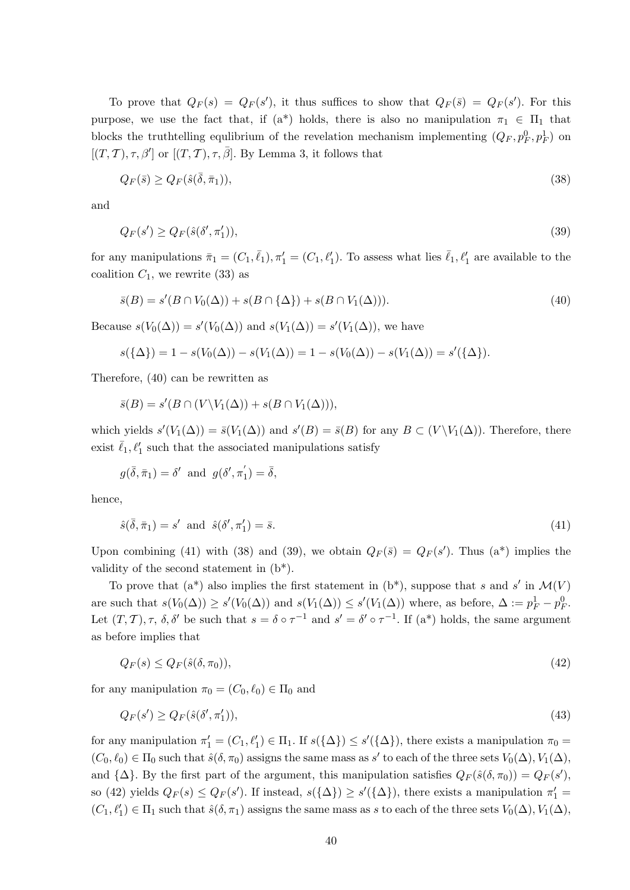To prove that  $Q_F(s) = Q_F(s')$ , it thus suffices to show that  $Q_F(\bar{s}) = Q_F(s')$ . For this purpose, we use the fact that, if (a\*) holds, there is also no manipulation  $\pi_1 \in \Pi_1$  that blocks the truthtelling equlibrium of the revelation mechanism implementing  $(Q_F, p_F^0, p_F^1)$  on  $[(T, T), \tau, \beta']$  or  $[(T, T), \tau, \overline{\beta}]$ . By Lemma 3, it follows that

$$
Q_F(\bar{s}) \ge Q_F(\hat{s}(\bar{\delta}, \bar{\pi}_1)),\tag{38}
$$

and

$$
Q_F(s') \ge Q_F(\hat{s}(\delta', \pi'_1)),\tag{39}
$$

for any manipulations  $\bar{\pi}_1 = (C_1, \bar{\ell}_1), \pi'_1 = (C_1, \ell'_1)$ . To assess what lies  $\bar{\ell}_1, \ell'_1$  are available to the coalition  $C_1$ , we rewrite (33) as

$$
\bar{s}(B) = s'(B \cap V_0(\Delta)) + s(B \cap {\Delta}) + s(B \cap V_1(\Delta))). \tag{40}
$$

Because  $s(V_0(\Delta)) = s'(V_0(\Delta))$  and  $s(V_1(\Delta)) = s'(V_1(\Delta))$ , we have

$$
s(\{\Delta\}) = 1 - s(V_0(\Delta)) - s(V_1(\Delta)) = 1 - s(V_0(\Delta)) - s(V_1(\Delta)) = s'(\{\Delta\}).
$$

Therefore, (40) can be rewritten as

$$
\bar{s}(B) = s'(B \cap (V \setminus V_1(\Delta)) + s(B \cap V_1(\Delta))),
$$

which yields  $s'(V_1(\Delta)) = \overline{s}(V_1(\Delta))$  and  $s'(B) = \overline{s}(B)$  for any  $B \subset (V \setminus V_1(\Delta))$ . Therefore, there exist $\bar{\ell}_1, \ell'_1$  such that the associated manipulations satisfy

$$
g(\bar{\delta}, \bar{\pi}_1) = \delta'
$$
 and  $g(\delta', \pi'_1) = \bar{\delta}$ ,

hence,

$$
\hat{s}(\bar{\delta}, \bar{\pi}_1) = s' \text{ and } \hat{s}(\delta', \pi'_1) = \bar{s}.\tag{41}
$$

Upon combining (41) with (38) and (39), we obtain  $Q_F(\bar{s}) = Q_F(s')$ . Thus (a<sup>\*</sup>) implies the validity of the second statement in (b\*).

To prove that (a<sup>\*</sup>) also implies the first statement in (b<sup>\*</sup>), suppose that s and s' in  $\mathcal{M}(V)$ are such that  $s(V_0(\Delta)) \ge s'(V_0(\Delta))$  and  $s(V_1(\Delta)) \le s'(V_1(\Delta))$  where, as before,  $\Delta := p_F^1 - p_F^0$ . Let  $(T, \mathcal{T}), \tau$ ,  $\delta$ ,  $\delta'$  be such that  $s = \delta \circ \tau^{-1}$  and  $s' = \delta' \circ \tau^{-1}$ . If  $(a^*)$  holds, the same argument as before implies that

$$
Q_F(s) \le Q_F(\hat{s}(\delta, \pi_0)),\tag{42}
$$

for any manipulation  $\pi_0 = (C_0, \ell_0) \in \Pi_0$  and

$$
Q_F(s') \ge Q_F(\hat{s}(\delta', \pi'_1)),\tag{43}
$$

for any manipulation  $\pi'_1 = (C_1, \ell'_1) \in \Pi_1$ . If  $s(\{\Delta\}) \leq s'(\{\Delta\})$ , there exists a manipulation  $\pi_0 =$  $(C_0, \ell_0) \in \Pi_0$  such that  $\hat{s}(\delta, \pi_0)$  assigns the same mass as s' to each of the three sets  $V_0(\Delta)$ ,  $V_1(\Delta)$ , and  $\{\Delta\}$ . By the first part of the argument, this manipulation satisfies  $Q_F(\hat{s}(\delta, \pi_0)) = Q_F(s')$ , so (42) yields  $Q_F(s) \leq Q_F(s')$ . If instead,  $s(\{\Delta\}) \geq s'(\{\Delta\})$ , there exists a manipulation  $\pi'_1 =$  $(C_1, \ell'_1) \in \Pi_1$  such that  $\hat{s}(\delta, \pi_1)$  assigns the same mass as s to each of the three sets  $V_0(\Delta)$ ,  $V_1(\Delta)$ ,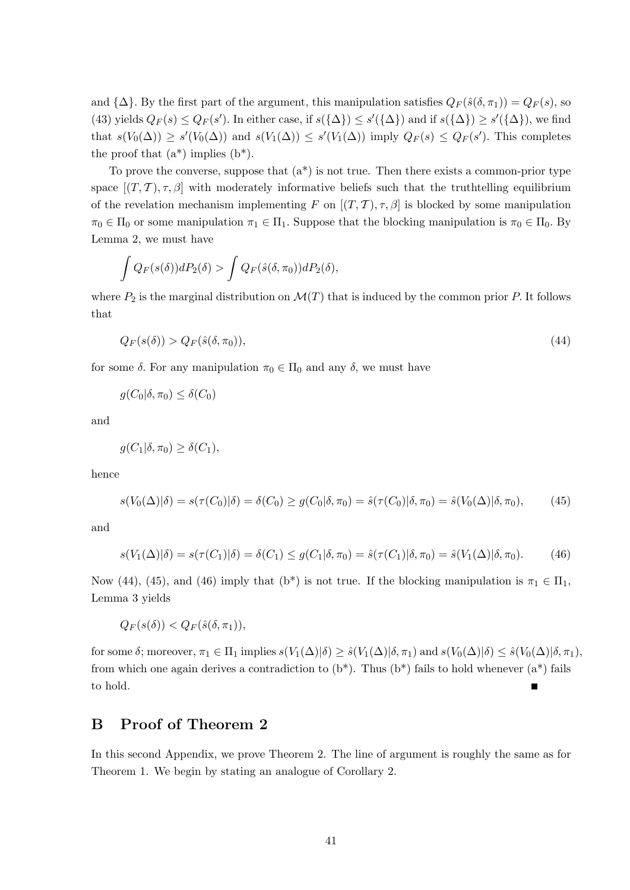and  $\{\Delta\}$ . By the first part of the argument, this manipulation satisfies  $Q_F(\hat{s}(\delta, \pi_1)) = Q_F(s)$ , so (43) yields  $Q_F(s) \leq Q_F(s')$ . In either case, if  $s(\{\Delta\}) \leq s'(\{\Delta\})$  and if  $s(\{\Delta\}) \geq s'(\{\Delta\})$ , we find that  $s(V_0(\Delta)) \ge s'(V_0(\Delta))$  and  $s(V_1(\Delta)) \le s'(V_1(\Delta))$  imply  $Q_F(s) \le Q_F(s')$ . This completes the proof that  $(a^*)$  implies  $(b^*)$ .

To prove the converse, suppose that  $(a^*)$  is not true. Then there exists a common-prior type space  $[(T, T), \tau, \beta]$  with moderately informative beliefs such that the truthtelling equilibrium of the revelation mechanism implementing F on  $[(T, T), \tau, \beta]$  is blocked by some manipulation  $\pi_0 \in \Pi_0$  or some manipulation  $\pi_1 \in \Pi_1$ . Suppose that the blocking manipulation is  $\pi_0 \in \Pi_0$ . By Lemma 2, we must have

$$
\int Q_F(s(\delta))dP_2(\delta) > \int Q_F(\hat{s}(\delta,\pi_0))dP_2(\delta),
$$

where  $P_2$  is the marginal distribution on  $\mathcal{M}(T)$  that is induced by the common prior P. It follows that

$$
Q_F(s(\delta)) > Q_F(\hat{s}(\delta, \pi_0)),\tag{44}
$$

for some  $\delta$ . For any manipulation  $\pi_0 \in \Pi_0$  and any  $\delta$ , we must have

 $q(C_0|\delta, \pi_0) \leq \delta(C_0)$ 

and

$$
g(C_1|\delta, \pi_0) \ge \delta(C_1),
$$

hence

$$
s(V_0(\Delta)|\delta) = s(\tau(C_0)|\delta) = \delta(C_0) \ge g(C_0|\delta, \pi_0) = \hat{s}(\tau(C_0)|\delta, \pi_0) = \hat{s}(V_0(\Delta)|\delta, \pi_0), \tag{45}
$$

and

$$
s(V_1(\Delta)|\delta) = s(\tau(C_1)|\delta) = \delta(C_1) \le g(C_1|\delta, \pi_0) = \hat{s}(\tau(C_1)|\delta, \pi_0) = \hat{s}(V_1(\Delta)|\delta, \pi_0).
$$
 (46)

Now (44), (45), and (46) imply that (b<sup>\*</sup>) is not true. If the blocking manipulation is  $\pi_1 \in \Pi_1$ , Lemma 3 yields

 $Q_F(s(\delta)) < Q_F(\hat{s}(\delta, \pi_1)),$ 

for some  $\delta$ ; moreover,  $\pi_1 \in \Pi_1$  implies  $s(V_1(\Delta)|\delta) \geq \hat{s}(V_1(\Delta)|\delta, \pi_1)$  and  $s(V_0(\Delta)|\delta) \leq \hat{s}(V_0(\Delta)|\delta, \pi_1)$ , from which one again derives a contradiction to  $(b^*)$ . Thus  $(b^*)$  fails to hold whenever  $(a^*)$  fails to hold. Ē

## B Proof of Theorem 2

In this second Appendix, we prove Theorem 2. The line of argument is roughly the same as for Theorem 1. We begin by stating an analogue of Corollary 2.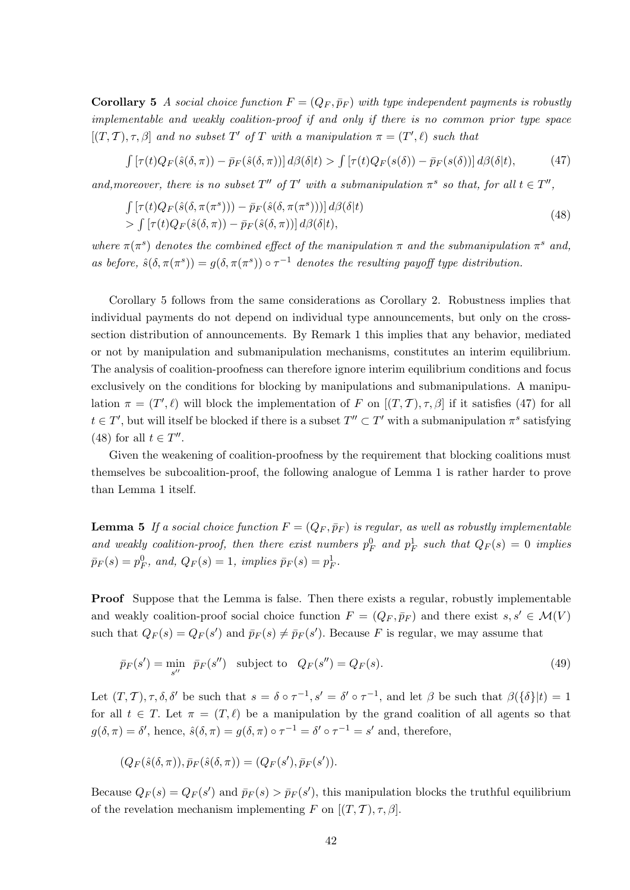**Corollary 5** A social choice function  $F = (Q_F, \bar{p}_F)$  with type independent payments is robustly implementable and weakly coalition-proof if and only if there is no common prior type space  $[(T, T), \tau, \beta]$  and no subset T' of T with a manipulation  $\pi = (T', \ell)$  such that

$$
\int \left[ \tau(t) Q_F(\hat{s}(\delta, \pi)) - \bar{p}_F(\hat{s}(\delta, \pi)) \right] d\beta(\delta|t) > \int \left[ \tau(t) Q_F(s(\delta)) - \bar{p}_F(s(\delta)) \right] d\beta(\delta|t),\tag{47}
$$

and, moreover, there is no subset  $T''$  of  $T'$  with a submanipulation  $\pi^s$  so that, for all  $t \in T''$ ,

$$
\int \left[ \tau(t) Q_F(\hat{s}(\delta, \pi(\pi^s))) - \bar{p}_F(\hat{s}(\delta, \pi(\pi^s))) \right] d\beta(\delta|t) > \int \left[ \tau(t) Q_F(\hat{s}(\delta, \pi)) - \bar{p}_F(\hat{s}(\delta, \pi)) \right] d\beta(\delta|t),
$$
\n(48)

where  $\pi(\pi^s)$  denotes the combined effect of the manipulation  $\pi$  and the submanipulation  $\pi^s$  and, as before,  $\hat{s}(\delta, \pi(\pi^s)) = g(\delta, \pi(\pi^s)) \circ \tau^{-1}$  denotes the resulting payoff type distribution.

Corollary 5 follows from the same considerations as Corollary 2. Robustness implies that individual payments do not depend on individual type announcements, but only on the crosssection distribution of announcements. By Remark 1 this implies that any behavior, mediated or not by manipulation and submanipulation mechanisms, constitutes an interim equilibrium. The analysis of coalition-proofness can therefore ignore interim equilibrium conditions and focus exclusively on the conditions for blocking by manipulations and submanipulations. A manipulation  $\pi = (T', \ell)$  will block the implementation of F on  $[(T, \mathcal{T}), \tau, \beta]$  if it satisfies (47) for all  $t \in T'$ , but will itself be blocked if there is a subset  $T'' \subset T'$  with a submanipulation  $\pi^s$  satisfying (48) for all  $t \in T''$ .

Given the weakening of coalition-proofness by the requirement that blocking coalitions must themselves be subcoalition-proof, the following analogue of Lemma 1 is rather harder to prove than Lemma 1 itself.

**Lemma 5** If a social choice function  $F = (Q_F, \bar{p}_F)$  is regular, as well as robustly implementable and weakly coalition-proof, then there exist numbers  $p_F^0$  and  $p_F^1$  such that  $Q_F(s) = 0$  implies  $\bar{p}_F(s) = p_F^0$ , and,  $Q_F(s) = 1$ , implies  $\bar{p}_F(s) = p_F^1$ .

Proof Suppose that the Lemma is false. Then there exists a regular, robustly implementable and weakly coalition-proof social choice function  $F = (Q_F, \bar{p}_F)$  and there exist  $s, s' \in \mathcal{M}(V)$ such that  $Q_F(s) = Q_F(s')$  and  $\bar{p}_F(s) \neq \bar{p}_F(s')$ . Because F is regular, we may assume that

$$
\bar{p}_F(s') = \min_{s''} \quad \bar{p}_F(s'') \quad \text{subject to} \quad Q_F(s'') = Q_F(s). \tag{49}
$$

Let  $(T, \mathcal{T}), \tau, \delta, \delta'$  be such that  $s = \delta \circ \tau^{-1}, s' = \delta' \circ \tau^{-1}$ , and let  $\beta$  be such that  $\beta({\delta})|t = 1$ for all  $t \in T$ . Let  $\pi = (T, \ell)$  be a manipulation by the grand coalition of all agents so that  $g(\delta,\pi)=\delta'$ , hence,  $\hat{s}(\delta,\pi)=g(\delta,\pi)\circ\tau^{-1}=\delta'\circ\tau^{-1}=s'$  and, therefore,

$$
(Q_F(\hat{s}(\delta,\pi)), \bar{p}_F(\hat{s}(\delta,\pi)) = (Q_F(s'), \bar{p}_F(s')).
$$

Because  $Q_F(s) = Q_F(s')$  and  $\bar{p}_F(s) > \bar{p}_F(s')$ , this manipulation blocks the truthful equilibrium of the revelation mechanism implementing F on  $[(T, \mathcal{T}), \tau, \beta]$ .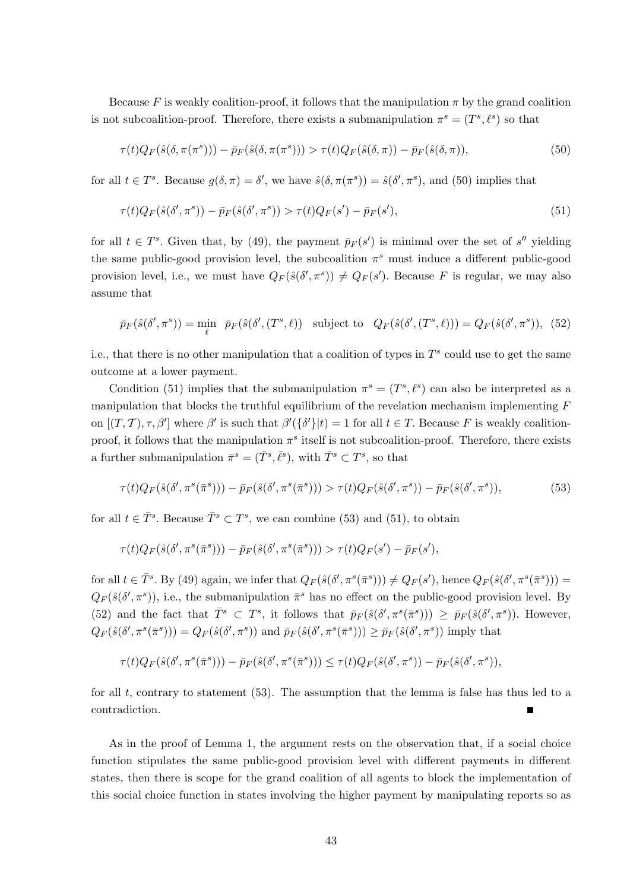Because F is weakly coalition-proof, it follows that the manipulation  $\pi$  by the grand coalition is not subcoalition-proof. Therefore, there exists a submanipulation  $\pi^s = (T^s, \ell^s)$  so that

$$
\tau(t)Q_F(\hat{s}(\delta,\pi(\pi^s))) - \bar{p}_F(\hat{s}(\delta,\pi(\pi^s))) > \tau(t)Q_F(\hat{s}(\delta,\pi)) - \bar{p}_F(\hat{s}(\delta,\pi)),\tag{50}
$$

for all  $t \in T^s$ . Because  $g(\delta, \pi) = \delta'$ , we have  $\hat{s}(\delta, \pi(\pi^s)) = \hat{s}(\delta', \pi^s)$ , and (50) implies that

$$
\tau(t)Q_F(\hat{s}(\delta',\pi^s)) - \bar{p}_F(\hat{s}(\delta',\pi^s)) > \tau(t)Q_F(s') - \bar{p}_F(s'),\tag{51}
$$

for all  $t \in T<sup>s</sup>$ . Given that, by (49), the payment  $\bar{p}_F(s')$  is minimal over the set of s'' yielding the same public-good provision level, the subcoalition  $\pi^s$  must induce a different public-good provision level, i.e., we must have  $Q_F(\hat{s}(\delta', \pi^s)) \neq Q_F(s')$ . Because F is regular, we may also assume that

$$
\bar{p}_F(\hat{s}(\delta', \pi^s)) = \min_{\ell} \quad \bar{p}_F(\hat{s}(\delta', (T^s, \ell)) \quad \text{subject to} \quad Q_F(\hat{s}(\delta', (T^s, \ell))) = Q_F(\hat{s}(\delta', \pi^s)), \tag{52}
$$

i.e., that there is no other manipulation that a coalition of types in  $T<sup>s</sup>$  could use to get the same outcome at a lower payment.

Condition (51) implies that the submanipulation  $\pi^s = (T^s, \ell^s)$  can also be interpreted as a manipulation that blocks the truthful equilibrium of the revelation mechanism implementing  $F$ on  $[(T, T), \tau, \beta']$  where  $\beta'$  is such that  $\beta'(\{\delta'\}|t) = 1$  for all  $t \in T$ . Because F is weakly coalitionproof, it follows that the manipulation  $\pi^s$  itself is not subcoalition-proof. Therefore, there exists a further submanipulation  $\bar{\pi}^s = (\bar{T}^s, \bar{\ell}^s)$ , with  $\bar{T}^s \subset T^s$ , so that

$$
\tau(t)Q_F(\hat{s}(\delta',\pi^s(\bar{\pi}^s))) - \bar{p}_F(\hat{s}(\delta',\pi^s(\bar{\pi}^s))) > \tau(t)Q_F(\hat{s}(\delta',\pi^s)) - \bar{p}_F(\hat{s}(\delta',\pi^s)),\tag{53}
$$

for all  $t \in \overline{T}^s$ . Because  $\overline{T}^s \subset T^s$ , we can combine (53) and (51), to obtain

$$
\tau(t)Q_{F}(\hat{s}(\delta',\pi^s(\bar{\pi}^s)))-\bar{p}_{F}(\hat{s}(\delta',\pi^s(\bar{\pi}^s)))>\tau(t)Q_{F}(s')-\bar{p}_{F}(s'),
$$

for all  $t \in \overline{T}^s$ . By (49) again, we infer that  $Q_F(\hat{s}(\delta', \pi^s(\overline{\pi}^s))) \neq Q_F(s')$ , hence  $Q_F(\hat{s}(\delta', \pi^s(\overline{\pi}^s)))$  =  $Q_F(\hat{s}(\delta',\pi^s))$ , i.e., the submanipulation  $\bar{\pi}^s$  has no effect on the public-good provision level. By (52) and the fact that  $\overline{T}^s \subset T^s$ , it follows that  $\overline{p}_F(\hat{s}(\delta', \pi^s(\overline{\pi}^s))) \geq \overline{p}_F(\hat{s}(\delta', \pi^s))$ . However,  $Q_F(\hat{s}(\delta', \pi^s(\bar{\pi}^s))) = Q_F(\hat{s}(\delta', \pi^s))$  and  $\bar{p}_F(\hat{s}(\delta', \pi^s(\bar{\pi}^s))) \geq \bar{p}_F(\hat{s}(\delta', \pi^s))$  imply that

$$
\tau(t)Q_F(\hat{s}(\delta',\pi^s(\bar{\pi}^s)))-\bar{p}_F(\hat{s}(\delta',\pi^s(\bar{\pi}^s)))\leq \tau(t)Q_F(\hat{s}(\delta',\pi^s))-\bar{p}_F(\hat{s}(\delta',\pi^s)),
$$

for all t, contrary to statement  $(53)$ . The assumption that the lemma is false has thus led to a contradiction. Ē

As in the proof of Lemma 1, the argument rests on the observation that, if a social choice function stipulates the same public-good provision level with different payments in different states, then there is scope for the grand coalition of all agents to block the implementation of this social choice function in states involving the higher payment by manipulating reports so as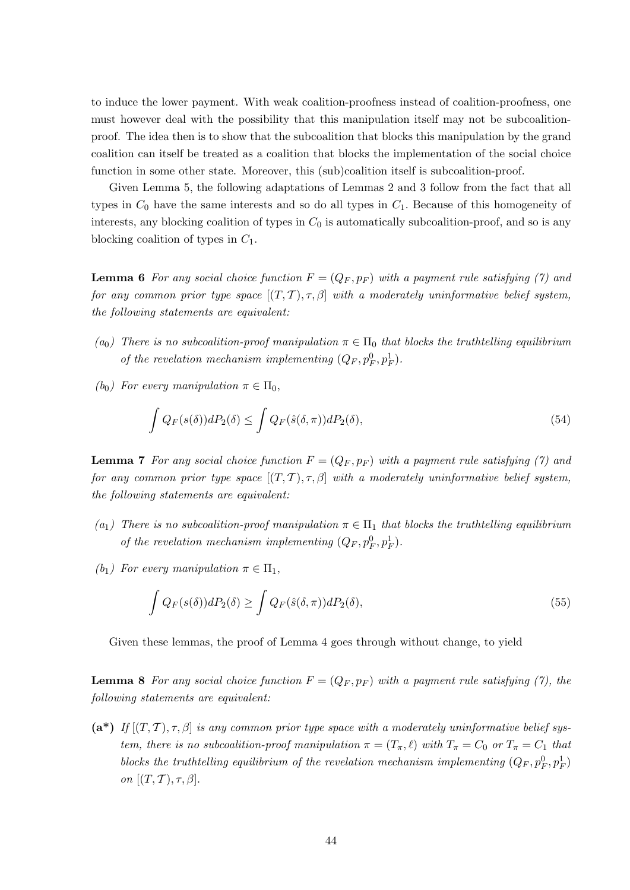to induce the lower payment. With weak coalition-proofness instead of coalition-proofness, one must however deal with the possibility that this manipulation itself may not be subcoalitionproof. The idea then is to show that the subcoalition that blocks this manipulation by the grand coalition can itself be treated as a coalition that blocks the implementation of the social choice function in some other state. Moreover, this (sub)coalition itself is subcoalition-proof.

Given Lemma 5, the following adaptations of Lemmas 2 and 3 follow from the fact that all types in  $C_0$  have the same interests and so do all types in  $C_1$ . Because of this homogeneity of interests, any blocking coalition of types in  $C_0$  is automatically subcoalition-proof, and so is any blocking coalition of types in  $C_1$ .

**Lemma 6** For any social choice function  $F = (Q_F, p_F)$  with a payment rule satisfying (7) and for any common prior type space  $[(T, \mathcal{T}), \tau, \beta]$  with a moderately uninformative belief system, the following statements are equivalent:

- (a<sub>0</sub>) There is no subcoalition-proof manipulation  $\pi \in \Pi_0$  that blocks the truthtelling equilibrium of the revelation mechanism implementing  $(Q_F, p_F^0, p_F^1)$ .
- (b<sub>0</sub>) For every manipulation  $\pi \in \Pi_0$ ,

$$
\int Q_F(s(\delta))dP_2(\delta) \le \int Q_F(\hat{s}(\delta,\pi))dP_2(\delta),\tag{54}
$$

**Lemma 7** For any social choice function  $F = (Q_F, p_F)$  with a payment rule satisfying (7) and for any common prior type space  $[(T, \mathcal{T}), \tau, \beta]$  with a moderately uninformative belief system, the following statements are equivalent:

- (a<sub>1</sub>) There is no subcoalition-proof manipulation  $\pi \in \Pi_1$  that blocks the truthtelling equilibrium of the revelation mechanism implementing  $(Q_F, p_F^0, p_F^1)$ .
- (b<sub>1</sub>) For every manipulation  $\pi \in \Pi_1$ ,

$$
\int Q_F(s(\delta))dP_2(\delta) \ge \int Q_F(\hat{s}(\delta,\pi))dP_2(\delta),\tag{55}
$$

Given these lemmas, the proof of Lemma 4 goes through without change, to yield

**Lemma 8** For any social choice function  $F = (Q_F, p_F)$  with a payment rule satisfying (7), the following statements are equivalent:

 $(a^*)$  If  $[(T, T), \tau, \beta]$  is any common prior type space with a moderately uninformative belief system, there is no subcoalition-proof manipulation  $\pi = (T_{\pi}, \ell)$  with  $T_{\pi} = C_0$  or  $T_{\pi} = C_1$  that blocks the truthtelling equilibrium of the revelation mechanism implementing  $(Q_F, p_F^0, p_F^1)$ on  $[(T, T), \tau, \beta]$ .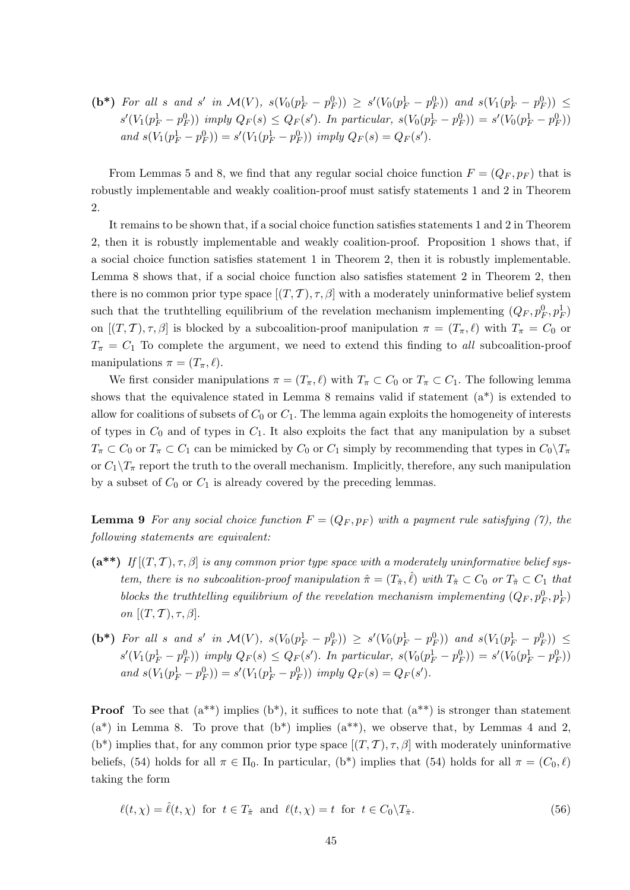(b\*) For all s and s' in  $\mathcal{M}(V)$ ,  $s(V_0(p_F^1 - p_F^0)) \ge s'(V_0(p_F^1 - p_F^0))$  and  $s(V_1(p_F^1 - p_F^0)) \le$  $s'(V_1(p_F^1 - p_F^0))$  imply  $Q_F(s) \leq Q_F(s')$ . In particular,  $s(V_0(p_F^1 - p_F^0)) = s'(V_0(p_F^1 - p_F^0))$ and  $s(V_1(p_F^1 - p_F^0)) = s'(V_1(p_F^1 - p_F^0))$  imply  $Q_F(s) = Q_F(s')$ .

From Lemmas 5 and 8, we find that any regular social choice function  $F = (Q_F, p_F)$  that is robustly implementable and weakly coalition-proof must satisfy statements 1 and 2 in Theorem 2.

It remains to be shown that, if a social choice function satisfies statements 1 and 2 in Theorem 2, then it is robustly implementable and weakly coalition-proof. Proposition 1 shows that, if a social choice function satisfies statement 1 in Theorem 2, then it is robustly implementable. Lemma 8 shows that, if a social choice function also satisfies statement 2 in Theorem 2, then there is no common prior type space  $[(T, \mathcal{T}), \tau, \beta]$  with a moderately uninformative belief system such that the truthtelling equilibrium of the revelation mechanism implementing  $(Q_F, p_F^0, p_F^1)$ on  $[(T, T), \tau, \beta]$  is blocked by a subcoalition-proof manipulation  $\pi = (T_{\pi}, \ell)$  with  $T_{\pi} = C_0$  or  $T_{\pi} = C_1$  To complete the argument, we need to extend this finding to all subcoalition-proof manipulations  $\pi = (T_{\pi}, \ell).$ 

We first consider manipulations  $\pi = (T_{\pi}, \ell)$  with  $T_{\pi} \subset C_0$  or  $T_{\pi} \subset C_1$ . The following lemma shows that the equivalence stated in Lemma 8 remains valid if statement  $(a^*)$  is extended to allow for coalitions of subsets of  $C_0$  or  $C_1$ . The lemma again exploits the homogeneity of interests of types in  $C_0$  and of types in  $C_1$ . It also exploits the fact that any manipulation by a subset  $T_{\pi} \subset C_0$  or  $T_{\pi} \subset C_1$  can be mimicked by  $C_0$  or  $C_1$  simply by recommending that types in  $C_0 \setminus T_{\pi}$ or  $C_1 \backslash T_\pi$  report the truth to the overall mechanism. Implicitly, therefore, any such manipulation by a subset of  $C_0$  or  $C_1$  is already covered by the preceding lemmas.

**Lemma 9** For any social choice function  $F = (Q_F, p_F)$  with a payment rule satisfying (7), the following statements are equivalent:

- $(a^{**})$  If  $[(T, T), \tau, \beta]$  is any common prior type space with a moderately uninformative belief system, there is no subcoalition-proof manipulation  $\hat{\pi} = (T_{\hat{\pi}}, \hat{\ell})$  with  $T_{\hat{\pi}} \subset C_0$  or  $T_{\hat{\pi}} \subset C_1$  that blocks the truthtelling equilibrium of the revelation mechanism implementing  $(Q_F, p_F^0, p_F^1)$ on  $[(T, \mathcal{T}), \tau, \beta]$ .
- (b\*) For all s and s' in  $\mathcal{M}(V)$ ,  $s(V_0(p_F^1 p_F^0)) \ge s'(V_0(p_F^1 p_F^0))$  and  $s(V_1(p_F^1 p_F^0)) \le$  $s'(V_1(p_F^1 - p_F^0))$  imply  $Q_F(s) \leq Q_F(s')$ . In particular,  $s(V_0(p_F^1 - p_F^0)) = s'(V_0(p_F^1 - p_F^0))$ and  $s(V_1(p_F^1 - p_F^0)) = s'(V_1(p_F^1 - p_F^0))$  imply  $Q_F(s) = Q_F(s')$ .

**Proof** To see that  $(a^{**})$  implies  $(b^*)$ , it suffices to note that  $(a^{**})$  is stronger than statement  $(a^*)$  in Lemma 8. To prove that  $(b^*)$  implies  $(a^{**})$ , we observe that, by Lemmas 4 and 2,  $(b^*)$  implies that, for any common prior type space  $[(T, \mathcal{T}), \tau, \beta]$  with moderately uninformative beliefs, (54) holds for all  $\pi \in \Pi_0$ . In particular, (b<sup>\*</sup>) implies that (54) holds for all  $\pi = (C_0, \ell)$ taking the form

$$
\ell(t,\chi) = \hat{\ell}(t,\chi) \text{ for } t \in T_{\hat{\pi}} \text{ and } \ell(t,\chi) = t \text{ for } t \in C_0 \backslash T_{\hat{\pi}}.
$$
\n
$$
(56)
$$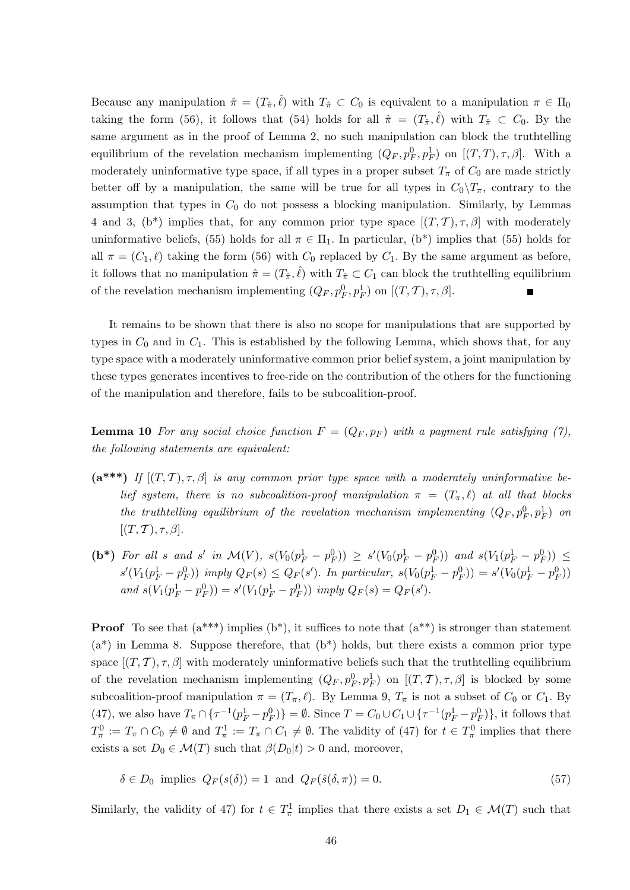Because any manipulation  $\hat{\pi} = (T_{\hat{\pi}}, \hat{\ell})$  with  $T_{\hat{\pi}} \subset C_0$  is equivalent to a manipulation  $\pi \in \Pi_0$ taking the form (56), it follows that (54) holds for all  $\hat{\pi} = (T_{\hat{\pi}}, \hat{\ell})$  with  $T_{\hat{\pi}} \subset C_0$ . By the same argument as in the proof of Lemma 2, no such manipulation can block the truthtelling equilibrium of the revelation mechanism implementing  $(Q_F, p_F^0, p_F^1)$  on  $[(T, T), \tau, \beta]$ . With a moderately uninformative type space, if all types in a proper subset  $T_{\pi}$  of  $C_0$  are made strictly better off by a manipulation, the same will be true for all types in  $C_0\setminus T_\pi$ , contrary to the assumption that types in  $C_0$  do not possess a blocking manipulation. Similarly, by Lemmas 4 and 3,  $(b^*)$  implies that, for any common prior type space  $[(T, \mathcal{T}), \tau, \beta]$  with moderately uninformative beliefs, (55) holds for all  $\pi \in \Pi_1$ . In particular, (b<sup>\*</sup>) implies that (55) holds for all  $\pi = (C_1, \ell)$  taking the form (56) with  $C_0$  replaced by  $C_1$ . By the same argument as before, it follows that no manipulation  $\hat{\pi} = (T_{\hat{\pi}}, \hat{\ell})$  with  $T_{\hat{\pi}} \subset C_1$  can block the truthtelling equilibrium of the revelation mechanism implementing  $(Q_F, p_F^0, p_F^1)$  on  $[(T, \mathcal{T}), \tau, \beta]$ .

It remains to be shown that there is also no scope for manipulations that are supported by types in  $C_0$  and in  $C_1$ . This is established by the following Lemma, which shows that, for any type space with a moderately uninformative common prior belief system, a joint manipulation by these types generates incentives to free-ride on the contribution of the others for the functioning of the manipulation and therefore, fails to be subcoalition-proof.

**Lemma 10** For any social choice function  $F = (Q_F, p_F)$  with a payment rule satisfying (7), the following statements are equivalent:

- $(a^{***})$  If  $[(T, T), \tau, \beta]$  is any common prior type space with a moderately uninformative belief system, there is no subcoalition-proof manipulation  $\pi = (T_\pi, \ell)$  at all that blocks the truthtelling equilibrium of the revelation mechanism implementing  $(Q_F, p_F^0, p_F^1)$  on  $[(T, \mathcal{T}), \tau, \beta].$
- (b\*) For all s and s' in  $\mathcal{M}(V)$ ,  $s(V_0(p_F^1 p_F^0)) \ge s'(V_0(p_F^1 p_F^0))$  and  $s(V_1(p_F^1 p_F^0)) \le$  $s'(V_1(p_F^1 - p_F^0))$  imply  $Q_F(s) \leq Q_F(s')$ . In particular,  $s(V_0(p_F^1 - p_F^0)) = s'(V_0(p_F^1 - p_F^0))$ and  $s(V_1(p_F^1 - p_F^0)) = s'(V_1(p_F^1 - p_F^0))$  imply  $Q_F(s) = Q_F(s')$ .

**Proof** To see that  $(a^{***})$  implies  $(b^*)$ , it suffices to note that  $(a^{**})$  is stronger than statement  $(a^*)$  in Lemma 8. Suppose therefore, that  $(b^*)$  holds, but there exists a common prior type space  $[(T, \mathcal{T}), \tau, \beta]$  with moderately uninformative beliefs such that the truthtelling equilibrium of the revelation mechanism implementing  $(Q_F, p_F^0, p_F^1)$  on  $[(T, \mathcal{T}), \tau, \beta]$  is blocked by some subcoalition-proof manipulation  $\pi = (T_{\pi}, \ell)$ . By Lemma 9,  $T_{\pi}$  is not a subset of  $C_0$  or  $C_1$ . By (47), we also have  $T_{\pi} \cap {\{\tau^{-1}(p_F^1 - p_F^0)\}} = \emptyset$ . Since  $T = C_0 \cup C_1 \cup {\{\tau^{-1}(p_F^1 - p_F^0)\}}$ , it follows that  $T^0_\pi := T_\pi \cap C_0 \neq \emptyset$  and  $T^1_\pi := T_\pi \cap C_1 \neq \emptyset$ . The validity of (47) for  $t \in T^0_\pi$  implies that there exists a set  $D_0 \in \mathcal{M}(T)$  such that  $\beta(D_0|t) > 0$  and, moreover,

$$
\delta \in D_0 \text{ implies } Q_F(s(\delta)) = 1 \text{ and } Q_F(\hat{s}(\delta, \pi)) = 0. \tag{57}
$$

Similarly, the validity of 47) for  $t \in T_{\pi}^1$  implies that there exists a set  $D_1 \in \mathcal{M}(T)$  such that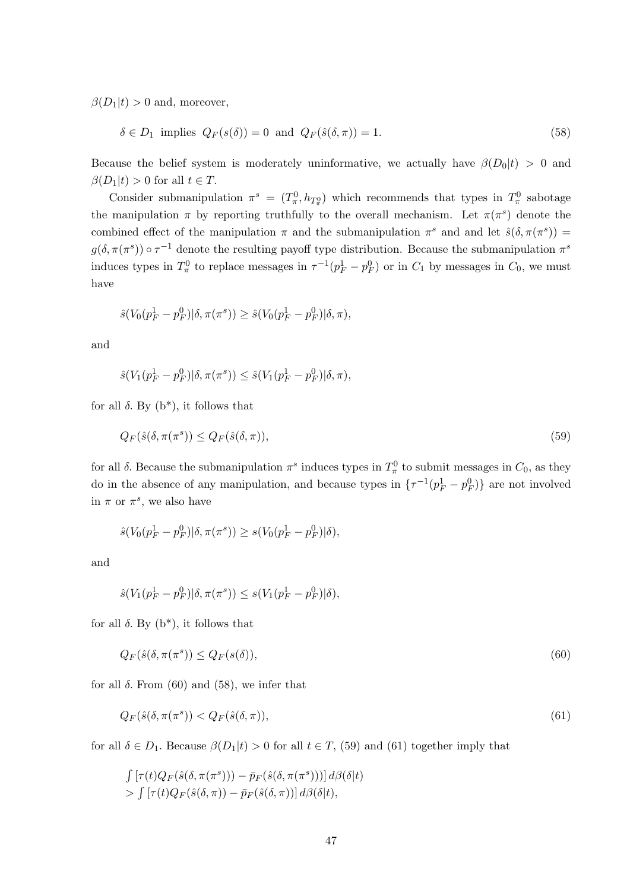$\beta(D_1|t) > 0$  and, moreover,

$$
\delta \in D_1 \text{ implies } Q_F(s(\delta)) = 0 \text{ and } Q_F(\hat{s}(\delta, \pi)) = 1. \tag{58}
$$

Because the belief system is moderately uninformative, we actually have  $\beta(D_0|t) > 0$  and  $\beta(D_1|t) > 0$  for all  $t \in T$ .

Consider submanipulation  $\pi^s = (T^0_\pi, h_{T^0_\pi})$  which recommends that types in  $T^0_\pi$  sabotage the manipulation  $\pi$  by reporting truthfully to the overall mechanism. Let  $\pi(\pi^s)$  denote the combined effect of the manipulation  $\pi$  and the submanipulation  $\pi^s$  and and let  $\hat{s}(\delta, \pi(\pi^s))$  $g(\delta, \pi(\pi^s)) \circ \tau^{-1}$  denote the resulting payoff type distribution. Because the submanipulation  $\pi^s$ induces types in  $T_{\pi}^0$  to replace messages in  $\tau^{-1}(p_F^1 - p_F^0)$  or in  $C_1$  by messages in  $C_0$ , we must have

$$
\hat{s}(V_0(p_F^1 - p_F^0)|\delta, \pi(\pi^s)) \ge \hat{s}(V_0(p_F^1 - p_F^0)|\delta, \pi),
$$

and

$$
\hat{s}(V_1(p_F^1 - p_F^0)|\delta, \pi(\pi^s)) \leq \hat{s}(V_1(p_F^1 - p_F^0)|\delta, \pi),
$$

for all  $\delta$ . By  $(b^*)$ , it follows that

$$
Q_F(\hat{s}(\delta, \pi(\pi^s)) \le Q_F(\hat{s}(\delta, \pi)),\tag{59}
$$

for all  $\delta$ . Because the submanipulation  $\pi^s$  induces types in  $T^0_{\pi}$  to submit messages in  $C_0$ , as they do in the absence of any manipulation, and because types in  $\{\tau^{-1}(p_F^1 - p_F^0)\}\)$  are not involved in  $\pi$  or  $\pi^s$ , we also have

$$
\hat{s}(V_0(p_F^1 - p_F^0)|\delta, \pi(\pi^s)) \ge s(V_0(p_F^1 - p_F^0)|\delta),
$$

and

$$
\hat{s}(V_1(p_F^1 - p_F^0)|\delta, \pi(\pi^s)) \le s(V_1(p_F^1 - p_F^0)|\delta),
$$

for all  $\delta$ . By  $(b^*)$ , it follows that

$$
Q_F(\hat{s}(\delta, \pi(\pi^s)) \le Q_F(s(\delta)),\tag{60}
$$

for all  $\delta$ . From (60) and (58), we infer that

$$
Q_F(\hat{s}(\delta, \pi(\pi^s)) < Q_F(\hat{s}(\delta, \pi)),\tag{61}
$$

for all  $\delta \in D_1$ . Because  $\beta(D_1|t) > 0$  for all  $t \in T$ , (59) and (61) together imply that

$$
\int \left[ \tau(t) Q_F(\hat{s}(\delta, \pi(\pi^s))) - \bar{p}_F(\hat{s}(\delta, \pi(\pi^s))) \right] d\beta(\delta|t) > \int \left[ \tau(t) Q_F(\hat{s}(\delta, \pi)) - \bar{p}_F(\hat{s}(\delta, \pi)) \right] d\beta(\delta|t),
$$